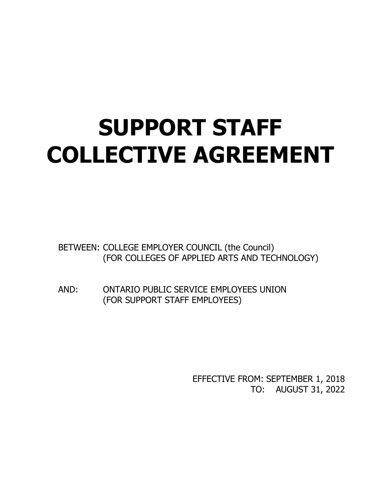# **SUPPORT STAFF COLLECTIVE AGREEMENT**

BETWEEN: COLLEGE EMPLOYER COUNCIL (the Council) (FOR COLLEGES OF APPLIED ARTS AND TECHNOLOGY)

AND: ONTARIO PUBLIC SERVICE EMPLOYEES UNION (FOR SUPPORT STAFF EMPLOYEES)

> EFFECTIVE FROM: SEPTEMBER 1, 2018 TO: AUGUST 31, 2022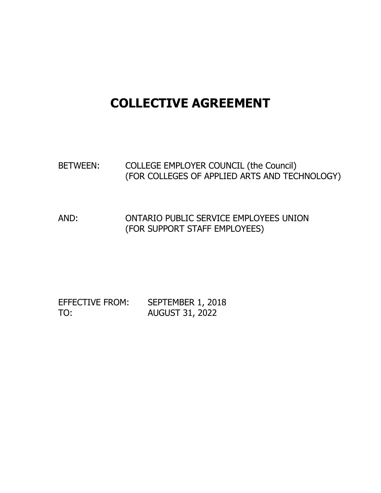# **COLLECTIVE AGREEMENT**

# BETWEEN: COLLEGE EMPLOYER COUNCIL (the Council) (FOR COLLEGES OF APPLIED ARTS AND TECHNOLOGY)

AND: ONTARIO PUBLIC SERVICE EMPLOYEES UNION (FOR SUPPORT STAFF EMPLOYEES)

EFFECTIVE FROM: SEPTEMBER 1, 2018 TO: AUGUST 31, 2022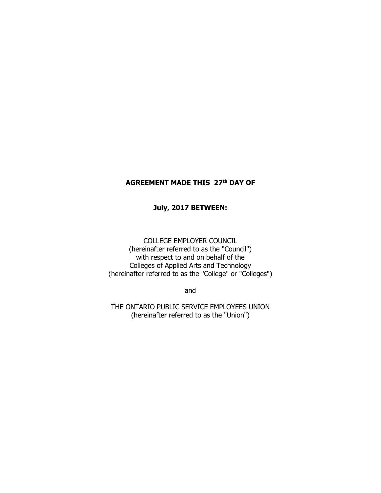# **AGREEMENT MADE THIS 27th DAY OF**

#### **July, 2017 BETWEEN:**

COLLEGE EMPLOYER COUNCIL (hereinafter referred to as the "Council") with respect to and on behalf of the Colleges of Applied Arts and Technology (hereinafter referred to as the "College" or "Colleges")

and

THE ONTARIO PUBLIC SERVICE EMPLOYEES UNION (hereinafter referred to as the "Union")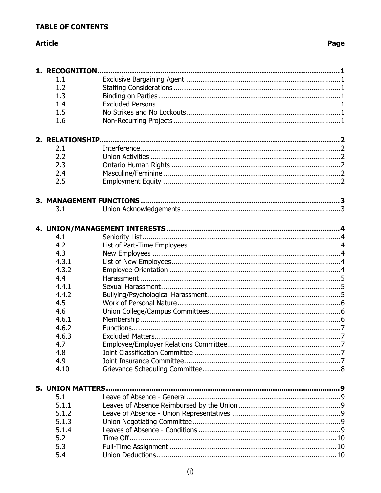# **Article**

| 1. RECOGNITION<br>1.1<br>1.2<br>1.3<br>1.4<br>1.5<br>1.6<br>2.1<br>2.2<br>2.3<br>2.4<br>2.5<br>3.1<br>4.1<br>4.2<br>4.3 |  |
|-------------------------------------------------------------------------------------------------------------------------|--|
|                                                                                                                         |  |
|                                                                                                                         |  |
|                                                                                                                         |  |
|                                                                                                                         |  |
|                                                                                                                         |  |
|                                                                                                                         |  |
|                                                                                                                         |  |
|                                                                                                                         |  |
|                                                                                                                         |  |
|                                                                                                                         |  |
|                                                                                                                         |  |
|                                                                                                                         |  |
|                                                                                                                         |  |
|                                                                                                                         |  |
|                                                                                                                         |  |
|                                                                                                                         |  |
|                                                                                                                         |  |
|                                                                                                                         |  |
|                                                                                                                         |  |
|                                                                                                                         |  |
|                                                                                                                         |  |
| 4.3.1                                                                                                                   |  |
| 4.3.2                                                                                                                   |  |
| 4.4                                                                                                                     |  |
| 4.4.1                                                                                                                   |  |
| 4.4.2                                                                                                                   |  |
| 4.5                                                                                                                     |  |
| 4.6                                                                                                                     |  |
| 4.6.1                                                                                                                   |  |
| 4.6.2                                                                                                                   |  |
| 4.6.3                                                                                                                   |  |
| 4.7                                                                                                                     |  |
| 4.8                                                                                                                     |  |
| 4.9                                                                                                                     |  |
| 4.10                                                                                                                    |  |
|                                                                                                                         |  |
| <b>5. UNION MATTERS.</b>                                                                                                |  |
| 5.1                                                                                                                     |  |
| 5.1.1                                                                                                                   |  |
| 5.1.2                                                                                                                   |  |
| 5.1.3                                                                                                                   |  |
| 5.1.4                                                                                                                   |  |
| 5.2                                                                                                                     |  |
| 5.3                                                                                                                     |  |
| 5.4                                                                                                                     |  |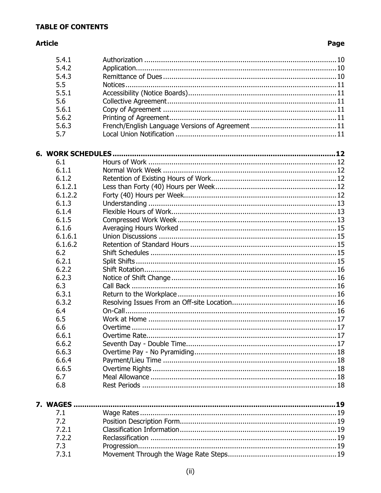# **Article**

| 5.4.1   |  |
|---------|--|
| 5.4.2   |  |
| 5.4.3   |  |
| 5.5     |  |
| 5.5.1   |  |
| 5.6     |  |
| 5.6.1   |  |
| 5.6.2   |  |
| 5.6.3   |  |
| 5.7     |  |
|         |  |
|         |  |
| 6.1     |  |
| 6.1.1   |  |
| 6.1.2   |  |
| 6.1.2.1 |  |
| 6.1.2.2 |  |
| 6.1.3   |  |
| 6.1.4   |  |
| 6.1.5   |  |
| 6.1.6   |  |
| 6.1.6.1 |  |
| 6.1.6.2 |  |
| 6.2     |  |
| 6.2.1   |  |
| 6.2.2   |  |
| 6.2.3   |  |
| 6.3     |  |
| 6.3.1   |  |
| 6.3.2   |  |
| 6.4     |  |
| 6.5     |  |
| 6.6     |  |
| 6.6.1   |  |
| 6.6.2   |  |
| 6.6.3   |  |
| 6.6.4   |  |
| 6.6.5   |  |
| 6.7     |  |
| 6.8     |  |
|         |  |
|         |  |
| 7.1     |  |
| 7.2     |  |
| 7.2.1   |  |
| 7.2.2   |  |
| 7.3     |  |
| 7.3.1   |  |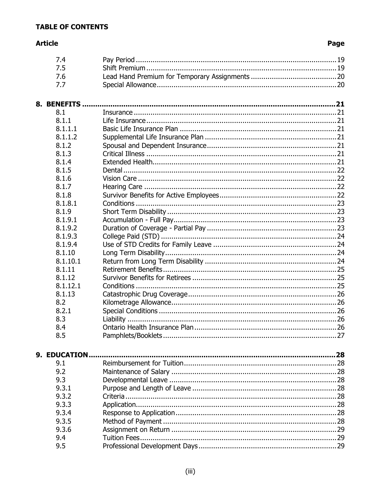# **Article**

| 7.4           |    |  |
|---------------|----|--|
| 7.5           |    |  |
| 7.6           |    |  |
| 7.7           |    |  |
|               |    |  |
|               |    |  |
| 8. BENEFITS   |    |  |
| 8.1           |    |  |
| 8.1.1         |    |  |
| 8.1.1.1       |    |  |
| 8.1.1.2       |    |  |
| 8.1.2         |    |  |
| 8.1.3         |    |  |
| 8.1.4         |    |  |
| 8.1.5         |    |  |
| 8.1.6         |    |  |
| 8.1.7         |    |  |
| 8.1.8         |    |  |
| 8.1.8.1       |    |  |
| 8.1.9         |    |  |
| 8.1.9.1       |    |  |
| 8.1.9.2       |    |  |
| 8.1.9.3       |    |  |
| 8.1.9.4       |    |  |
| 8.1.10        |    |  |
| 8.1.10.1      |    |  |
| 8.1.11        |    |  |
| 8.1.12        |    |  |
| 8.1.12.1      |    |  |
| 8.1.13        |    |  |
| 8.2           |    |  |
| 8.2.1         |    |  |
| 8.3           |    |  |
| 8.4           |    |  |
| 8.5           | 27 |  |
|               |    |  |
| 9. EDUCATION. |    |  |
| 9.1           |    |  |
| 9.2           |    |  |
| 9.3           |    |  |
| 9.3.1         |    |  |
| 9.3.2         |    |  |
| 9.3.3         |    |  |
| 9.3.4         |    |  |
| 9.3.5         |    |  |
| 9.3.6         |    |  |
| 9.4           |    |  |
| 9.5           |    |  |
|               |    |  |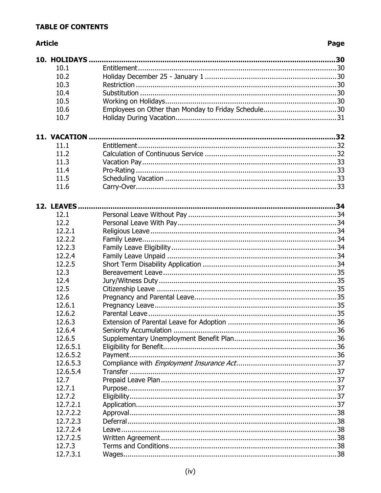# **Article**

| 10.1          |  |
|---------------|--|
| 10.2          |  |
| 10.3          |  |
| 10.4          |  |
| 10.5          |  |
| 10.6          |  |
| 10.7          |  |
| 11. VACATION. |  |
| 11.1          |  |
| 11.2          |  |
| 11.3          |  |
| 11.4          |  |
| 11.5          |  |
| 11.6          |  |
| 12. LEAVES.   |  |
| 12.1          |  |
| 12.2          |  |
| 12.2.1        |  |
| 12.2.2        |  |
| 12.2.3        |  |
| 12.2.4        |  |
| 12.2.5        |  |
| 12.3          |  |
| 12.4          |  |
| 12.5          |  |
| 12.6          |  |
| 12.6.1        |  |
| 12.6.2        |  |
| 12.6.3        |  |
| 12.6.4        |  |
| 12.6.5        |  |
| 12.6.5.1      |  |
| 12.6.5.2      |  |
| 12.6.5.3      |  |
| 12.6.5.4      |  |
| 12.7          |  |
| 12.7.1        |  |
| 12.7.2        |  |
| 12.7.2.1      |  |
| 12.7.2.2      |  |
| 12.7.2.3      |  |
| 12.7.2.4      |  |
| 12.7.2.5      |  |
| 12.7.3        |  |
| 12.7.3.1      |  |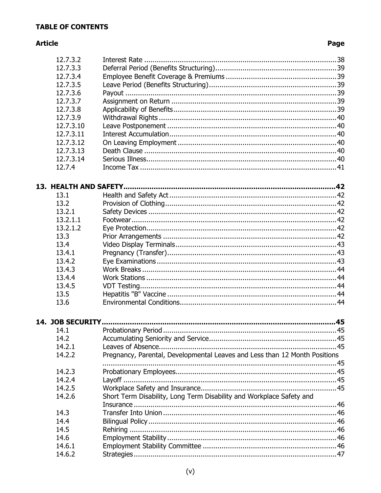# **Article**

| 12.7.3.2         |                                                                            |  |
|------------------|----------------------------------------------------------------------------|--|
| 12.7.3.3         |                                                                            |  |
| 12.7.3.4         |                                                                            |  |
| 12.7.3.5         |                                                                            |  |
| 12.7.3.6         |                                                                            |  |
| 12.7.3.7         |                                                                            |  |
| 12.7.3.8         |                                                                            |  |
| 12.7.3.9         |                                                                            |  |
| 12.7.3.10        |                                                                            |  |
| 12.7.3.11        |                                                                            |  |
| 12.7.3.12        |                                                                            |  |
| 12.7.3.13        |                                                                            |  |
| 12.7.3.14        |                                                                            |  |
| 12.7.4           |                                                                            |  |
|                  |                                                                            |  |
| 13.1             |                                                                            |  |
| 13.2             |                                                                            |  |
| 13.2.1           |                                                                            |  |
| 13.2.1.1         |                                                                            |  |
| 13.2.1.2         |                                                                            |  |
| 13.3             |                                                                            |  |
| 13.4             |                                                                            |  |
| 13.4.1           |                                                                            |  |
| 13.4.2           |                                                                            |  |
| 13.4.3           |                                                                            |  |
| 13.4.4           |                                                                            |  |
| 13.4.5           |                                                                            |  |
| 13.5             |                                                                            |  |
| 13.6             |                                                                            |  |
| 14. JOB SECURITY |                                                                            |  |
| 14.1             |                                                                            |  |
| 14.2             |                                                                            |  |
| 14.2.1           |                                                                            |  |
| 14.2.2           | Pregnancy, Parental, Developmental Leaves and Less than 12 Month Positions |  |
|                  |                                                                            |  |
| 14.2.3           |                                                                            |  |
| 14.2.4           |                                                                            |  |
| 14.2.5           |                                                                            |  |
| 14.2.6           | Short Term Disability, Long Term Disability and Workplace Safety and       |  |
|                  |                                                                            |  |
| 14.3             |                                                                            |  |
| 14.4             |                                                                            |  |
| 14.5             |                                                                            |  |
| 14.6             |                                                                            |  |
| 14.6.1           |                                                                            |  |
| 14.6.2           |                                                                            |  |
|                  |                                                                            |  |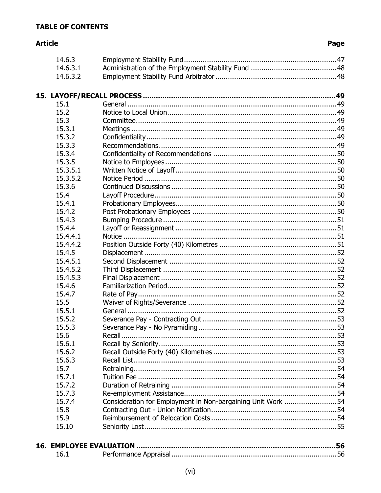# **Article**

| 14.6.3                          |                                                             |  |
|---------------------------------|-------------------------------------------------------------|--|
| 14.6.3.1                        |                                                             |  |
| 14.6.3.2                        |                                                             |  |
|                                 |                                                             |  |
|                                 |                                                             |  |
| 15.1                            |                                                             |  |
| 15.2                            |                                                             |  |
| 15.3                            |                                                             |  |
| 15.3.1                          |                                                             |  |
| 15.3.2                          |                                                             |  |
| 15.3.3                          |                                                             |  |
| 15.3.4                          |                                                             |  |
| 15.3.5                          |                                                             |  |
| 15.3.5.1                        |                                                             |  |
| 15.3.5.2                        |                                                             |  |
| 15.3.6                          |                                                             |  |
| 15.4                            |                                                             |  |
| 15.4.1                          |                                                             |  |
| 15.4.2                          |                                                             |  |
| 15.4.3                          |                                                             |  |
| 15.4.4                          |                                                             |  |
| 15.4.4.1                        |                                                             |  |
| 15.4.4.2                        |                                                             |  |
| 15.4.5                          |                                                             |  |
| 15.4.5.1                        |                                                             |  |
| 15.4.5.2                        |                                                             |  |
| 15.4.5.3                        |                                                             |  |
| 15.4.6                          |                                                             |  |
| 15.4.7                          |                                                             |  |
| 15.5                            |                                                             |  |
| 15.5.1                          |                                                             |  |
| 15.5.2                          |                                                             |  |
| 15.5.3                          |                                                             |  |
| 15.6                            |                                                             |  |
| 15.6.1                          |                                                             |  |
| 15.6.2                          |                                                             |  |
| 15.6.3                          |                                                             |  |
| 15.7                            |                                                             |  |
| 15.7.1                          |                                                             |  |
| 15.7.2                          |                                                             |  |
| 15.7.3                          |                                                             |  |
| 15.7.4                          | Consideration for Employment in Non-bargaining Unit Work 54 |  |
| 15.8                            |                                                             |  |
| 15.9                            |                                                             |  |
| 15.10                           |                                                             |  |
|                                 |                                                             |  |
| <b>16. EMPLOYEE EVALUATION.</b> |                                                             |  |
| 16.1                            |                                                             |  |
|                                 |                                                             |  |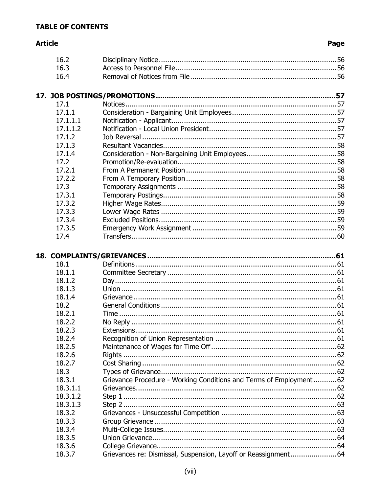# **Article**

| 16.2             |                                                                    |  |
|------------------|--------------------------------------------------------------------|--|
| 16.3             |                                                                    |  |
| 16.4             |                                                                    |  |
|                  |                                                                    |  |
|                  |                                                                    |  |
| 17.1             |                                                                    |  |
| 17.1.1           |                                                                    |  |
| 17.1.1.1         |                                                                    |  |
| 17.1.1.2         |                                                                    |  |
| 17.1.2           |                                                                    |  |
| 17.1.3           |                                                                    |  |
| 17.1.4           |                                                                    |  |
| 17.2             |                                                                    |  |
| 17.2.1           |                                                                    |  |
| 17.2.2           |                                                                    |  |
| 17.3             |                                                                    |  |
| 17.3.1           |                                                                    |  |
| 17.3.2           |                                                                    |  |
| 17.3.3           |                                                                    |  |
| 17.3.4           |                                                                    |  |
| 17.3.5           |                                                                    |  |
| 17.4             |                                                                    |  |
|                  |                                                                    |  |
|                  |                                                                    |  |
|                  |                                                                    |  |
|                  |                                                                    |  |
| 18.1<br>18.1.1   |                                                                    |  |
| 18.1.2           |                                                                    |  |
| 18.1.3           |                                                                    |  |
| 18.1.4           |                                                                    |  |
| 18.2             |                                                                    |  |
| 18.2.1           |                                                                    |  |
| 18.2.2           |                                                                    |  |
| 18.2.3           | Extensions                                                         |  |
| 18.2.4           |                                                                    |  |
| 18.2.5           |                                                                    |  |
| 18.2.6           |                                                                    |  |
| 18.2.7           |                                                                    |  |
| 18.3             |                                                                    |  |
| 18.3.1           | Grievance Procedure - Working Conditions and Terms of Employment62 |  |
| 18.3.1.1         |                                                                    |  |
| 18.3.1.2         |                                                                    |  |
| 18.3.1.3         |                                                                    |  |
| 18.3.2           |                                                                    |  |
| 18.3.3           |                                                                    |  |
| 18.3.4           |                                                                    |  |
| 18.3.5           |                                                                    |  |
| 18.3.6<br>18.3.7 | Grievances re: Dismissal, Suspension, Layoff or Reassignment 64    |  |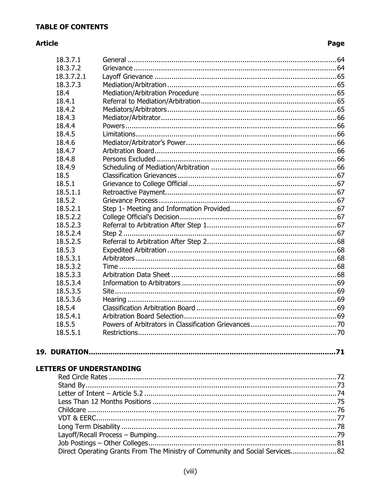# **Article**

# Page

| 18.3.7.1   |  |
|------------|--|
| 18.3.7.2   |  |
| 18.3.7.2.1 |  |
| 18.3.7.3   |  |
| 18.4       |  |
| 18.4.1     |  |
| 18.4.2     |  |
| 18.4.3     |  |
| 18.4.4     |  |
| 18.4.5     |  |
| 18.4.6     |  |
| 18.4.7     |  |
| 18.4.8     |  |
| 18.4.9     |  |
| 18.5       |  |
| 18.5.1     |  |
| 18.5.1.1   |  |
| 18.5.2     |  |
| 18.5.2.1   |  |
| 18.5.2.2   |  |
| 18.5.2.3   |  |
| 18.5.2.4   |  |
| 18.5.2.5   |  |
| 18.5.3     |  |
| 18.5.3.1   |  |
| 18.5.3.2   |  |
| 18.5.3.3   |  |
| 18.5.3.4   |  |
| 18.5.3.5   |  |
| 18.5.3.6   |  |
| 18.5.4     |  |
| 18.5.4.1   |  |
| 18.5.5     |  |
| 18.5.5.1   |  |
|            |  |

# 

# **LETTERS OF UNDERSTANDING**

| Direct Operating Grants From The Ministry of Community and Social Services82 |
|------------------------------------------------------------------------------|
|                                                                              |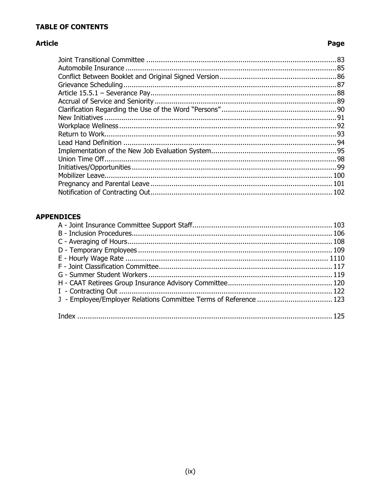# **Article**

# Page

# **APPENDICES**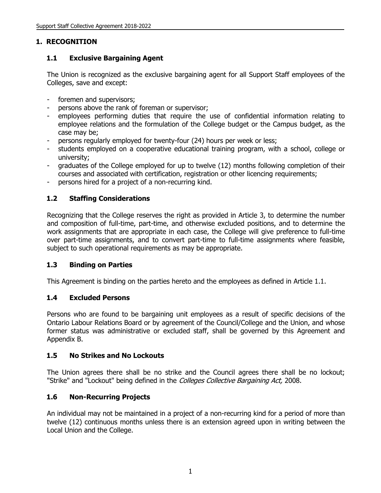# **1. RECOGNITION**

# **1.1 Exclusive Bargaining Agent**

The Union is recognized as the exclusive bargaining agent for all Support Staff employees of the Colleges, save and except:

- foremen and supervisors;
- persons above the rank of foreman or supervisor;
- employees performing duties that require the use of confidential information relating to employee relations and the formulation of the College budget or the Campus budget, as the case may be;
- persons regularly employed for twenty-four (24) hours per week or less;
- students employed on a cooperative educational training program, with a school, college or university;
- graduates of the College employed for up to twelve (12) months following completion of their courses and associated with certification, registration or other licencing requirements;
- persons hired for a project of a non-recurring kind.

# **1.2 Staffing Considerations**

Recognizing that the College reserves the right as provided in Article 3, to determine the number and composition of full-time, part-time, and otherwise excluded positions, and to determine the work assignments that are appropriate in each case, the College will give preference to full-time over part-time assignments, and to convert part-time to full-time assignments where feasible, subject to such operational requirements as may be appropriate.

#### **1.3 Binding on Parties**

This Agreement is binding on the parties hereto and the employees as defined in Article 1.1.

#### **1.4 Excluded Persons**

Persons who are found to be bargaining unit employees as a result of specific decisions of the Ontario Labour Relations Board or by agreement of the Council/College and the Union, and whose former status was administrative or excluded staff, shall be governed by this Agreement and Appendix B.

#### **1.5 No Strikes and No Lockouts**

The Union agrees there shall be no strike and the Council agrees there shall be no lockout; "Strike" and "Lockout" being defined in the *Colleges Collective Bargaining Act*, 2008.

# **1.6 Non-Recurring Projects**

An individual may not be maintained in a project of a non-recurring kind for a period of more than twelve (12) continuous months unless there is an extension agreed upon in writing between the Local Union and the College.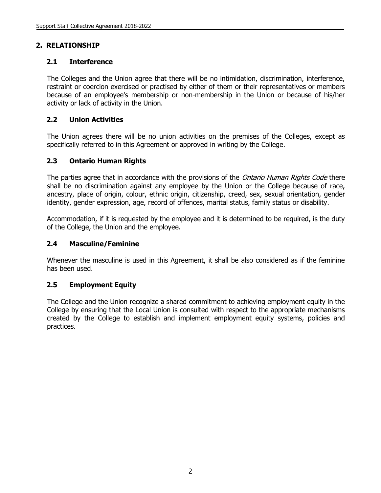# **2. RELATIONSHIP**

# **2.1 Interference**

The Colleges and the Union agree that there will be no intimidation, discrimination, interference, restraint or coercion exercised or practised by either of them or their representatives or members because of an employee's membership or non-membership in the Union or because of his/her activity or lack of activity in the Union.

#### **2.2 Union Activities**

The Union agrees there will be no union activities on the premises of the Colleges, except as specifically referred to in this Agreement or approved in writing by the College.

#### **2.3 Ontario Human Rights**

The parties agree that in accordance with the provisions of the *Ontario Human Rights Code* there shall be no discrimination against any employee by the Union or the College because of race, ancestry, place of origin, colour, ethnic origin, citizenship, creed, sex, sexual orientation, gender identity, gender expression, age, record of offences, marital status, family status or disability.

Accommodation, if it is requested by the employee and it is determined to be required, is the duty of the College, the Union and the employee.

#### **2.4 Masculine/Feminine**

Whenever the masculine is used in this Agreement, it shall be also considered as if the feminine has been used.

#### **2.5 Employment Equity**

The College and the Union recognize a shared commitment to achieving employment equity in the College by ensuring that the Local Union is consulted with respect to the appropriate mechanisms created by the College to establish and implement employment equity systems, policies and practices.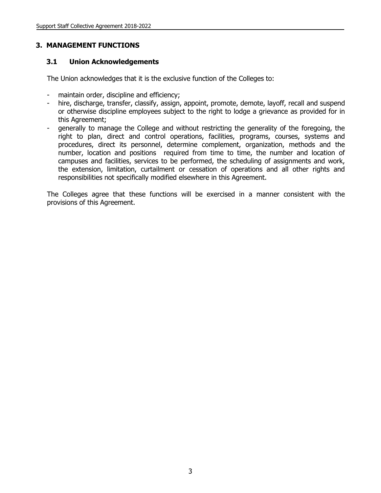#### **3. MANAGEMENT FUNCTIONS**

#### **3.1 Union Acknowledgements**

The Union acknowledges that it is the exclusive function of the Colleges to:

- maintain order, discipline and efficiency;
- hire, discharge, transfer, classify, assign, appoint, promote, demote, layoff, recall and suspend or otherwise discipline employees subject to the right to lodge a grievance as provided for in this Agreement;
- generally to manage the College and without restricting the generality of the foregoing, the right to plan, direct and control operations, facilities, programs, courses, systems and procedures, direct its personnel, determine complement, organization, methods and the number, location and positions required from time to time, the number and location of campuses and facilities, services to be performed, the scheduling of assignments and work, the extension, limitation, curtailment or cessation of operations and all other rights and responsibilities not specifically modified elsewhere in this Agreement.

The Colleges agree that these functions will be exercised in a manner consistent with the provisions of this Agreement.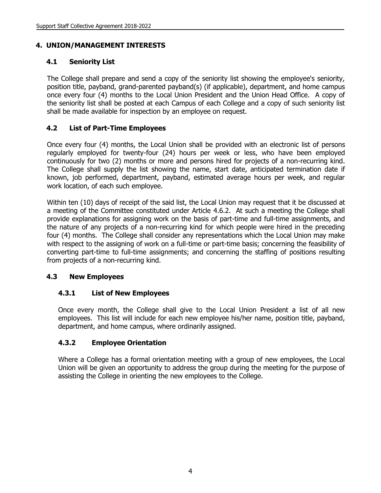# **4. UNION/MANAGEMENT INTERESTS**

# **4.1 Seniority List**

The College shall prepare and send a copy of the seniority list showing the employee's seniority, position title, payband, grand-parented payband(s) (if applicable), department, and home campus once every four (4) months to the Local Union President and the Union Head Office. A copy of the seniority list shall be posted at each Campus of each College and a copy of such seniority list shall be made available for inspection by an employee on request.

# **4.2 List of Part-Time Employees**

Once every four (4) months, the Local Union shall be provided with an electronic list of persons regularly employed for twenty-four (24) hours per week or less, who have been employed continuously for two (2) months or more and persons hired for projects of a non-recurring kind. The College shall supply the list showing the name, start date, anticipated termination date if known, job performed, department, payband, estimated average hours per week, and regular work location, of each such employee.

Within ten (10) days of receipt of the said list, the Local Union may request that it be discussed at a meeting of the Committee constituted under Article 4.6.2. At such a meeting the College shall provide explanations for assigning work on the basis of part-time and full-time assignments, and the nature of any projects of a non-recurring kind for which people were hired in the preceding four (4) months. The College shall consider any representations which the Local Union may make with respect to the assigning of work on a full-time or part-time basis; concerning the feasibility of converting part-time to full-time assignments; and concerning the staffing of positions resulting from projects of a non-recurring kind.

# **4.3 New Employees**

# **4.3.1 List of New Employees**

Once every month, the College shall give to the Local Union President a list of all new employees. This list will include for each new employee his/her name, position title, payband, department, and home campus, where ordinarily assigned.

# **4.3.2 Employee Orientation**

Where a College has a formal orientation meeting with a group of new employees, the Local Union will be given an opportunity to address the group during the meeting for the purpose of assisting the College in orienting the new employees to the College.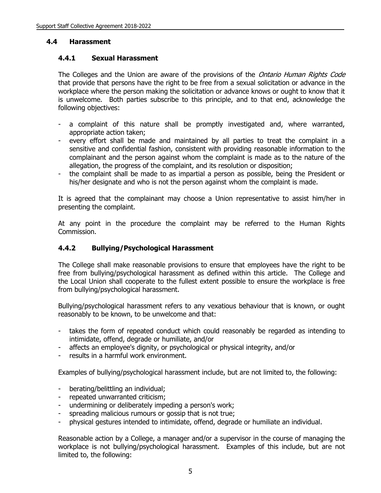#### **4.4 Harassment**

#### **4.4.1 Sexual Harassment**

The Colleges and the Union are aware of the provisions of the Ontario Human Rights Code that provide that persons have the right to be free from a sexual solicitation or advance in the workplace where the person making the solicitation or advance knows or ought to know that it is unwelcome. Both parties subscribe to this principle, and to that end, acknowledge the following objectives:

- a complaint of this nature shall be promptly investigated and, where warranted, appropriate action taken;
- every effort shall be made and maintained by all parties to treat the complaint in a sensitive and confidential fashion, consistent with providing reasonable information to the complainant and the person against whom the complaint is made as to the nature of the allegation, the progress of the complaint, and its resolution or disposition;
- the complaint shall be made to as impartial a person as possible, being the President or his/her designate and who is not the person against whom the complaint is made.

It is agreed that the complainant may choose a Union representative to assist him/her in presenting the complaint.

At any point in the procedure the complaint may be referred to the Human Rights Commission.

#### **4.4.2 Bullying/Psychological Harassment**

The College shall make reasonable provisions to ensure that employees have the right to be free from bullying/psychological harassment as defined within this article. The College and the Local Union shall cooperate to the fullest extent possible to ensure the workplace is free from bullying/psychological harassment.

Bullying/psychological harassment refers to any vexatious behaviour that is known, or ought reasonably to be known, to be unwelcome and that:

- takes the form of repeated conduct which could reasonably be regarded as intending to intimidate, offend, degrade or humiliate, and/or
- affects an employee's dignity, or psychological or physical integrity, and/or
- results in a harmful work environment.

Examples of bullying/psychological harassment include, but are not limited to, the following:

- berating/belittling an individual;
- repeated unwarranted criticism;
- undermining or deliberately impeding a person's work;
- spreading malicious rumours or gossip that is not true;
- physical gestures intended to intimidate, offend, degrade or humiliate an individual.

Reasonable action by a College, a manager and/or a supervisor in the course of managing the workplace is not bullying/psychological harassment. Examples of this include, but are not limited to, the following: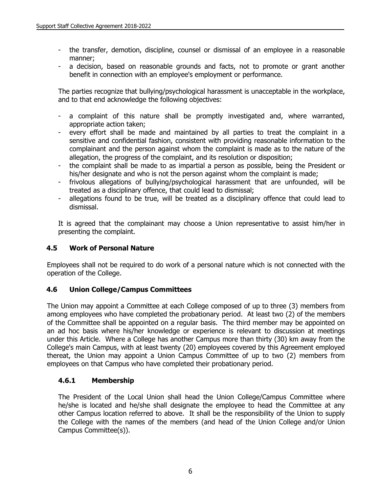- the transfer, demotion, discipline, counsel or dismissal of an employee in a reasonable manner;
- a decision, based on reasonable grounds and facts, not to promote or grant another benefit in connection with an employee's employment or performance.

The parties recognize that bullying/psychological harassment is unacceptable in the workplace, and to that end acknowledge the following objectives:

- a complaint of this nature shall be promptly investigated and, where warranted, appropriate action taken;
- every effort shall be made and maintained by all parties to treat the complaint in a sensitive and confidential fashion, consistent with providing reasonable information to the complainant and the person against whom the complaint is made as to the nature of the allegation, the progress of the complaint, and its resolution or disposition;
- the complaint shall be made to as impartial a person as possible, being the President or his/her designate and who is not the person against whom the complaint is made;
- frivolous allegations of bullying/psychological harassment that are unfounded, will be treated as a disciplinary offence, that could lead to dismissal;
- allegations found to be true, will be treated as a disciplinary offence that could lead to dismissal.

It is agreed that the complainant may choose a Union representative to assist him/her in presenting the complaint.

#### **4.5 Work of Personal Nature**

Employees shall not be required to do work of a personal nature which is not connected with the operation of the College.

#### **4.6 Union College/Campus Committees**

The Union may appoint a Committee at each College composed of up to three (3) members from among employees who have completed the probationary period. At least two (2) of the members of the Committee shall be appointed on a regular basis. The third member may be appointed on an ad hoc basis where his/her knowledge or experience is relevant to discussion at meetings under this Article. Where a College has another Campus more than thirty (30) km away from the College's main Campus, with at least twenty (20) employees covered by this Agreement employed thereat, the Union may appoint a Union Campus Committee of up to two (2) members from employees on that Campus who have completed their probationary period.

#### **4.6.1 Membership**

The President of the Local Union shall head the Union College/Campus Committee where he/she is located and he/she shall designate the employee to head the Committee at any other Campus location referred to above. It shall be the responsibility of the Union to supply the College with the names of the members (and head of the Union College and/or Union Campus Committee(s)).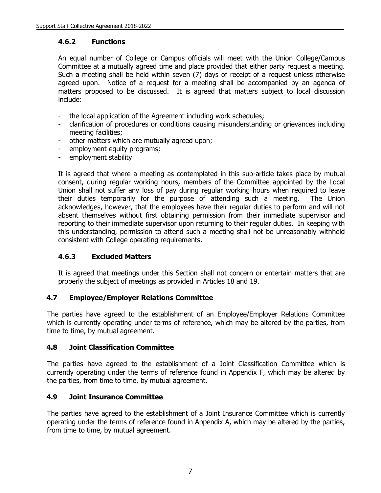#### **4.6.2 Functions**

An equal number of College or Campus officials will meet with the Union College/Campus Committee at a mutually agreed time and place provided that either party request a meeting. Such a meeting shall be held within seven (7) days of receipt of a request unless otherwise agreed upon. Notice of a request for a meeting shall be accompanied by an agenda of matters proposed to be discussed. It is agreed that matters subject to local discussion include:

- the local application of the Agreement including work schedules;
- clarification of procedures or conditions causing misunderstanding or grievances including meeting facilities;
- other matters which are mutually agreed upon;
- employment equity programs;
- employment stability

It is agreed that where a meeting as contemplated in this sub-article takes place by mutual consent, during regular working hours, members of the Committee appointed by the Local Union shall not suffer any loss of pay during regular working hours when required to leave their duties temporarily for the purpose of attending such a meeting. The Union acknowledges, however, that the employees have their regular duties to perform and will not absent themselves without first obtaining permission from their immediate supervisor and reporting to their immediate supervisor upon returning to their regular duties. In keeping with this understanding, permission to attend such a meeting shall not be unreasonably withheld consistent with College operating requirements.

# **4.6.3 Excluded Matters**

It is agreed that meetings under this Section shall not concern or entertain matters that are properly the subject of meetings as provided in Articles 18 and 19.

#### **4.7 Employee/Employer Relations Committee**

The parties have agreed to the establishment of an Employee/Employer Relations Committee which is currently operating under terms of reference, which may be altered by the parties, from time to time, by mutual agreement.

# **4.8 Joint Classification Committee**

The parties have agreed to the establishment of a Joint Classification Committee which is currently operating under the terms of reference found in Appendix F, which may be altered by the parties, from time to time, by mutual agreement.

# **4.9 Joint Insurance Committee**

The parties have agreed to the establishment of a Joint Insurance Committee which is currently operating under the terms of reference found in Appendix A, which may be altered by the parties, from time to time, by mutual agreement.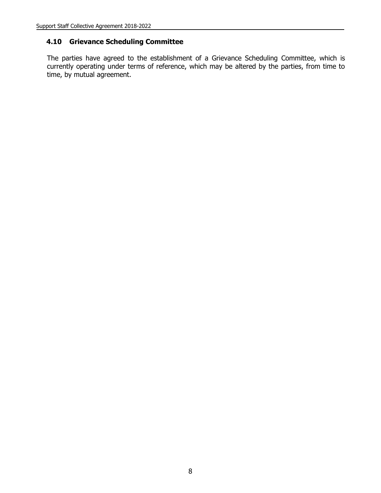#### **4.10 Grievance Scheduling Committee**

The parties have agreed to the establishment of a Grievance Scheduling Committee, which is currently operating under terms of reference, which may be altered by the parties, from time to time, by mutual agreement.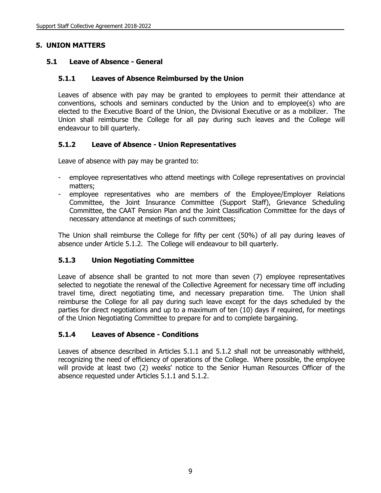#### **5. UNION MATTERS**

#### **5.1 Leave of Absence - General**

#### **5.1.1 Leaves of Absence Reimbursed by the Union**

Leaves of absence with pay may be granted to employees to permit their attendance at conventions, schools and seminars conducted by the Union and to employee(s) who are elected to the Executive Board of the Union, the Divisional Executive or as a mobilizer. The Union shall reimburse the College for all pay during such leaves and the College will endeavour to bill quarterly.

#### **5.1.2 Leave of Absence - Union Representatives**

Leave of absence with pay may be granted to:

- employee representatives who attend meetings with College representatives on provincial matters;
- employee representatives who are members of the Employee/Employer Relations Committee, the Joint Insurance Committee (Support Staff), Grievance Scheduling Committee, the CAAT Pension Plan and the Joint Classification Committee for the days of necessary attendance at meetings of such committees;

The Union shall reimburse the College for fifty per cent (50%) of all pay during leaves of absence under Article 5.1.2. The College will endeavour to bill quarterly.

#### **5.1.3 Union Negotiating Committee**

Leave of absence shall be granted to not more than seven (7) employee representatives selected to negotiate the renewal of the Collective Agreement for necessary time off including travel time, direct negotiating time, and necessary preparation time. The Union shall reimburse the College for all pay during such leave except for the days scheduled by the parties for direct negotiations and up to a maximum of ten (10) days if required, for meetings of the Union Negotiating Committee to prepare for and to complete bargaining.

#### **5.1.4 Leaves of Absence - Conditions**

Leaves of absence described in Articles 5.1.1 and 5.1.2 shall not be unreasonably withheld, recognizing the need of efficiency of operations of the College. Where possible, the employee will provide at least two (2) weeks' notice to the Senior Human Resources Officer of the absence requested under Articles 5.1.1 and 5.1.2.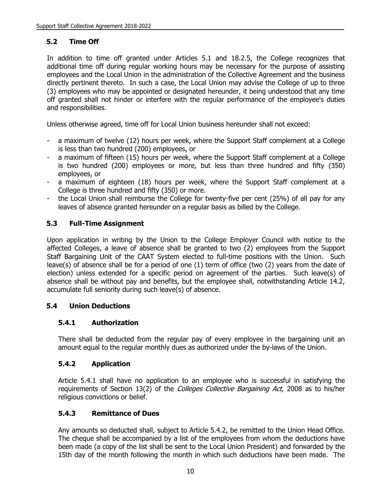# **5.2 Time Off**

In addition to time off granted under Articles 5.1 and 18.2.5, the College recognizes that additional time off during regular working hours may be necessary for the purpose of assisting employees and the Local Union in the administration of the Collective Agreement and the business directly pertinent thereto. In such a case, the Local Union may advise the College of up to three (3) employees who may be appointed or designated hereunder, it being understood that any time off granted shall not hinder or interfere with the regular performance of the employee's duties and responsibilities.

Unless otherwise agreed, time off for Local Union business hereunder shall not exceed:

- a maximum of twelve (12) hours per week, where the Support Staff complement at a College is less than two hundred (200) employees, or
- a maximum of fifteen (15) hours per week, where the Support Staff complement at a College is two hundred (200) employees or more, but less than three hundred and fifty (350) employees, or
- a maximum of eighteen (18) hours per week, where the Support Staff complement at a College is three hundred and fifty (350) or more.
- the Local Union shall reimburse the College for twenty-five per cent (25%) of all pay for any leaves of absence granted hereunder on a regular basis as billed by the College.

#### **5.3 Full-Time Assignment**

Upon application in writing by the Union to the College Employer Council with notice to the affected Colleges, a leave of absence shall be granted to two (2) employees from the Support Staff Bargaining Unit of the CAAT System elected to full-time positions with the Union. Such leave(s) of absence shall be for a period of one (1) term of office (two (2) years from the date of election) unless extended for a specific period on agreement of the parties. Such leave(s) of absence shall be without pay and benefits, but the employee shall, notwithstanding Article 14.2, accumulate full seniority during such leave(s) of absence.

#### **5.4 Union Deductions**

#### **5.4.1 Authorization**

There shall be deducted from the regular pay of every employee in the bargaining unit an amount equal to the regular monthly dues as authorized under the by-laws of the Union.

#### **5.4.2 Application**

Article 5.4.1 shall have no application to an employee who is successful in satisfying the requirements of Section 13(2) of the *Colleges Collective Bargaining Act*, 2008 as to his/her religious convictions or belief.

#### **5.4.3 Remittance of Dues**

Any amounts so deducted shall, subject to Article 5.4.2, be remitted to the Union Head Office. The cheque shall be accompanied by a list of the employees from whom the deductions have been made (a copy of the list shall be sent to the Local Union President) and forwarded by the 15th day of the month following the month in which such deductions have been made. The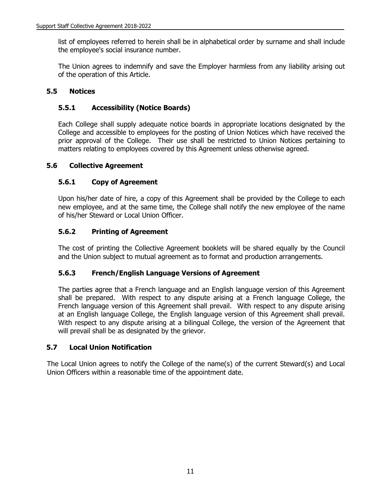list of employees referred to herein shall be in alphabetical order by surname and shall include the employee's social insurance number.

The Union agrees to indemnify and save the Employer harmless from any liability arising out of the operation of this Article.

#### **5.5 Notices**

#### **5.5.1 Accessibility (Notice Boards)**

Each College shall supply adequate notice boards in appropriate locations designated by the College and accessible to employees for the posting of Union Notices which have received the prior approval of the College. Their use shall be restricted to Union Notices pertaining to matters relating to employees covered by this Agreement unless otherwise agreed.

#### **5.6 Collective Agreement**

#### **5.6.1 Copy of Agreement**

Upon his/her date of hire, a copy of this Agreement shall be provided by the College to each new employee, and at the same time, the College shall notify the new employee of the name of his/her Steward or Local Union Officer.

#### **5.6.2 Printing of Agreement**

The cost of printing the Collective Agreement booklets will be shared equally by the Council and the Union subject to mutual agreement as to format and production arrangements.

#### **5.6.3 French/English Language Versions of Agreement**

The parties agree that a French language and an English language version of this Agreement shall be prepared. With respect to any dispute arising at a French language College, the French language version of this Agreement shall prevail. With respect to any dispute arising at an English language College, the English language version of this Agreement shall prevail. With respect to any dispute arising at a bilingual College, the version of the Agreement that will prevail shall be as designated by the grievor.

#### **5.7 Local Union Notification**

The Local Union agrees to notify the College of the name(s) of the current Steward(s) and Local Union Officers within a reasonable time of the appointment date.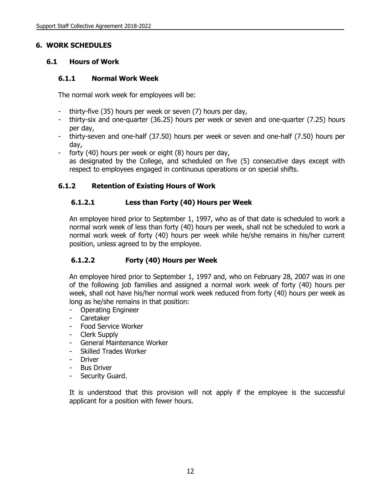#### **6. WORK SCHEDULES**

# **6.1 Hours of Work**

#### **6.1.1 Normal Work Week**

The normal work week for employees will be:

- thirty-five (35) hours per week or seven (7) hours per day,
- thirty-six and one-quarter (36.25) hours per week or seven and one-quarter (7.25) hours per day,
- thirty-seven and one-half (37.50) hours per week or seven and one-half (7.50) hours per day,
- forty (40) hours per week or eight (8) hours per day, as designated by the College, and scheduled on five (5) consecutive days except with respect to employees engaged in continuous operations or on special shifts.

# **6.1.2 Retention of Existing Hours of Work**

# **6.1.2.1 Less than Forty (40) Hours per Week**

An employee hired prior to September 1, 1997, who as of that date is scheduled to work a normal work week of less than forty (40) hours per week, shall not be scheduled to work a normal work week of forty (40) hours per week while he/she remains in his/her current position, unless agreed to by the employee.

# **6.1.2.2 Forty (40) Hours per Week**

An employee hired prior to September 1, 1997 and, who on February 28, 2007 was in one of the following job families and assigned a normal work week of forty (40) hours per week, shall not have his/her normal work week reduced from forty (40) hours per week as long as he/she remains in that position:

- Operating Engineer
- Caretaker
- Food Service Worker
- Clerk Supply
- General Maintenance Worker
- Skilled Trades Worker
- Driver
- **Bus Driver**
- Security Guard.

It is understood that this provision will not apply if the employee is the successful applicant for a position with fewer hours.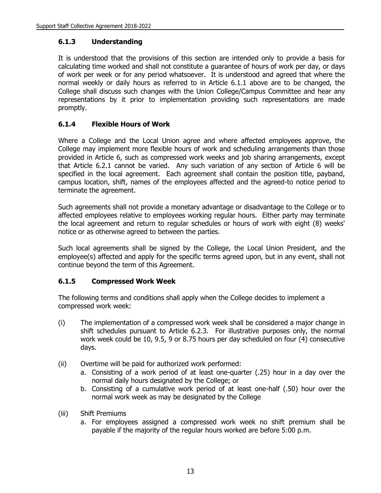# **6.1.3 Understanding**

It is understood that the provisions of this section are intended only to provide a basis for calculating time worked and shall not constitute a guarantee of hours of work per day, or days of work per week or for any period whatsoever. It is understood and agreed that where the normal weekly or daily hours as referred to in Article 6.1.1 above are to be changed, the College shall discuss such changes with the Union College/Campus Committee and hear any representations by it prior to implementation providing such representations are made promptly.

# **6.1.4 Flexible Hours of Work**

Where a College and the Local Union agree and where affected employees approve, the College may implement more flexible hours of work and scheduling arrangements than those provided in Article 6, such as compressed work weeks and job sharing arrangements, except that Article 6.2.1 cannot be varied. Any such variation of any section of Article 6 will be specified in the local agreement. Each agreement shall contain the position title, payband, campus location, shift, names of the employees affected and the agreed-to notice period to terminate the agreement.

Such agreements shall not provide a monetary advantage or disadvantage to the College or to affected employees relative to employees working regular hours. Either party may terminate the local agreement and return to regular schedules or hours of work with eight (8) weeks' notice or as otherwise agreed to between the parties.

Such local agreements shall be signed by the College, the Local Union President, and the employee(s) affected and apply for the specific terms agreed upon, but in any event, shall not continue beyond the term of this Agreement.

#### **6.1.5 Compressed Work Week**

The following terms and conditions shall apply when the College decides to implement a compressed work week:

- (i) The implementation of a compressed work week shall be considered a major change in shift schedules pursuant to Article 6.2.3. For illustrative purposes only, the normal work week could be 10, 9.5, 9 or 8.75 hours per day scheduled on four (4) consecutive days.
- (ii) Overtime will be paid for authorized work performed:
	- a. Consisting of a work period of at least one-quarter (.25) hour in a day over the normal daily hours designated by the College; or
	- b. Consisting of a cumulative work period of at least one-half (.50) hour over the normal work week as may be designated by the College
- (iii) Shift Premiums
	- a. For employees assigned a compressed work week no shift premium shall be payable if the majority of the regular hours worked are before 5:00 p.m.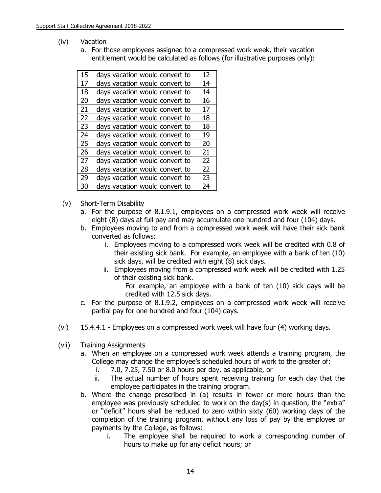- (iv) Vacation
	- a. For those employees assigned to a compressed work week, their vacation entitlement would be calculated as follows (for illustrative purposes only):

| 15 | days vacation would convert to | 12 |
|----|--------------------------------|----|
| 17 | days vacation would convert to | 14 |
| 18 | days vacation would convert to | 14 |
| 20 | days vacation would convert to | 16 |
| 21 | days vacation would convert to | 17 |
| 22 | days vacation would convert to | 18 |
| 23 | days vacation would convert to | 18 |
| 24 | days vacation would convert to | 19 |
| 25 | days vacation would convert to | 20 |
| 26 | days vacation would convert to | 21 |
| 27 | days vacation would convert to | 22 |
| 28 | days vacation would convert to | 22 |
| 29 | days vacation would convert to | 23 |
| 30 | days vacation would convert to | 24 |

- (v) Short-Term Disability
	- a. For the purpose of 8.1.9.1, employees on a compressed work week will receive eight (8) days at full pay and may accumulate one hundred and four (104) days.
	- b. Employees moving to and from a compressed work week will have their sick bank converted as follows:
		- i. Employees moving to a compressed work week will be credited with 0.8 of their existing sick bank. For example, an employee with a bank of ten (10) sick days, will be credited with eight (8) sick days.
		- ii. Employees moving from a compressed work week will be credited with 1.25 of their existing sick bank.
			- For example, an employee with a bank of ten (10) sick days will be credited with 12.5 sick days.
	- c. For the purpose of 8.1.9.2, employees on a compressed work week will receive partial pay for one hundred and four (104) days.
- (vi) 15.4.4.1 Employees on a compressed work week will have four (4) working days.
- (vii) Training Assignments
	- a. When an employee on a compressed work week attends a training program, the College may change the employee's scheduled hours of work to the greater of:
		- i. 7.0, 7.25, 7.50 or 8.0 hours per day, as applicable, or
		- ii. The actual number of hours spent receiving training for each day that the employee participates in the training program.
	- b. Where the change prescribed in (a) results in fewer or more hours than the employee was previously scheduled to work on the day(s) in question, the "extra" or "deficit" hours shall be reduced to zero within sixty (60) working days of the completion of the training program, without any loss of pay by the employee or payments by the College, as follows:
		- i. The employee shall be required to work a corresponding number of hours to make up for any deficit hours; or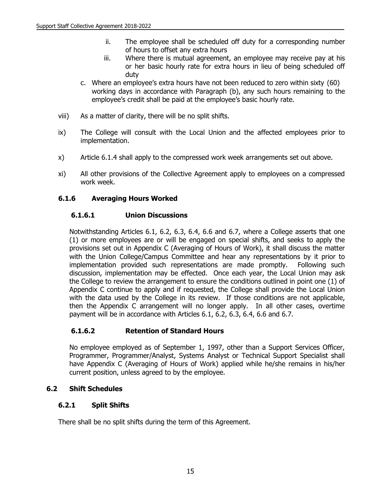- ii. The employee shall be scheduled off duty for a corresponding number of hours to offset any extra hours
- iii. Where there is mutual agreement, an employee may receive pay at his or her basic hourly rate for extra hours in lieu of being scheduled off duty
- c. Where an employee's extra hours have not been reduced to zero within sixty (60) working days in accordance with Paragraph (b), any such hours remaining to the employee's credit shall be paid at the employee's basic hourly rate.
- viii) As a matter of clarity, there will be no split shifts.
- ix) The College will consult with the Local Union and the affected employees prior to implementation.
- x) Article 6.1.4 shall apply to the compressed work week arrangements set out above.
- xi) All other provisions of the Collective Agreement apply to employees on a compressed work week.

#### **6.1.6 Averaging Hours Worked**

#### **6.1.6.1 Union Discussions**

Notwithstanding Articles 6.1, 6.2, 6.3, 6.4, 6.6 and 6.7, where a College asserts that one (1) or more employees are or will be engaged on special shifts, and seeks to apply the provisions set out in Appendix C (Averaging of Hours of Work), it shall discuss the matter with the Union College/Campus Committee and hear any representations by it prior to implementation provided such representations are made promptly. Following such discussion, implementation may be effected. Once each year, the Local Union may ask the College to review the arrangement to ensure the conditions outlined in point one (1) of Appendix C continue to apply and if requested, the College shall provide the Local Union with the data used by the College in its review. If those conditions are not applicable, then the Appendix C arrangement will no longer apply. In all other cases, overtime payment will be in accordance with Articles 6.1, 6.2, 6.3, 6.4, 6.6 and 6.7.

#### **6.1.6.2 Retention of Standard Hours**

No employee employed as of September 1, 1997, other than a Support Services Officer, Programmer, Programmer/Analyst, Systems Analyst or Technical Support Specialist shall have Appendix C (Averaging of Hours of Work) applied while he/she remains in his/her current position, unless agreed to by the employee.

#### **6.2 Shift Schedules**

#### **6.2.1 Split Shifts**

There shall be no split shifts during the term of this Agreement.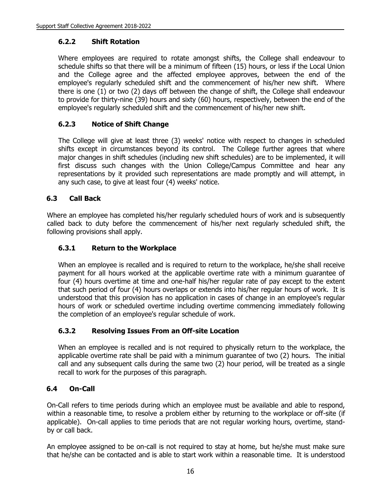# **6.2.2 Shift Rotation**

Where employees are required to rotate amongst shifts, the College shall endeavour to schedule shifts so that there will be a minimum of fifteen (15) hours, or less if the Local Union and the College agree and the affected employee approves, between the end of the employee's regularly scheduled shift and the commencement of his/her new shift. Where there is one (1) or two (2) days off between the change of shift, the College shall endeavour to provide for thirty-nine (39) hours and sixty (60) hours, respectively, between the end of the employee's regularly scheduled shift and the commencement of his/her new shift.

# **6.2.3 Notice of Shift Change**

The College will give at least three (3) weeks' notice with respect to changes in scheduled shifts except in circumstances beyond its control. The College further agrees that where major changes in shift schedules (including new shift schedules) are to be implemented, it will first discuss such changes with the Union College/Campus Committee and hear any representations by it provided such representations are made promptly and will attempt, in any such case, to give at least four (4) weeks' notice.

#### **6.3 Call Back**

Where an employee has completed his/her regularly scheduled hours of work and is subsequently called back to duty before the commencement of his/her next regularly scheduled shift, the following provisions shall apply.

#### **6.3.1 Return to the Workplace**

When an employee is recalled and is required to return to the workplace, he/she shall receive payment for all hours worked at the applicable overtime rate with a minimum guarantee of four (4) hours overtime at time and one-half his/her regular rate of pay except to the extent that such period of four (4) hours overlaps or extends into his/her regular hours of work. It is understood that this provision has no application in cases of change in an employee's regular hours of work or scheduled overtime including overtime commencing immediately following the completion of an employee's regular schedule of work.

#### **6.3.2 Resolving Issues From an Off-site Location**

When an employee is recalled and is not required to physically return to the workplace, the applicable overtime rate shall be paid with a minimum guarantee of two (2) hours. The initial call and any subsequent calls during the same two (2) hour period, will be treated as a single recall to work for the purposes of this paragraph.

#### **6.4 On-Call**

On-Call refers to time periods during which an employee must be available and able to respond, within a reasonable time, to resolve a problem either by returning to the workplace or off-site (if applicable). On-call applies to time periods that are not regular working hours, overtime, standby or call back.

An employee assigned to be on-call is not required to stay at home, but he/she must make sure that he/she can be contacted and is able to start work within a reasonable time. It is understood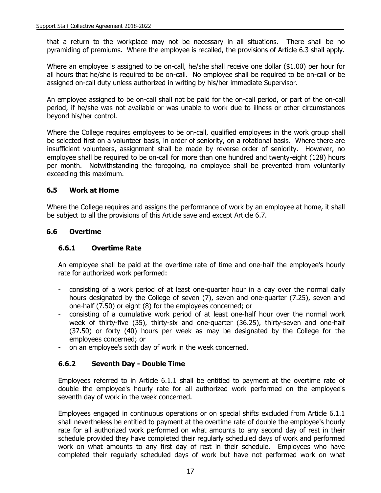that a return to the workplace may not be necessary in all situations. There shall be no pyramiding of premiums. Where the employee is recalled, the provisions of Article 6.3 shall apply.

Where an employee is assigned to be on-call, he/she shall receive one dollar (\$1.00) per hour for all hours that he/she is required to be on-call. No employee shall be required to be on-call or be assigned on-call duty unless authorized in writing by his/her immediate Supervisor.

An employee assigned to be on-call shall not be paid for the on-call period, or part of the on-call period, if he/she was not available or was unable to work due to illness or other circumstances beyond his/her control.

Where the College requires employees to be on-call, qualified employees in the work group shall be selected first on a volunteer basis, in order of seniority, on a rotational basis. Where there are insufficient volunteers, assignment shall be made by reverse order of seniority. However, no employee shall be required to be on-call for more than one hundred and twenty-eight (128) hours per month. Notwithstanding the foregoing, no employee shall be prevented from voluntarily exceeding this maximum.

#### **6.5 Work at Home**

Where the College requires and assigns the performance of work by an employee at home, it shall be subject to all the provisions of this Article save and except Article 6.7.

#### **6.6 Overtime**

#### **6.6.1 Overtime Rate**

An employee shall be paid at the overtime rate of time and one-half the employee's hourly rate for authorized work performed:

- consisting of a work period of at least one-quarter hour in a day over the normal daily hours designated by the College of seven (7), seven and one-quarter (7.25), seven and one-half (7.50) or eight (8) for the employees concerned; or
- consisting of a cumulative work period of at least one-half hour over the normal work week of thirty-five (35), thirty-six and one-quarter (36.25), thirty-seven and one-half (37.50) or forty (40) hours per week as may be designated by the College for the employees concerned; or
- on an employee's sixth day of work in the week concerned.

# **6.6.2 Seventh Day - Double Time**

Employees referred to in Article 6.1.1 shall be entitled to payment at the overtime rate of double the employee's hourly rate for all authorized work performed on the employee's seventh day of work in the week concerned.

Employees engaged in continuous operations or on special shifts excluded from Article 6.1.1 shall nevertheless be entitled to payment at the overtime rate of double the employee's hourly rate for all authorized work performed on what amounts to any second day of rest in their schedule provided they have completed their regularly scheduled days of work and performed work on what amounts to any first day of rest in their schedule. Employees who have completed their regularly scheduled days of work but have not performed work on what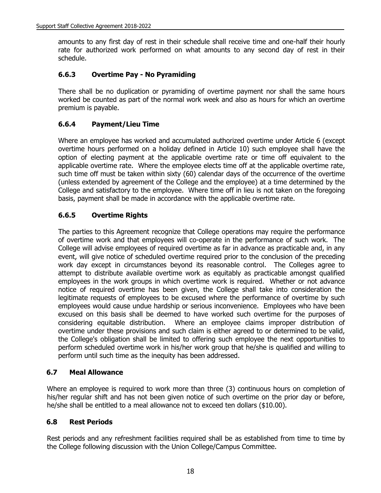amounts to any first day of rest in their schedule shall receive time and one-half their hourly rate for authorized work performed on what amounts to any second day of rest in their schedule.

# **6.6.3 Overtime Pay - No Pyramiding**

There shall be no duplication or pyramiding of overtime payment nor shall the same hours worked be counted as part of the normal work week and also as hours for which an overtime premium is payable.

# **6.6.4 Payment/Lieu Time**

Where an employee has worked and accumulated authorized overtime under Article 6 (except overtime hours performed on a holiday defined in Article 10) such employee shall have the option of electing payment at the applicable overtime rate or time off equivalent to the applicable overtime rate. Where the employee elects time off at the applicable overtime rate, such time off must be taken within sixty (60) calendar days of the occurrence of the overtime (unless extended by agreement of the College and the employee) at a time determined by the College and satisfactory to the employee. Where time off in lieu is not taken on the foregoing basis, payment shall be made in accordance with the applicable overtime rate.

# **6.6.5 Overtime Rights**

The parties to this Agreement recognize that College operations may require the performance of overtime work and that employees will co-operate in the performance of such work. The College will advise employees of required overtime as far in advance as practicable and, in any event, will give notice of scheduled overtime required prior to the conclusion of the preceding work day except in circumstances beyond its reasonable control. The Colleges agree to attempt to distribute available overtime work as equitably as practicable amongst qualified employees in the work groups in which overtime work is required. Whether or not advance notice of required overtime has been given, the College shall take into consideration the legitimate requests of employees to be excused where the performance of overtime by such employees would cause undue hardship or serious inconvenience. Employees who have been excused on this basis shall be deemed to have worked such overtime for the purposes of considering equitable distribution. Where an employee claims improper distribution of overtime under these provisions and such claim is either agreed to or determined to be valid, the College's obligation shall be limited to offering such employee the next opportunities to perform scheduled overtime work in his/her work group that he/she is qualified and willing to perform until such time as the inequity has been addressed.

#### **6.7 Meal Allowance**

Where an employee is required to work more than three (3) continuous hours on completion of his/her regular shift and has not been given notice of such overtime on the prior day or before, he/she shall be entitled to a meal allowance not to exceed ten dollars (\$10.00).

#### **6.8 Rest Periods**

Rest periods and any refreshment facilities required shall be as established from time to time by the College following discussion with the Union College/Campus Committee.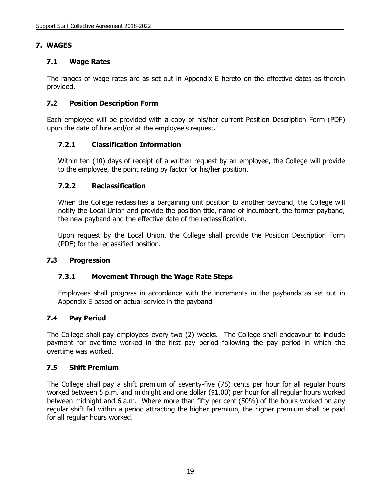# **7. WAGES**

#### **7.1 Wage Rates**

The ranges of wage rates are as set out in Appendix E hereto on the effective dates as therein provided.

#### **7.2 Position Description Form**

Each employee will be provided with a copy of his/her current Position Description Form (PDF) upon the date of hire and/or at the employee's request.

#### **7.2.1 Classification Information**

Within ten (10) days of receipt of a written request by an employee, the College will provide to the employee, the point rating by factor for his/her position.

#### **7.2.2 Reclassification**

When the College reclassifies a bargaining unit position to another payband, the College will notify the Local Union and provide the position title, name of incumbent, the former payband, the new payband and the effective date of the reclassification.

Upon request by the Local Union, the College shall provide the Position Description Form (PDF) for the reclassified position.

#### **7.3 Progression**

#### **7.3.1 Movement Through the Wage Rate Steps**

Employees shall progress in accordance with the increments in the paybands as set out in Appendix E based on actual service in the payband.

#### **7.4 Pay Period**

The College shall pay employees every two (2) weeks. The College shall endeavour to include payment for overtime worked in the first pay period following the pay period in which the overtime was worked.

#### **7.5 Shift Premium**

The College shall pay a shift premium of seventy-five (75) cents per hour for all regular hours worked between 5 p.m. and midnight and one dollar (\$1.00) per hour for all regular hours worked between midnight and 6 a.m. Where more than fifty per cent (50%) of the hours worked on any regular shift fall within a period attracting the higher premium, the higher premium shall be paid for all regular hours worked.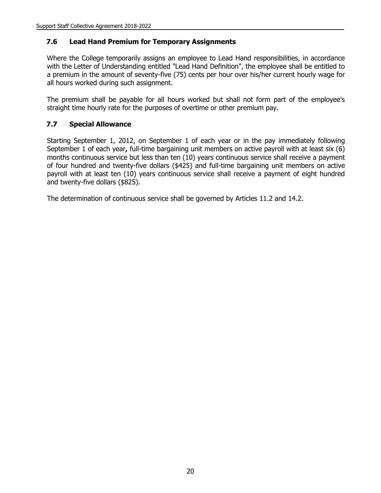#### **7.6 Lead Hand Premium for Temporary Assignments**

Where the College temporarily assigns an employee to Lead Hand responsibilities, in accordance with the Letter of Understanding entitled "Lead Hand Definition", the employee shall be entitled to a premium in the amount of seventy-five (75) cents per hour over his/her current hourly wage for all hours worked during such assignment.

The premium shall be payable for all hours worked but shall not form part of the employee's straight time hourly rate for the purposes of overtime or other premium pay.

#### **7.7 Special Allowance**

Starting September 1, 2012, on September 1 of each year or in the pay immediately following September 1 of each year**,** full-time bargaining unit members on active payroll with at least six (6) months continuous service but less than ten (10) years continuous service shall receive a payment of four hundred and twenty-five dollars (\$425) and full-time bargaining unit members on active payroll with at least ten (10) years continuous service shall receive a payment of eight hundred and twenty-five dollars (\$825).

The determination of continuous service shall be governed by Articles 11.2 and 14.2.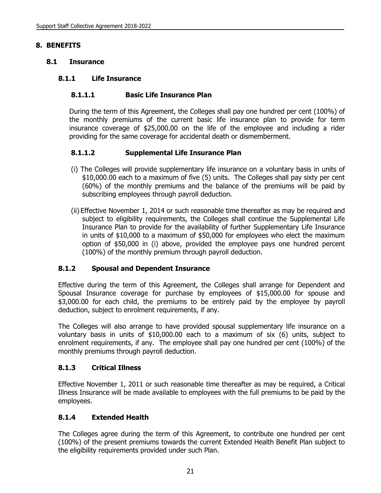#### **8. BENEFITS**

#### **8.1 Insurance**

#### **8.1.1 Life Insurance**

#### **8.1.1.1 Basic Life Insurance Plan**

During the term of this Agreement, the Colleges shall pay one hundred per cent (100%) of the monthly premiums of the current basic life insurance plan to provide for term insurance coverage of \$25,000.00 on the life of the employee and including a rider providing for the same coverage for accidental death or dismemberment.

#### **8.1.1.2 Supplemental Life Insurance Plan**

- (i) The Colleges will provide supplementary life insurance on a voluntary basis in units of \$10,000.00 each to a maximum of five (5) units. The Colleges shall pay sixty per cent (60%) of the monthly premiums and the balance of the premiums will be paid by subscribing employees through payroll deduction.
- (ii) Effective November 1, 2014 or such reasonable time thereafter as may be required and subject to eligibility requirements, the Colleges shall continue the Supplemental Life Insurance Plan to provide for the availability of further Supplementary Life Insurance in units of \$10,000 to a maximum of \$50,000 for employees who elect the maximum option of \$50,000 in (i) above, provided the employee pays one hundred percent (100%) of the monthly premium through payroll deduction.

#### **8.1.2 Spousal and Dependent Insurance**

Effective during the term of this Agreement, the Colleges shall arrange for Dependent and Spousal Insurance coverage for purchase by employees of \$15,000.00 for spouse and \$3,000.00 for each child, the premiums to be entirely paid by the employee by payroll deduction, subject to enrolment requirements, if any.

The Colleges will also arrange to have provided spousal supplementary life insurance on a voluntary basis in units of \$10,000.00 each to a maximum of six (6) units, subject to enrolment requirements, if any. The employee shall pay one hundred per cent (100%) of the monthly premiums through payroll deduction.

#### **8.1.3 Critical Illness**

Effective November 1, 2011 or such reasonable time thereafter as may be required, a Critical Illness Insurance will be made available to employees with the full premiums to be paid by the employees.

#### **8.1.4 Extended Health**

The Colleges agree during the term of this Agreement, to contribute one hundred per cent (100%) of the present premiums towards the current Extended Health Benefit Plan subject to the eligibility requirements provided under such Plan.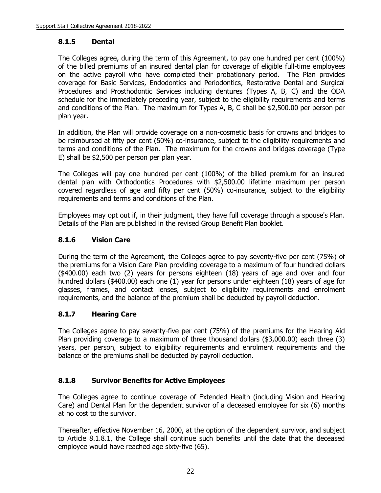#### **8.1.5 Dental**

The Colleges agree, during the term of this Agreement, to pay one hundred per cent (100%) of the billed premiums of an insured dental plan for coverage of eligible full-time employees on the active payroll who have completed their probationary period. The Plan provides coverage for Basic Services, Endodontics and Periodontics, Restorative Dental and Surgical Procedures and Prosthodontic Services including dentures (Types A, B, C) and the ODA schedule for the immediately preceding year, subject to the eligibility requirements and terms and conditions of the Plan. The maximum for Types A, B, C shall be \$2,500.00 per person per plan year.

In addition, the Plan will provide coverage on a non-cosmetic basis for crowns and bridges to be reimbursed at fifty per cent (50%) co-insurance, subject to the eligibility requirements and terms and conditions of the Plan. The maximum for the crowns and bridges coverage (Type E) shall be \$2,500 per person per plan year.

The Colleges will pay one hundred per cent (100%) of the billed premium for an insured dental plan with Orthodontics Procedures with \$2,500.00 lifetime maximum per person covered regardless of age and fifty per cent (50%) co-insurance, subject to the eligibility requirements and terms and conditions of the Plan.

Employees may opt out if, in their judgment, they have full coverage through a spouse's Plan. Details of the Plan are published in the revised Group Benefit Plan booklet.

# **8.1.6 Vision Care**

During the term of the Agreement, the Colleges agree to pay seventy-five per cent (75%) of the premiums for a Vision Care Plan providing coverage to a maximum of four hundred dollars (\$400.00) each two (2) years for persons eighteen (18) years of age and over and four hundred dollars (\$400.00) each one (1) year for persons under eighteen (18) years of age for glasses, frames, and contact lenses, subject to eligibility requirements and enrolment requirements, and the balance of the premium shall be deducted by payroll deduction.

# **8.1.7 Hearing Care**

The Colleges agree to pay seventy-five per cent (75%) of the premiums for the Hearing Aid Plan providing coverage to a maximum of three thousand dollars (\$3,000.00) each three (3) years, per person, subject to eligibility requirements and enrolment requirements and the balance of the premiums shall be deducted by payroll deduction.

#### **8.1.8 Survivor Benefits for Active Employees**

The Colleges agree to continue coverage of Extended Health (including Vision and Hearing Care) and Dental Plan for the dependent survivor of a deceased employee for six (6) months at no cost to the survivor.

Thereafter, effective November 16, 2000, at the option of the dependent survivor, and subject to Article 8.1.8.1, the College shall continue such benefits until the date that the deceased employee would have reached age sixty-five (65).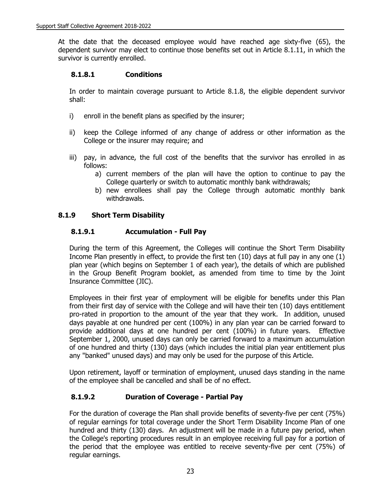At the date that the deceased employee would have reached age sixty-five (65), the dependent survivor may elect to continue those benefits set out in Article 8.1.11, in which the survivor is currently enrolled.

#### **8.1.8.1 Conditions**

In order to maintain coverage pursuant to Article 8.1.8, the eligible dependent survivor shall:

- i) enroll in the benefit plans as specified by the insurer;
- ii) keep the College informed of any change of address or other information as the College or the insurer may require; and
- iii) pay, in advance, the full cost of the benefits that the survivor has enrolled in as follows:
	- a) current members of the plan will have the option to continue to pay the College quarterly or switch to automatic monthly bank withdrawals;
	- b) new enrollees shall pay the College through automatic monthly bank withdrawals.

#### **8.1.9 Short Term Disability**

#### **8.1.9.1 Accumulation - Full Pay**

During the term of this Agreement, the Colleges will continue the Short Term Disability Income Plan presently in effect, to provide the first ten (10) days at full pay in any one (1) plan year (which begins on September 1 of each year), the details of which are published in the Group Benefit Program booklet, as amended from time to time by the Joint Insurance Committee (JIC).

Employees in their first year of employment will be eligible for benefits under this Plan from their first day of service with the College and will have their ten (10) days entitlement pro-rated in proportion to the amount of the year that they work. In addition, unused days payable at one hundred per cent (100%) in any plan year can be carried forward to provide additional days at one hundred per cent (100%) in future years. Effective September 1, 2000, unused days can only be carried forward to a maximum accumulation of one hundred and thirty (130) days (which includes the initial plan year entitlement plus any "banked" unused days) and may only be used for the purpose of this Article.

Upon retirement, layoff or termination of employment, unused days standing in the name of the employee shall be cancelled and shall be of no effect.

# **8.1.9.2 Duration of Coverage - Partial Pay**

For the duration of coverage the Plan shall provide benefits of seventy-five per cent (75%) of regular earnings for total coverage under the Short Term Disability Income Plan of one hundred and thirty (130) days. An adjustment will be made in a future pay period, when the College's reporting procedures result in an employee receiving full pay for a portion of the period that the employee was entitled to receive seventy-five per cent (75%) of regular earnings.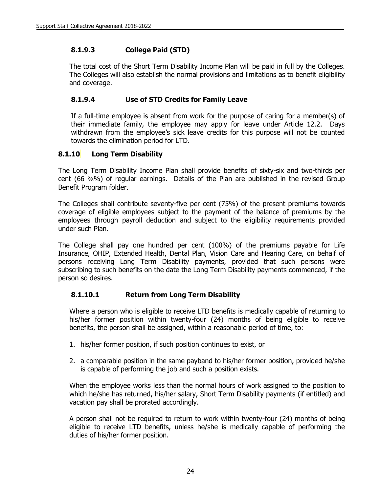# **8.1.9.3 College Paid (STD)**

The total cost of the Short Term Disability Income Plan will be paid in full by the Colleges. The Colleges will also establish the normal provisions and limitations as to benefit eligibility and coverage.

# **8.1.9.4 Use of STD Credits for Family Leave**

If a full-time employee is absent from work for the purpose of caring for a member(s) of their immediate family, the employee may apply for leave under Article 12.2. Days withdrawn from the employee's sick leave credits for this purpose will not be counted towards the elimination period for LTD.

# **8.1.10 Long Term Disability**

The Long Term Disability Income Plan shall provide benefits of sixty-six and two-thirds per cent (66  $\frac{2}{9}$ %) of regular earnings. Details of the Plan are published in the revised Group Benefit Program folder.

The Colleges shall contribute seventy-five per cent (75%) of the present premiums towards coverage of eligible employees subject to the payment of the balance of premiums by the employees through payroll deduction and subject to the eligibility requirements provided under such Plan.

The College shall pay one hundred per cent (100%) of the premiums payable for Life Insurance, OHIP, Extended Health, Dental Plan, Vision Care and Hearing Care, on behalf of persons receiving Long Term Disability payments, provided that such persons were subscribing to such benefits on the date the Long Term Disability payments commenced, if the person so desires.

# **8.1.10.1 Return from Long Term Disability**

Where a person who is eligible to receive LTD benefits is medically capable of returning to his/her former position within twenty-four (24) months of being eligible to receive benefits, the person shall be assigned, within a reasonable period of time, to:

- 1. his/her former position, if such position continues to exist, or
- 2. a comparable position in the same payband to his/her former position, provided he/she is capable of performing the job and such a position exists.

When the employee works less than the normal hours of work assigned to the position to which he/she has returned, his/her salary, Short Term Disability payments (if entitled) and vacation pay shall be prorated accordingly.

A person shall not be required to return to work within twenty-four (24) months of being eligible to receive LTD benefits, unless he/she is medically capable of performing the duties of his/her former position.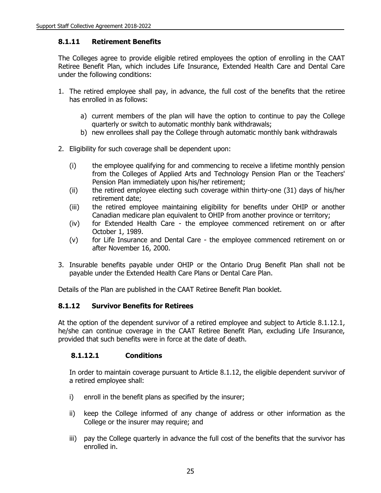#### **8.1.11 Retirement Benefits**

The Colleges agree to provide eligible retired employees the option of enrolling in the CAAT Retiree Benefit Plan, which includes Life Insurance, Extended Health Care and Dental Care under the following conditions:

- 1. The retired employee shall pay, in advance, the full cost of the benefits that the retiree has enrolled in as follows:
	- a) current members of the plan will have the option to continue to pay the College quarterly or switch to automatic monthly bank withdrawals;
	- b) new enrollees shall pay the College through automatic monthly bank withdrawals
- 2. Eligibility for such coverage shall be dependent upon:
	- (i) the employee qualifying for and commencing to receive a lifetime monthly pension from the Colleges of Applied Arts and Technology Pension Plan or the Teachers' Pension Plan immediately upon his/her retirement;
	- (ii) the retired employee electing such coverage within thirty-one (31) days of his/her retirement date;
	- (iii) the retired employee maintaining eligibility for benefits under OHIP or another Canadian medicare plan equivalent to OHIP from another province or territory;
	- (iv) for Extended Health Care the employee commenced retirement on or after October 1, 1989.
	- (v) for Life Insurance and Dental Care the employee commenced retirement on or after November 16, 2000.
- 3. Insurable benefits payable under OHIP or the Ontario Drug Benefit Plan shall not be payable under the Extended Health Care Plans or Dental Care Plan.

Details of the Plan are published in the CAAT Retiree Benefit Plan booklet.

#### **8.1.12 Survivor Benefits for Retirees**

At the option of the dependent survivor of a retired employee and subject to Article 8.1.12.1, he/she can continue coverage in the CAAT Retiree Benefit Plan, excluding Life Insurance, provided that such benefits were in force at the date of death.

#### **8.1.12.1 Conditions**

In order to maintain coverage pursuant to Article 8.1.12, the eligible dependent survivor of a retired employee shall:

- i) enroll in the benefit plans as specified by the insurer;
- ii) keep the College informed of any change of address or other information as the College or the insurer may require; and
- iii) pay the College quarterly in advance the full cost of the benefits that the survivor has enrolled in.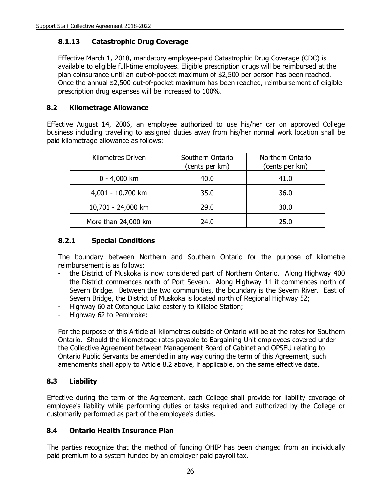### **8.1.13 Catastrophic Drug Coverage**

Effective March 1, 2018, mandatory employee-paid Catastrophic Drug Coverage (CDC) is available to eligible full-time employees. Eligible prescription drugs will be reimbursed at the plan coinsurance until an out-of-pocket maximum of \$2,500 per person has been reached. Once the annual \$2,500 out-of-pocket maximum has been reached, reimbursement of eligible prescription drug expenses will be increased to 100%.

### **8.2 Kilometrage Allowance**

Effective August 14, 2006, an employee authorized to use his/her car on approved College business including travelling to assigned duties away from his/her normal work location shall be paid kilometrage allowance as follows:

| <b>Kilometres Driven</b> | Southern Ontario<br>(cents per km) | Northern Ontario<br>(cents per km) |
|--------------------------|------------------------------------|------------------------------------|
| $0 - 4,000$ km           | 40.0                               | 41.0                               |
| 4,001 - 10,700 km        | 35.0                               | 36.0                               |
| 10,701 - 24,000 km       | 29.0                               | 30.0                               |
| More than 24,000 km      | 24.0                               | 25.0                               |

### **8.2.1 Special Conditions**

The boundary between Northern and Southern Ontario for the purpose of kilometre reimbursement is as follows:

- the District of Muskoka is now considered part of Northern Ontario. Along Highway 400 the District commences north of Port Severn. Along Highway 11 it commences north of Severn Bridge. Between the two communities, the boundary is the Severn River. East of Severn Bridge, the District of Muskoka is located north of Regional Highway 52;
- Highway 60 at Oxtongue Lake easterly to Killaloe Station;
- Highway 62 to Pembroke;

For the purpose of this Article all kilometres outside of Ontario will be at the rates for Southern Ontario. Should the kilometrage rates payable to Bargaining Unit employees covered under the Collective Agreement between Management Board of Cabinet and OPSEU relating to Ontario Public Servants be amended in any way during the term of this Agreement, such amendments shall apply to Article 8.2 above, if applicable, on the same effective date.

## **8.3 Liability**

Effective during the term of the Agreement, each College shall provide for liability coverage of employee's liability while performing duties or tasks required and authorized by the College or customarily performed as part of the employee's duties.

#### **8.4 Ontario Health Insurance Plan**

The parties recognize that the method of funding OHIP has been changed from an individually paid premium to a system funded by an employer paid payroll tax.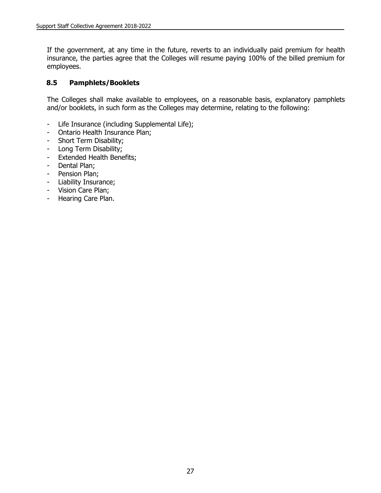If the government, at any time in the future, reverts to an individually paid premium for health insurance, the parties agree that the Colleges will resume paying 100% of the billed premium for employees.

#### **8.5 Pamphlets/Booklets**

The Colleges shall make available to employees, on a reasonable basis, explanatory pamphlets and/or booklets, in such form as the Colleges may determine, relating to the following:

- Life Insurance (including Supplemental Life);
- Ontario Health Insurance Plan;
- Short Term Disability;
- Long Term Disability;
- Extended Health Benefits;
- Dental Plan;
- Pension Plan;
- Liability Insurance;
- Vision Care Plan;
- Hearing Care Plan.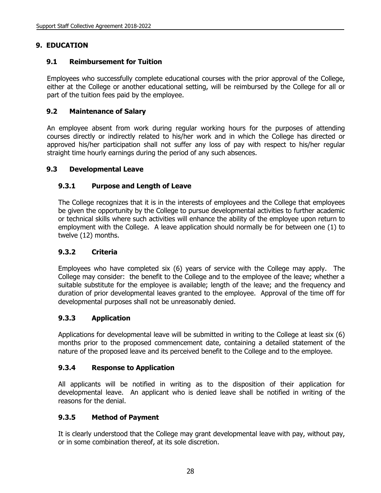## **9. EDUCATION**

### **9.1 Reimbursement for Tuition**

Employees who successfully complete educational courses with the prior approval of the College, either at the College or another educational setting, will be reimbursed by the College for all or part of the tuition fees paid by the employee.

### **9.2 Maintenance of Salary**

An employee absent from work during regular working hours for the purposes of attending courses directly or indirectly related to his/her work and in which the College has directed or approved his/her participation shall not suffer any loss of pay with respect to his/her regular straight time hourly earnings during the period of any such absences.

### **9.3 Developmental Leave**

### **9.3.1 Purpose and Length of Leave**

The College recognizes that it is in the interests of employees and the College that employees be given the opportunity by the College to pursue developmental activities to further academic or technical skills where such activities will enhance the ability of the employee upon return to employment with the College. A leave application should normally be for between one (1) to twelve (12) months.

#### **9.3.2 Criteria**

Employees who have completed six (6) years of service with the College may apply. The College may consider: the benefit to the College and to the employee of the leave; whether a suitable substitute for the employee is available; length of the leave; and the frequency and duration of prior developmental leaves granted to the employee. Approval of the time off for developmental purposes shall not be unreasonably denied.

#### **9.3.3 Application**

Applications for developmental leave will be submitted in writing to the College at least six (6) months prior to the proposed commencement date, containing a detailed statement of the nature of the proposed leave and its perceived benefit to the College and to the employee.

#### **9.3.4 Response to Application**

All applicants will be notified in writing as to the disposition of their application for developmental leave. An applicant who is denied leave shall be notified in writing of the reasons for the denial.

#### **9.3.5 Method of Payment**

It is clearly understood that the College may grant developmental leave with pay, without pay, or in some combination thereof, at its sole discretion.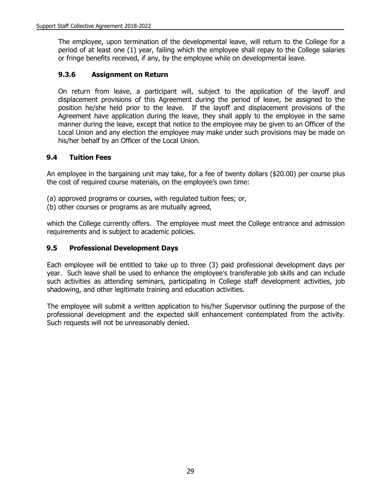The employee, upon termination of the developmental leave, will return to the College for a period of at least one (1) year, failing which the employee shall repay to the College salaries or fringe benefits received, if any, by the employee while on developmental leave.

### **9.3.6 Assignment on Return**

On return from leave, a participant will, subject to the application of the layoff and displacement provisions of this Agreement during the period of leave, be assigned to the position he/she held prior to the leave. If the layoff and displacement provisions of the Agreement have application during the leave, they shall apply to the employee in the same manner during the leave, except that notice to the employee may be given to an Officer of the Local Union and any election the employee may make under such provisions may be made on his/her behalf by an Officer of the Local Union.

### **9.4 Tuition Fees**

An employee in the bargaining unit may take, for a fee of twenty dollars (\$20.00) per course plus the cost of required course materials, on the employee's own time:

- (a) approved programs or courses, with regulated tuition fees; or,
- (b) other courses or programs as are mutually agreed,

which the College currently offers. The employee must meet the College entrance and admission requirements and is subject to academic policies.

#### **9.5 Professional Development Days**

Each employee will be entitled to take up to three (3) paid professional development days per year. Such leave shall be used to enhance the employee's transferable job skills and can include such activities as attending seminars, participating in College staff development activities, job shadowing, and other legitimate training and education activities.

The employee will submit a written application to his/her Supervisor outlining the purpose of the professional development and the expected skill enhancement contemplated from the activity. Such requests will not be unreasonably denied.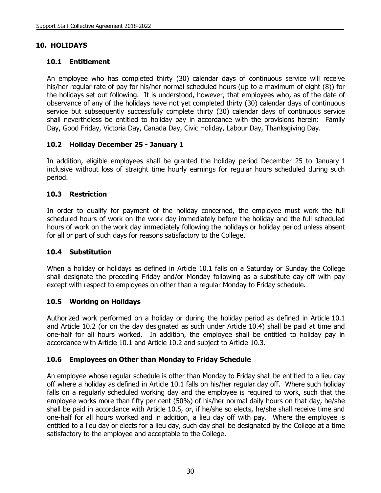## **10. HOLIDAYS**

## **10.1 Entitlement**

An employee who has completed thirty (30) calendar days of continuous service will receive his/her regular rate of pay for his/her normal scheduled hours (up to a maximum of eight (8)) for the holidays set out following. It is understood, however, that employees who, as of the date of observance of any of the holidays have not yet completed thirty (30) calendar days of continuous service but subsequently successfully complete thirty (30) calendar days of continuous service shall nevertheless be entitled to holiday pay in accordance with the provisions herein: Family Day, Good Friday, Victoria Day, Canada Day, Civic Holiday, Labour Day, Thanksgiving Day.

## **10.2 Holiday December 25 - January 1**

In addition, eligible employees shall be granted the holiday period December 25 to January 1 inclusive without loss of straight time hourly earnings for regular hours scheduled during such period.

## **10.3 Restriction**

In order to qualify for payment of the holiday concerned, the employee must work the full scheduled hours of work on the work day immediately before the holiday and the full scheduled hours of work on the work day immediately following the holidays or holiday period unless absent for all or part of such days for reasons satisfactory to the College.

## **10.4 Substitution**

When a holiday or holidays as defined in Article 10.1 falls on a Saturday or Sunday the College shall designate the preceding Friday and/or Monday following as a substitute day off with pay except with respect to employees on other than a regular Monday to Friday schedule.

## **10.5 Working on Holidays**

Authorized work performed on a holiday or during the holiday period as defined in Article 10.1 and Article 10.2 (or on the day designated as such under Article 10.4) shall be paid at time and one-half for all hours worked. In addition, the employee shall be entitled to holiday pay in accordance with Article 10.1 and Article 10.2 and subject to Article 10.3.

## **10.6 Employees on Other than Monday to Friday Schedule**

An employee whose regular schedule is other than Monday to Friday shall be entitled to a lieu day off where a holiday as defined in Article 10.1 falls on his/her regular day off. Where such holiday falls on a regularly scheduled working day and the employee is required to work, such that the employee works more than fifty per cent (50%) of his/her normal daily hours on that day, he/she shall be paid in accordance with Article 10.5, or, if he/she so elects, he/she shall receive time and one-half for all hours worked and in addition, a lieu day off with pay. Where the employee is entitled to a lieu day or elects for a lieu day, such day shall be designated by the College at a time satisfactory to the employee and acceptable to the College.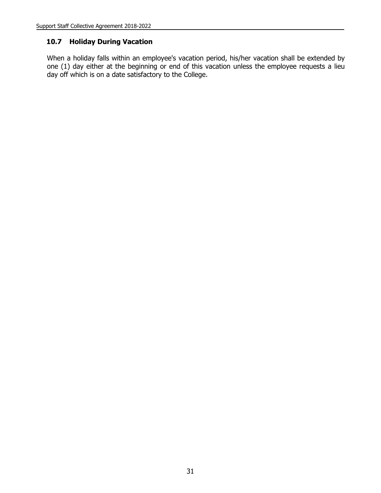#### **10.7 Holiday During Vacation**

When a holiday falls within an employee's vacation period, his/her vacation shall be extended by one (1) day either at the beginning or end of this vacation unless the employee requests a lieu day off which is on a date satisfactory to the College.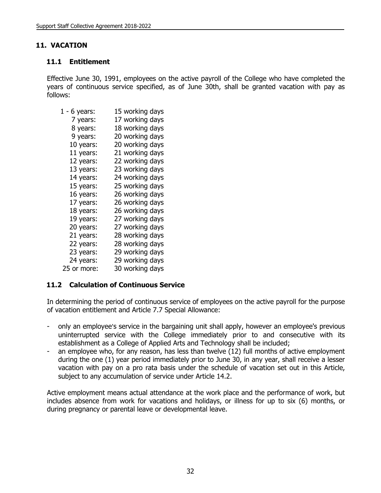## **11. VACATION**

### **11.1 Entitlement**

Effective June 30, 1991, employees on the active payroll of the College who have completed the years of continuous service specified, as of June 30th, shall be granted vacation with pay as follows:

| $1 - 6$ years: | 15 working days |
|----------------|-----------------|
| 7 years:       | 17 working days |
| 8 years:       | 18 working days |
| 9 years:       | 20 working days |
| 10 years:      | 20 working days |
| 11 years:      | 21 working days |
| 12 years:      | 22 working days |
| 13 years:      | 23 working days |
| 14 years:      | 24 working days |
| 15 years:      | 25 working days |
| 16 years:      | 26 working days |
| 17 years:      | 26 working days |
| 18 years:      | 26 working days |
| 19 years:      | 27 working days |
| 20 years:      | 27 working days |
| 21 years:      | 28 working days |
| 22 years:      | 28 working days |
| 23 years:      | 29 working days |
| 24 years:      | 29 working days |
| 25 or more:    | 30 working days |

#### **11.2 Calculation of Continuous Service**

In determining the period of continuous service of employees on the active payroll for the purpose of vacation entitlement and Article 7.7 Special Allowance:

- only an employee's service in the bargaining unit shall apply, however an employee's previous uninterrupted service with the College immediately prior to and consecutive with its establishment as a College of Applied Arts and Technology shall be included;
- an employee who, for any reason, has less than twelve (12) full months of active employment during the one (1) year period immediately prior to June 30, in any year, shall receive a lesser vacation with pay on a pro rata basis under the schedule of vacation set out in this Article, subject to any accumulation of service under Article 14.2.

Active employment means actual attendance at the work place and the performance of work, but includes absence from work for vacations and holidays, or illness for up to six (6) months, or during pregnancy or parental leave or developmental leave.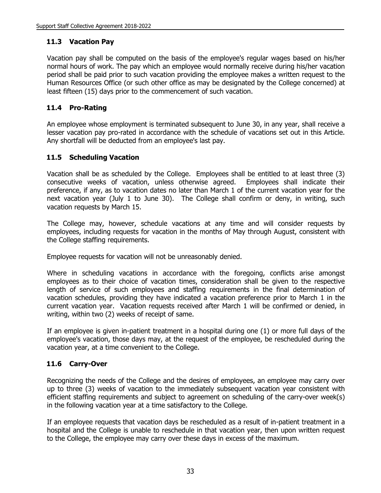## **11.3 Vacation Pay**

Vacation pay shall be computed on the basis of the employee's regular wages based on his/her normal hours of work. The pay which an employee would normally receive during his/her vacation period shall be paid prior to such vacation providing the employee makes a written request to the Human Resources Office (or such other office as may be designated by the College concerned) at least fifteen (15) days prior to the commencement of such vacation.

# **11.4 Pro-Rating**

An employee whose employment is terminated subsequent to June 30, in any year, shall receive a lesser vacation pay pro-rated in accordance with the schedule of vacations set out in this Article. Any shortfall will be deducted from an employee's last pay.

## **11.5 Scheduling Vacation**

Vacation shall be as scheduled by the College. Employees shall be entitled to at least three (3) consecutive weeks of vacation, unless otherwise agreed. Employees shall indicate their preference, if any, as to vacation dates no later than March 1 of the current vacation year for the next vacation year (July 1 to June 30). The College shall confirm or deny, in writing, such vacation requests by March 15.

The College may, however, schedule vacations at any time and will consider requests by employees, including requests for vacation in the months of May through August, consistent with the College staffing requirements.

Employee requests for vacation will not be unreasonably denied.

Where in scheduling vacations in accordance with the foregoing, conflicts arise amongst employees as to their choice of vacation times, consideration shall be given to the respective length of service of such employees and staffing requirements in the final determination of vacation schedules, providing they have indicated a vacation preference prior to March 1 in the current vacation year. Vacation requests received after March 1 will be confirmed or denied, in writing, within two (2) weeks of receipt of same.

If an employee is given in-patient treatment in a hospital during one (1) or more full days of the employee's vacation, those days may, at the request of the employee, be rescheduled during the vacation year, at a time convenient to the College.

# **11.6 Carry-Over**

Recognizing the needs of the College and the desires of employees, an employee may carry over up to three (3) weeks of vacation to the immediately subsequent vacation year consistent with efficient staffing requirements and subject to agreement on scheduling of the carry-over week(s) in the following vacation year at a time satisfactory to the College.

If an employee requests that vacation days be rescheduled as a result of in-patient treatment in a hospital and the College is unable to reschedule in that vacation year, then upon written request to the College, the employee may carry over these days in excess of the maximum.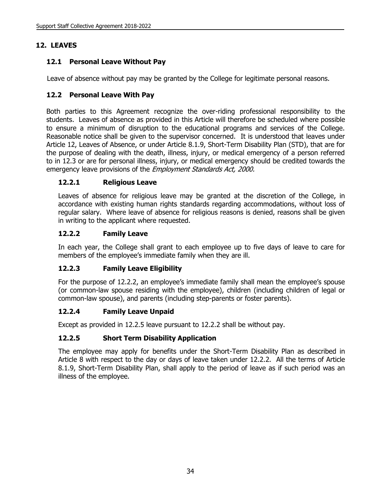# **12. LEAVES**

# **12.1 Personal Leave Without Pay**

Leave of absence without pay may be granted by the College for legitimate personal reasons.

## **12.2 Personal Leave With Pay**

Both parties to this Agreement recognize the over-riding professional responsibility to the students. Leaves of absence as provided in this Article will therefore be scheduled where possible to ensure a minimum of disruption to the educational programs and services of the College. Reasonable notice shall be given to the supervisor concerned. It is understood that leaves under Article 12, Leaves of Absence, or under Article 8.1.9, Short-Term Disability Plan (STD), that are for the purpose of dealing with the death, illness, injury, or medical emergency of a person referred to in 12.3 or are for personal illness, injury, or medical emergency should be credited towards the emergency leave provisions of the *Employment Standards Act, 2000.* 

## **12.2.1 Religious Leave**

Leaves of absence for religious leave may be granted at the discretion of the College, in accordance with existing human rights standards regarding accommodations, without loss of regular salary. Where leave of absence for religious reasons is denied, reasons shall be given in writing to the applicant where requested.

## **12.2.2 Family Leave**

In each year, the College shall grant to each employee up to five days of leave to care for members of the employee's immediate family when they are ill.

## **12.2.3 Family Leave Eligibility**

For the purpose of 12.2.2, an employee's immediate family shall mean the employee's spouse (or common-law spouse residing with the employee), children (including children of legal or common-law spouse), and parents (including step-parents or foster parents).

## **12.2.4 Family Leave Unpaid**

Except as provided in 12.2.5 leave pursuant to 12.2.2 shall be without pay.

## **12.2.5 Short Term Disability Application**

The employee may apply for benefits under the Short-Term Disability Plan as described in Article 8 with respect to the day or days of leave taken under 12.2.2. All the terms of Article 8.1.9, Short-Term Disability Plan, shall apply to the period of leave as if such period was an illness of the employee.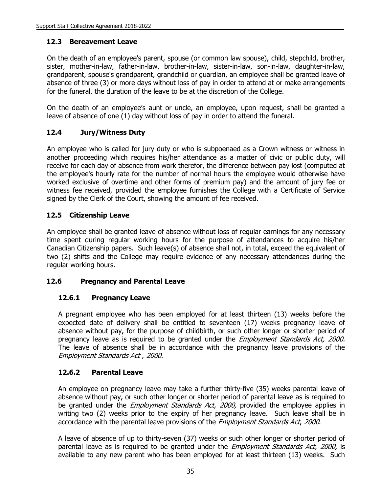### **12.3 Bereavement Leave**

On the death of an employee's parent, spouse (or common law spouse), child, stepchild, brother, sister, mother-in-law, father-in-law, brother-in-law, sister-in-law, son-in-law, daughter-in-law, grandparent, spouse's grandparent, grandchild or guardian, an employee shall be granted leave of absence of three (3) or more days without loss of pay in order to attend at or make arrangements for the funeral, the duration of the leave to be at the discretion of the College.

On the death of an employee's aunt or uncle, an employee, upon request, shall be granted a leave of absence of one (1) day without loss of pay in order to attend the funeral.

## **12.4 Jury/Witness Duty**

An employee who is called for jury duty or who is subpoenaed as a Crown witness or witness in another proceeding which requires his/her attendance as a matter of civic or public duty, will receive for each day of absence from work therefor, the difference between pay lost (computed at the employee's hourly rate for the number of normal hours the employee would otherwise have worked exclusive of overtime and other forms of premium pay) and the amount of jury fee or witness fee received, provided the employee furnishes the College with a Certificate of Service signed by the Clerk of the Court, showing the amount of fee received.

### **12.5 Citizenship Leave**

An employee shall be granted leave of absence without loss of regular earnings for any necessary time spent during regular working hours for the purpose of attendances to acquire his/her Canadian Citizenship papers. Such leave(s) of absence shall not, in total, exceed the equivalent of two (2) shifts and the College may require evidence of any necessary attendances during the regular working hours.

#### **12.6 Pregnancy and Parental Leave**

#### **12.6.1 Pregnancy Leave**

A pregnant employee who has been employed for at least thirteen (13) weeks before the expected date of delivery shall be entitled to seventeen (17) weeks pregnancy leave of absence without pay, for the purpose of childbirth, or such other longer or shorter period of pregnancy leave as is required to be granted under the *Employment Standards Act, 2000.* The leave of absence shall be in accordance with the pregnancy leave provisions of the Employment Standards Act , 2000.

#### **12.6.2 Parental Leave**

An employee on pregnancy leave may take a further thirty-five (35) weeks parental leave of absence without pay, or such other longer or shorter period of parental leave as is required to be granted under the *Employment Standards Act, 2000*, provided the employee applies in writing two (2) weeks prior to the expiry of her pregnancy leave. Such leave shall be in accordance with the parental leave provisions of the *Employment Standards Act, 2000*.

A leave of absence of up to thirty-seven (37) weeks or such other longer or shorter period of parental leave as is required to be granted under the *Employment Standards Act, 2000*, is available to any new parent who has been employed for at least thirteen (13) weeks. Such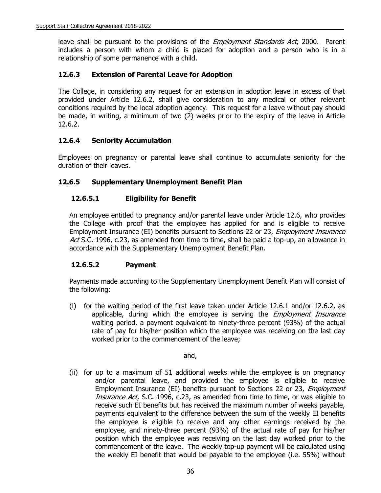leave shall be pursuant to the provisions of the *Employment Standards Act*, 2000. Parent includes a person with whom a child is placed for adoption and a person who is in a relationship of some permanence with a child.

#### **12.6.3 Extension of Parental Leave for Adoption**

The College, in considering any request for an extension in adoption leave in excess of that provided under Article 12.6.2, shall give consideration to any medical or other relevant conditions required by the local adoption agency. This request for a leave without pay should be made, in writing, a minimum of two (2) weeks prior to the expiry of the leave in Article 12.6.2.

### **12.6.4 Seniority Accumulation**

Employees on pregnancy or parental leave shall continue to accumulate seniority for the duration of their leaves.

### **12.6.5 Supplementary Unemployment Benefit Plan**

### **12.6.5.1 Eligibility for Benefit**

An employee entitled to pregnancy and/or parental leave under Article 12.6, who provides the College with proof that the employee has applied for and is eligible to receive Employment Insurance (EI) benefits pursuant to Sections 22 or 23, Employment Insurance Act S.C. 1996, c.23, as amended from time to time, shall be paid a top-up, an allowance in accordance with the Supplementary Unemployment Benefit Plan.

#### **12.6.5.2 Payment**

Payments made according to the Supplementary Unemployment Benefit Plan will consist of the following:

(i) for the waiting period of the first leave taken under Article 12.6.1 and/or 12.6.2, as applicable, during which the employee is serving the *Employment Insurance* waiting period, a payment equivalent to ninety-three percent (93%) of the actual rate of pay for his/her position which the employee was receiving on the last day worked prior to the commencement of the leave;

and,

(ii) for up to a maximum of 51 additional weeks while the employee is on pregnancy and/or parental leave, and provided the employee is eligible to receive Employment Insurance (EI) benefits pursuant to Sections 22 or 23, *Employment* Insurance Act, S.C. 1996, c.23, as amended from time to time, or was eligible to receive such EI benefits but has received the maximum number of weeks payable, payments equivalent to the difference between the sum of the weekly EI benefits the employee is eligible to receive and any other earnings received by the employee, and ninety-three percent (93%) of the actual rate of pay for his/her position which the employee was receiving on the last day worked prior to the commencement of the leave. The weekly top-up payment will be calculated using the weekly EI benefit that would be payable to the employee (i.e. 55%) without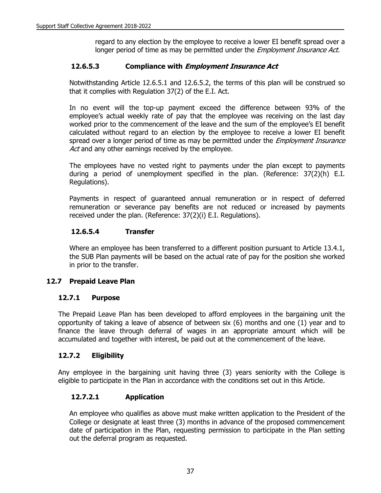regard to any election by the employee to receive a lower EI benefit spread over a longer period of time as may be permitted under the *Employment Insurance Act.* 

#### **12.6.5.3 Compliance with Employment Insurance Act**

Notwithstanding Article 12.6.5.1 and 12.6.5.2, the terms of this plan will be construed so that it complies with Regulation 37(2) of the E.I. Act.

In no event will the top-up payment exceed the difference between 93% of the employee's actual weekly rate of pay that the employee was receiving on the last day worked prior to the commencement of the leave and the sum of the employee's EI benefit calculated without regard to an election by the employee to receive a lower EI benefit spread over a longer period of time as may be permitted under the *Employment Insurance* Act and any other earnings received by the employee.

The employees have no vested right to payments under the plan except to payments during a period of unemployment specified in the plan. (Reference: 37(2)(h) E.I. Regulations).

Payments in respect of guaranteed annual remuneration or in respect of deferred remuneration or severance pay benefits are not reduced or increased by payments received under the plan. (Reference: 37(2)(i) E.I. Regulations).

#### **12.6.5.4 Transfer**

Where an employee has been transferred to a different position pursuant to Article 13.4.1, the SUB Plan payments will be based on the actual rate of pay for the position she worked in prior to the transfer.

#### **12.7 Prepaid Leave Plan**

#### **12.7.1 Purpose**

The Prepaid Leave Plan has been developed to afford employees in the bargaining unit the opportunity of taking a leave of absence of between six (6) months and one (1) year and to finance the leave through deferral of wages in an appropriate amount which will be accumulated and together with interest, be paid out at the commencement of the leave.

#### **12.7.2 Eligibility**

Any employee in the bargaining unit having three (3) years seniority with the College is eligible to participate in the Plan in accordance with the conditions set out in this Article.

## **12.7.2.1 Application**

An employee who qualifies as above must make written application to the President of the College or designate at least three (3) months in advance of the proposed commencement date of participation in the Plan, requesting permission to participate in the Plan setting out the deferral program as requested.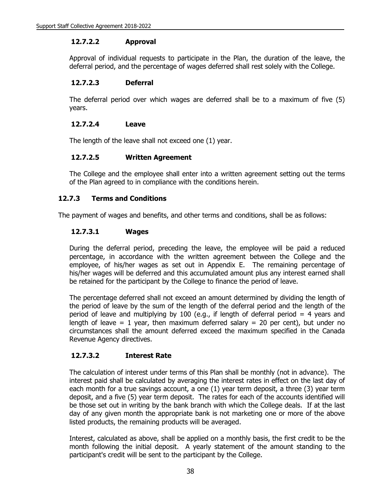#### **12.7.2.2 Approval**

Approval of individual requests to participate in the Plan, the duration of the leave, the deferral period, and the percentage of wages deferred shall rest solely with the College.

### **12.7.2.3 Deferral**

The deferral period over which wages are deferred shall be to a maximum of five (5) years.

### **12.7.2.4 Leave**

The length of the leave shall not exceed one (1) year.

## **12.7.2.5 Written Agreement**

The College and the employee shall enter into a written agreement setting out the terms of the Plan agreed to in compliance with the conditions herein.

## **12.7.3 Terms and Conditions**

The payment of wages and benefits, and other terms and conditions, shall be as follows:

## **12.7.3.1 Wages**

During the deferral period, preceding the leave, the employee will be paid a reduced percentage, in accordance with the written agreement between the College and the employee, of his/her wages as set out in Appendix E. The remaining percentage of his/her wages will be deferred and this accumulated amount plus any interest earned shall be retained for the participant by the College to finance the period of leave.

The percentage deferred shall not exceed an amount determined by dividing the length of the period of leave by the sum of the length of the deferral period and the length of the period of leave and multiplying by 100 (e.g., if length of deferral period = 4 years and length of leave = 1 year, then maximum deferred salary = 20 per cent), but under no circumstances shall the amount deferred exceed the maximum specified in the Canada Revenue Agency directives.

## **12.7.3.2 Interest Rate**

The calculation of interest under terms of this Plan shall be monthly (not in advance). The interest paid shall be calculated by averaging the interest rates in effect on the last day of each month for a true savings account, a one (1) year term deposit, a three (3) year term deposit, and a five (5) year term deposit. The rates for each of the accounts identified will be those set out in writing by the bank branch with which the College deals. If at the last day of any given month the appropriate bank is not marketing one or more of the above listed products, the remaining products will be averaged.

Interest, calculated as above, shall be applied on a monthly basis, the first credit to be the month following the initial deposit. A yearly statement of the amount standing to the participant's credit will be sent to the participant by the College.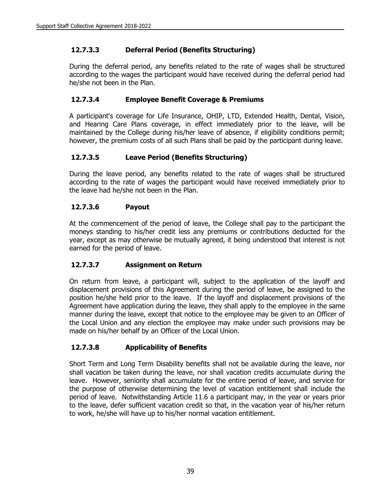# **12.7.3.3 Deferral Period (Benefits Structuring)**

During the deferral period, any benefits related to the rate of wages shall be structured according to the wages the participant would have received during the deferral period had he/she not been in the Plan.

## **12.7.3.4 Employee Benefit Coverage & Premiums**

A participant's coverage for Life Insurance, OHIP, LTD, Extended Health, Dental, Vision, and Hearing Care Plans coverage, in effect immediately prior to the leave, will be maintained by the College during his/her leave of absence, if eligibility conditions permit; however, the premium costs of all such Plans shall be paid by the participant during leave.

### **12.7.3.5 Leave Period (Benefits Structuring)**

During the leave period, any benefits related to the rate of wages shall be structured according to the rate of wages the participant would have received immediately prior to the leave had he/she not been in the Plan.

### **12.7.3.6 Payout**

At the commencement of the period of leave, the College shall pay to the participant the moneys standing to his/her credit less any premiums or contributions deducted for the year, except as may otherwise be mutually agreed, it being understood that interest is not earned for the period of leave.

#### **12.7.3.7 Assignment on Return**

On return from leave, a participant will, subject to the application of the layoff and displacement provisions of this Agreement during the period of leave, be assigned to the position he/she held prior to the leave. If the layoff and displacement provisions of the Agreement have application during the leave, they shall apply to the employee in the same manner during the leave, except that notice to the employee may be given to an Officer of the Local Union and any election the employee may make under such provisions may be made on his/her behalf by an Officer of the Local Union.

## **12.7.3.8 Applicability of Benefits**

Short Term and Long Term Disability benefits shall not be available during the leave, nor shall vacation be taken during the leave, nor shall vacation credits accumulate during the leave. However, seniority shall accumulate for the entire period of leave, and service for the purpose of otherwise determining the level of vacation entitlement shall include the period of leave. Notwithstanding Article 11.6 a participant may, in the year or years prior to the leave, defer sufficient vacation credit so that, in the vacation year of his/her return to work, he/she will have up to his/her normal vacation entitlement.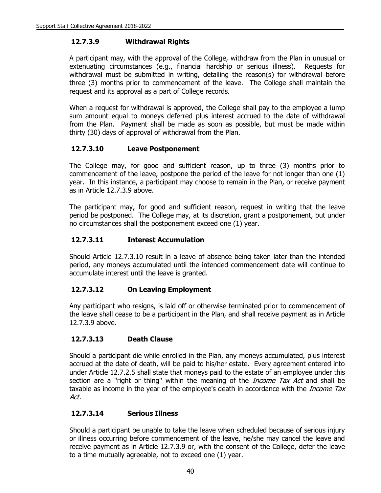## **12.7.3.9 Withdrawal Rights**

A participant may, with the approval of the College, withdraw from the Plan in unusual or extenuating circumstances (e.g., financial hardship or serious illness). Requests for withdrawal must be submitted in writing, detailing the reason(s) for withdrawal before three (3) months prior to commencement of the leave. The College shall maintain the request and its approval as a part of College records.

When a request for withdrawal is approved, the College shall pay to the employee a lump sum amount equal to moneys deferred plus interest accrued to the date of withdrawal from the Plan. Payment shall be made as soon as possible, but must be made within thirty (30) days of approval of withdrawal from the Plan.

### **12.7.3.10 Leave Postponement**

The College may, for good and sufficient reason, up to three (3) months prior to commencement of the leave, postpone the period of the leave for not longer than one (1) year. In this instance, a participant may choose to remain in the Plan, or receive payment as in Article 12.7.3.9 above.

The participant may, for good and sufficient reason, request in writing that the leave period be postponed. The College may, at its discretion, grant a postponement, but under no circumstances shall the postponement exceed one (1) year.

### **12.7.3.11 Interest Accumulation**

Should Article 12.7.3.10 result in a leave of absence being taken later than the intended period, any moneys accumulated until the intended commencement date will continue to accumulate interest until the leave is granted.

#### **12.7.3.12 On Leaving Employment**

Any participant who resigns, is laid off or otherwise terminated prior to commencement of the leave shall cease to be a participant in the Plan, and shall receive payment as in Article 12.7.3.9 above.

#### **12.7.3.13 Death Clause**

Should a participant die while enrolled in the Plan, any moneys accumulated, plus interest accrued at the date of death, will be paid to his/her estate. Every agreement entered into under Article 12.7.2.5 shall state that moneys paid to the estate of an employee under this section are a "right or thing" within the meaning of the *Income Tax Act* and shall be taxable as income in the year of the employee's death in accordance with the *Income Tax* Act.

#### **12.7.3.14 Serious Illness**

Should a participant be unable to take the leave when scheduled because of serious injury or illness occurring before commencement of the leave, he/she may cancel the leave and receive payment as in Article 12.7.3.9 or, with the consent of the College, defer the leave to a time mutually agreeable, not to exceed one (1) year.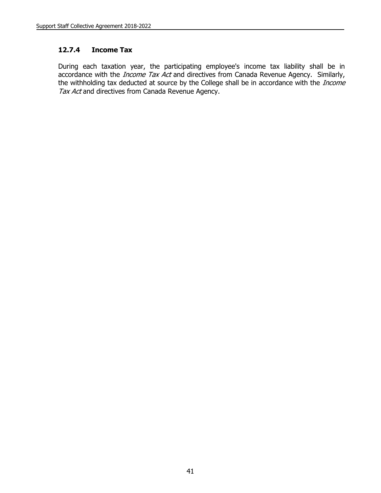#### **12.7.4 Income Tax**

During each taxation year, the participating employee's income tax liability shall be in accordance with the *Income Tax Act* and directives from Canada Revenue Agency. Similarly, the withholding tax deducted at source by the College shall be in accordance with the *Income* Tax Act and directives from Canada Revenue Agency.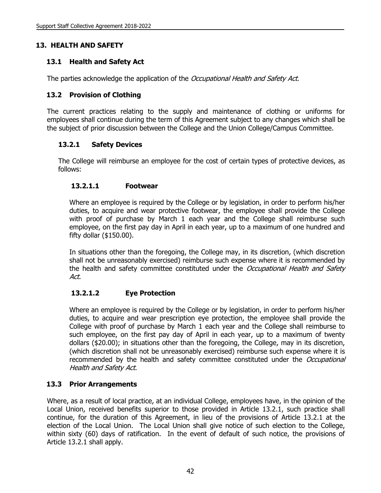## **13. HEALTH AND SAFETY**

## **13.1 Health and Safety Act**

The parties acknowledge the application of the *Occupational Health and Safety Act.* 

## **13.2 Provision of Clothing**

The current practices relating to the supply and maintenance of clothing or uniforms for employees shall continue during the term of this Agreement subject to any changes which shall be the subject of prior discussion between the College and the Union College/Campus Committee.

### **13.2.1 Safety Devices**

The College will reimburse an employee for the cost of certain types of protective devices, as follows:

### **13.2.1.1 Footwear**

Where an employee is required by the College or by legislation, in order to perform his/her duties, to acquire and wear protective footwear, the employee shall provide the College with proof of purchase by March 1 each year and the College shall reimburse such employee, on the first pay day in April in each year, up to a maximum of one hundred and fifty dollar (\$150.00).

In situations other than the foregoing, the College may, in its discretion, (which discretion shall not be unreasonably exercised) reimburse such expense where it is recommended by the health and safety committee constituted under the Occupational Health and Safety Act.

## **13.2.1.2 Eye Protection**

Where an employee is required by the College or by legislation, in order to perform his/her duties, to acquire and wear prescription eye protection, the employee shall provide the College with proof of purchase by March 1 each year and the College shall reimburse to such employee, on the first pay day of April in each year, up to a maximum of twenty dollars (\$20.00); in situations other than the foregoing, the College, may in its discretion, (which discretion shall not be unreasonably exercised) reimburse such expense where it is recommended by the health and safety committee constituted under the Occupational Health and Safety Act.

## **13.3 Prior Arrangements**

Where, as a result of local practice, at an individual College, employees have, in the opinion of the Local Union, received benefits superior to those provided in Article 13.2.1, such practice shall continue, for the duration of this Agreement, in lieu of the provisions of Article 13.2.1 at the election of the Local Union. The Local Union shall give notice of such election to the College, within sixty (60) days of ratification. In the event of default of such notice, the provisions of Article 13.2.1 shall apply.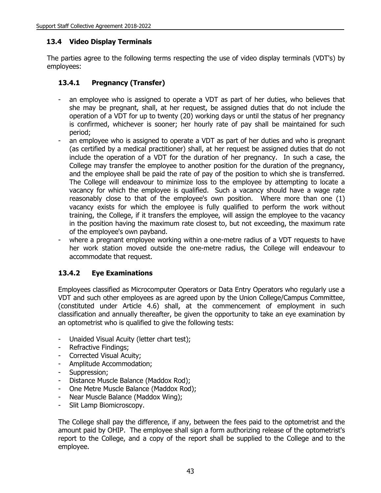#### **13.4 Video Display Terminals**

The parties agree to the following terms respecting the use of video display terminals (VDT's) by employees:

### **13.4.1 Pregnancy (Transfer)**

- an employee who is assigned to operate a VDT as part of her duties, who believes that she may be pregnant, shall, at her request, be assigned duties that do not include the operation of a VDT for up to twenty (20) working days or until the status of her pregnancy is confirmed, whichever is sooner; her hourly rate of pay shall be maintained for such period;
- an employee who is assigned to operate a VDT as part of her duties and who is pregnant (as certified by a medical practitioner) shall, at her request be assigned duties that do not include the operation of a VDT for the duration of her pregnancy. In such a case, the College may transfer the employee to another position for the duration of the pregnancy, and the employee shall be paid the rate of pay of the position to which she is transferred. The College will endeavour to minimize loss to the employee by attempting to locate a vacancy for which the employee is qualified. Such a vacancy should have a wage rate reasonably close to that of the employee's own position. Where more than one (1) vacancy exists for which the employee is fully qualified to perform the work without training, the College, if it transfers the employee, will assign the employee to the vacancy in the position having the maximum rate closest to, but not exceeding, the maximum rate of the employee's own payband.
- where a pregnant employee working within a one-metre radius of a VDT requests to have her work station moved outside the one-metre radius, the College will endeavour to accommodate that request.

#### **13.4.2 Eye Examinations**

Employees classified as Microcomputer Operators or Data Entry Operators who regularly use a VDT and such other employees as are agreed upon by the Union College/Campus Committee, (constituted under Article 4.6) shall, at the commencement of employment in such classification and annually thereafter, be given the opportunity to take an eye examination by an optometrist who is qualified to give the following tests:

- Unaided Visual Acuity (letter chart test);
- Refractive Findings;
- Corrected Visual Acuity;
- Amplitude Accommodation;
- Suppression;
- Distance Muscle Balance (Maddox Rod);
- One Metre Muscle Balance (Maddox Rod);
- Near Muscle Balance (Maddox Wing);
- Slit Lamp Biomicroscopy.

The College shall pay the difference, if any, between the fees paid to the optometrist and the amount paid by OHIP. The employee shall sign a form authorizing release of the optometrist's report to the College, and a copy of the report shall be supplied to the College and to the employee.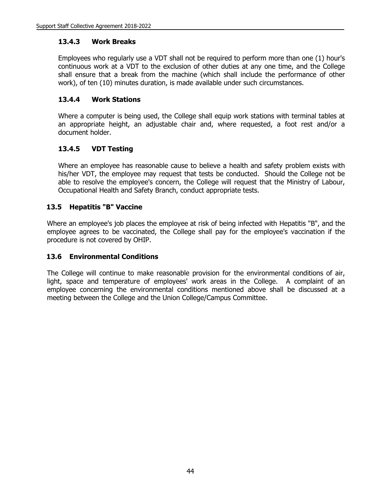### **13.4.3 Work Breaks**

Employees who regularly use a VDT shall not be required to perform more than one (1) hour's continuous work at a VDT to the exclusion of other duties at any one time, and the College shall ensure that a break from the machine (which shall include the performance of other work), of ten (10) minutes duration, is made available under such circumstances.

## **13.4.4 Work Stations**

Where a computer is being used, the College shall equip work stations with terminal tables at an appropriate height, an adjustable chair and, where requested, a foot rest and/or a document holder.

## **13.4.5 VDT Testing**

Where an employee has reasonable cause to believe a health and safety problem exists with his/her VDT, the employee may request that tests be conducted. Should the College not be able to resolve the employee's concern, the College will request that the Ministry of Labour, Occupational Health and Safety Branch, conduct appropriate tests.

### **13.5 Hepatitis "B" Vaccine**

Where an employee's job places the employee at risk of being infected with Hepatitis "B", and the employee agrees to be vaccinated, the College shall pay for the employee's vaccination if the procedure is not covered by OHIP.

#### **13.6 Environmental Conditions**

The College will continue to make reasonable provision for the environmental conditions of air, light, space and temperature of employees' work areas in the College. A complaint of an employee concerning the environmental conditions mentioned above shall be discussed at a meeting between the College and the Union College/Campus Committee.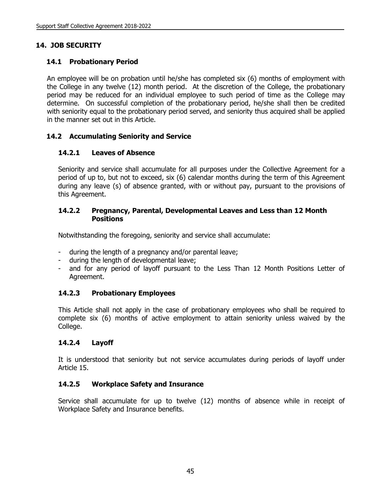# **14. JOB SECURITY**

## **14.1 Probationary Period**

An employee will be on probation until he/she has completed six (6) months of employment with the College in any twelve (12) month period. At the discretion of the College, the probationary period may be reduced for an individual employee to such period of time as the College may determine. On successful completion of the probationary period, he/she shall then be credited with seniority equal to the probationary period served, and seniority thus acquired shall be applied in the manner set out in this Article.

### **14.2 Accumulating Seniority and Service**

### **14.2.1 Leaves of Absence**

Seniority and service shall accumulate for all purposes under the Collective Agreement for a period of up to, but not to exceed, six (6) calendar months during the term of this Agreement during any leave (s) of absence granted, with or without pay, pursuant to the provisions of this Agreement.

#### **14.2.2 Pregnancy, Parental, Developmental Leaves and Less than 12 Month Positions**

Notwithstanding the foregoing, seniority and service shall accumulate:

- during the length of a pregnancy and/or parental leave;
- during the length of developmental leave;
- and for any period of layoff pursuant to the Less Than 12 Month Positions Letter of Agreement.

## **14.2.3 Probationary Employees**

This Article shall not apply in the case of probationary employees who shall be required to complete six (6) months of active employment to attain seniority unless waived by the College.

#### **14.2.4 Layoff**

It is understood that seniority but not service accumulates during periods of layoff under Article 15.

#### **14.2.5 Workplace Safety and Insurance**

Service shall accumulate for up to twelve (12) months of absence while in receipt of Workplace Safety and Insurance benefits.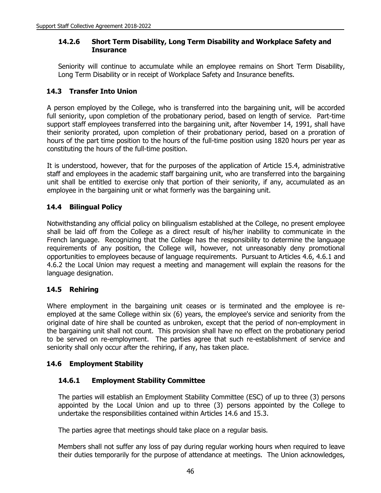#### **14.2.6 Short Term Disability, Long Term Disability and Workplace Safety and Insurance**

Seniority will continue to accumulate while an employee remains on Short Term Disability, Long Term Disability or in receipt of Workplace Safety and Insurance benefits.

#### **14.3 Transfer Into Union**

A person employed by the College, who is transferred into the bargaining unit, will be accorded full seniority, upon completion of the probationary period, based on length of service. Part-time support staff employees transferred into the bargaining unit, after November 14, 1991, shall have their seniority prorated, upon completion of their probationary period, based on a proration of hours of the part time position to the hours of the full-time position using 1820 hours per year as constituting the hours of the full-time position.

It is understood, however, that for the purposes of the application of Article 15.4, administrative staff and employees in the academic staff bargaining unit, who are transferred into the bargaining unit shall be entitled to exercise only that portion of their seniority, if any, accumulated as an employee in the bargaining unit or what formerly was the bargaining unit.

### **14.4 Bilingual Policy**

Notwithstanding any official policy on bilingualism established at the College, no present employee shall be laid off from the College as a direct result of his/her inability to communicate in the French language. Recognizing that the College has the responsibility to determine the language requirements of any position, the College will, however, not unreasonably deny promotional opportunities to employees because of language requirements. Pursuant to Articles 4.6, 4.6.1 and 4.6.2 the Local Union may request a meeting and management will explain the reasons for the language designation.

#### **14.5 Rehiring**

Where employment in the bargaining unit ceases or is terminated and the employee is reemployed at the same College within six (6) years, the employee's service and seniority from the original date of hire shall be counted as unbroken, except that the period of non-employment in the bargaining unit shall not count. This provision shall have no effect on the probationary period to be served on re-employment. The parties agree that such re-establishment of service and seniority shall only occur after the rehiring, if any, has taken place.

#### **14.6 Employment Stability**

#### **14.6.1 Employment Stability Committee**

The parties will establish an Employment Stability Committee (ESC) of up to three (3) persons appointed by the Local Union and up to three (3) persons appointed by the College to undertake the responsibilities contained within Articles 14.6 and 15.3.

The parties agree that meetings should take place on a regular basis.

Members shall not suffer any loss of pay during regular working hours when required to leave their duties temporarily for the purpose of attendance at meetings. The Union acknowledges,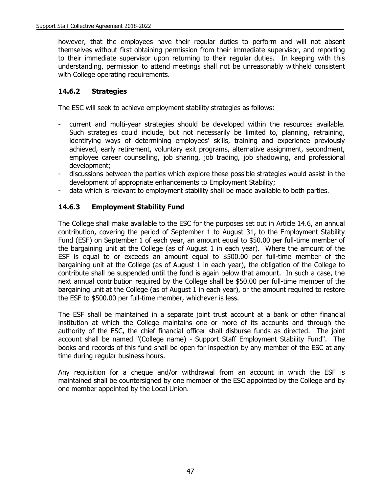however, that the employees have their regular duties to perform and will not absent themselves without first obtaining permission from their immediate supervisor, and reporting to their immediate supervisor upon returning to their regular duties. In keeping with this understanding, permission to attend meetings shall not be unreasonably withheld consistent with College operating requirements.

## **14.6.2 Strategies**

The ESC will seek to achieve employment stability strategies as follows:

- current and multi-year strategies should be developed within the resources available. Such strategies could include, but not necessarily be limited to, planning, retraining, identifying ways of determining employees' skills, training and experience previously achieved, early retirement, voluntary exit programs, alternative assignment, secondment, employee career counselling, job sharing, job trading, job shadowing, and professional development;
- discussions between the parties which explore these possible strategies would assist in the development of appropriate enhancements to Employment Stability;
- data which is relevant to employment stability shall be made available to both parties.

## **14.6.3 Employment Stability Fund**

The College shall make available to the ESC for the purposes set out in Article 14.6, an annual contribution, covering the period of September 1 to August 31, to the Employment Stability Fund (ESF) on September 1 of each year, an amount equal to \$50.00 per full-time member of the bargaining unit at the College (as of August 1 in each year). Where the amount of the ESF is equal to or exceeds an amount equal to \$500.00 per full-time member of the bargaining unit at the College (as of August 1 in each year), the obligation of the College to contribute shall be suspended until the fund is again below that amount. In such a case, the next annual contribution required by the College shall be \$50.00 per full-time member of the bargaining unit at the College (as of August 1 in each year), or the amount required to restore the ESF to \$500.00 per full-time member, whichever is less.

The ESF shall be maintained in a separate joint trust account at a bank or other financial institution at which the College maintains one or more of its accounts and through the authority of the ESC, the chief financial officer shall disburse funds as directed. The joint account shall be named "(College name) - Support Staff Employment Stability Fund". The books and records of this fund shall be open for inspection by any member of the ESC at any time during regular business hours.

Any requisition for a cheque and/or withdrawal from an account in which the ESF is maintained shall be countersigned by one member of the ESC appointed by the College and by one member appointed by the Local Union.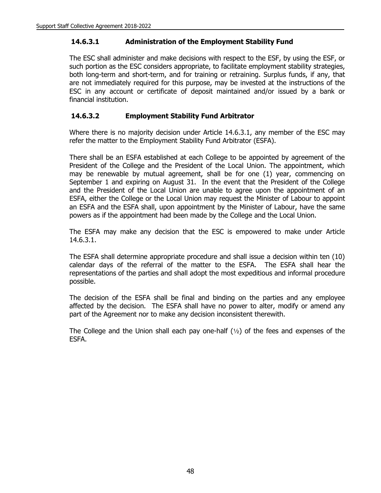#### **14.6.3.1 Administration of the Employment Stability Fund**

The ESC shall administer and make decisions with respect to the ESF, by using the ESF, or such portion as the ESC considers appropriate, to facilitate employment stability strategies, both long-term and short-term, and for training or retraining. Surplus funds, if any, that are not immediately required for this purpose, may be invested at the instructions of the ESC in any account or certificate of deposit maintained and/or issued by a bank or financial institution.

#### **14.6.3.2 Employment Stability Fund Arbitrator**

Where there is no majority decision under Article 14.6.3.1, any member of the ESC may refer the matter to the Employment Stability Fund Arbitrator (ESFA).

There shall be an ESFA established at each College to be appointed by agreement of the President of the College and the President of the Local Union. The appointment, which may be renewable by mutual agreement, shall be for one (1) year, commencing on September 1 and expiring on August 31. In the event that the President of the College and the President of the Local Union are unable to agree upon the appointment of an ESFA, either the College or the Local Union may request the Minister of Labour to appoint an ESFA and the ESFA shall, upon appointment by the Minister of Labour, have the same powers as if the appointment had been made by the College and the Local Union.

The ESFA may make any decision that the ESC is empowered to make under Article 14.6.3.1.

The ESFA shall determine appropriate procedure and shall issue a decision within ten (10) calendar days of the referral of the matter to the ESFA. The ESFA shall hear the representations of the parties and shall adopt the most expeditious and informal procedure possible.

The decision of the ESFA shall be final and binding on the parties and any employee affected by the decision. The ESFA shall have no power to alter, modify or amend any part of the Agreement nor to make any decision inconsistent therewith.

The College and the Union shall each pay one-half  $(1/2)$  of the fees and expenses of the ESFA.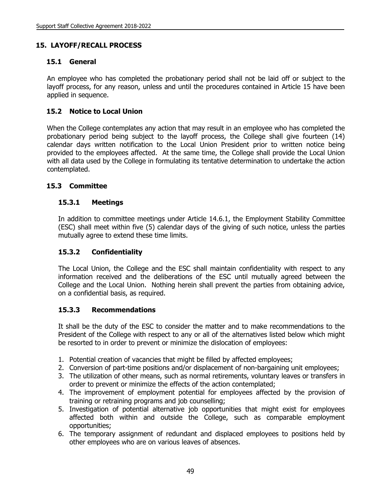### **15. LAYOFF/RECALL PROCESS**

#### **15.1 General**

An employee who has completed the probationary period shall not be laid off or subject to the layoff process, for any reason, unless and until the procedures contained in Article 15 have been applied in sequence.

#### **15.2 Notice to Local Union**

When the College contemplates any action that may result in an employee who has completed the probationary period being subject to the layoff process, the College shall give fourteen (14) calendar days written notification to the Local Union President prior to written notice being provided to the employees affected. At the same time, the College shall provide the Local Union with all data used by the College in formulating its tentative determination to undertake the action contemplated.

#### **15.3 Committee**

#### **15.3.1 Meetings**

In addition to committee meetings under Article 14.6.1, the Employment Stability Committee (ESC) shall meet within five (5) calendar days of the giving of such notice, unless the parties mutually agree to extend these time limits.

#### **15.3.2 Confidentiality**

The Local Union, the College and the ESC shall maintain confidentiality with respect to any information received and the deliberations of the ESC until mutually agreed between the College and the Local Union. Nothing herein shall prevent the parties from obtaining advice, on a confidential basis, as required.

#### **15.3.3 Recommendations**

It shall be the duty of the ESC to consider the matter and to make recommendations to the President of the College with respect to any or all of the alternatives listed below which might be resorted to in order to prevent or minimize the dislocation of employees:

- 1. Potential creation of vacancies that might be filled by affected employees;
- 2. Conversion of part-time positions and/or displacement of non-bargaining unit employees;
- 3. The utilization of other means, such as normal retirements, voluntary leaves or transfers in order to prevent or minimize the effects of the action contemplated;
- 4. The improvement of employment potential for employees affected by the provision of training or retraining programs and job counselling;
- 5. Investigation of potential alternative job opportunities that might exist for employees affected both within and outside the College, such as comparable employment opportunities;
- 6. The temporary assignment of redundant and displaced employees to positions held by other employees who are on various leaves of absences.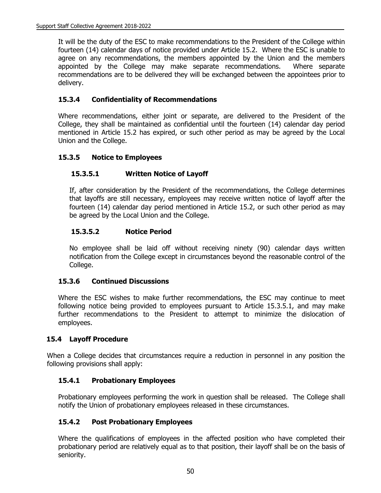It will be the duty of the ESC to make recommendations to the President of the College within fourteen (14) calendar days of notice provided under Article 15.2. Where the ESC is unable to agree on any recommendations, the members appointed by the Union and the members appointed by the College may make separate recommendations. Where separate recommendations are to be delivered they will be exchanged between the appointees prior to delivery.

## **15.3.4 Confidentiality of Recommendations**

Where recommendations, either joint or separate, are delivered to the President of the College, they shall be maintained as confidential until the fourteen (14) calendar day period mentioned in Article 15.2 has expired, or such other period as may be agreed by the Local Union and the College.

## **15.3.5 Notice to Employees**

## **15.3.5.1 Written Notice of Layoff**

If, after consideration by the President of the recommendations, the College determines that layoffs are still necessary, employees may receive written notice of layoff after the fourteen (14) calendar day period mentioned in Article 15.2, or such other period as may be agreed by the Local Union and the College.

### **15.3.5.2 Notice Period**

No employee shall be laid off without receiving ninety (90) calendar days written notification from the College except in circumstances beyond the reasonable control of the College.

#### **15.3.6 Continued Discussions**

Where the ESC wishes to make further recommendations, the ESC may continue to meet following notice being provided to employees pursuant to Article 15.3.5.1, and may make further recommendations to the President to attempt to minimize the dislocation of employees.

#### **15.4 Layoff Procedure**

When a College decides that circumstances require a reduction in personnel in any position the following provisions shall apply:

## **15.4.1 Probationary Employees**

Probationary employees performing the work in question shall be released. The College shall notify the Union of probationary employees released in these circumstances.

#### **15.4.2 Post Probationary Employees**

Where the qualifications of employees in the affected position who have completed their probationary period are relatively equal as to that position, their layoff shall be on the basis of seniority.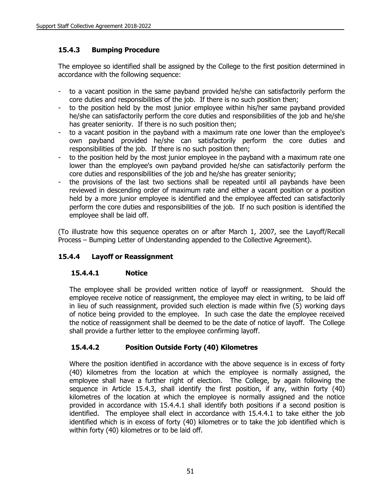# **15.4.3 Bumping Procedure**

The employee so identified shall be assigned by the College to the first position determined in accordance with the following sequence:

- to a vacant position in the same payband provided he/she can satisfactorily perform the core duties and responsibilities of the job. If there is no such position then;
- to the position held by the most junior employee within his/her same payband provided he/she can satisfactorily perform the core duties and responsibilities of the job and he/she has greater seniority. If there is no such position then;
- to a vacant position in the payband with a maximum rate one lower than the employee's own payband provided he/she can satisfactorily perform the core duties and responsibilities of the job. If there is no such position then;
- to the position held by the most junior employee in the payband with a maximum rate one lower than the employee's own payband provided he/she can satisfactorily perform the core duties and responsibilities of the job and he/she has greater seniority;
- the provisions of the last two sections shall be repeated until all paybands have been reviewed in descending order of maximum rate and either a vacant position or a position held by a more junior employee is identified and the employee affected can satisfactorily perform the core duties and responsibilities of the job. If no such position is identified the employee shall be laid off.

(To illustrate how this sequence operates on or after March 1, 2007, see the Layoff/Recall Process – Bumping Letter of Understanding appended to the Collective Agreement).

# **15.4.4 Layoff or Reassignment**

## **15.4.4.1 Notice**

The employee shall be provided written notice of layoff or reassignment. Should the employee receive notice of reassignment, the employee may elect in writing, to be laid off in lieu of such reassignment, provided such election is made within five (5) working days of notice being provided to the employee. In such case the date the employee received the notice of reassignment shall be deemed to be the date of notice of layoff. The College shall provide a further letter to the employee confirming layoff.

# **15.4.4.2 Position Outside Forty (40) Kilometres**

Where the position identified in accordance with the above sequence is in excess of forty (40) kilometres from the location at which the employee is normally assigned, the employee shall have a further right of election. The College, by again following the sequence in Article 15.4.3, shall identify the first position, if any, within forty (40) kilometres of the location at which the employee is normally assigned and the notice provided in accordance with 15.4.4.1 shall identify both positions if a second position is identified. The employee shall elect in accordance with 15.4.4.1 to take either the job identified which is in excess of forty (40) kilometres or to take the job identified which is within forty (40) kilometres or to be laid off.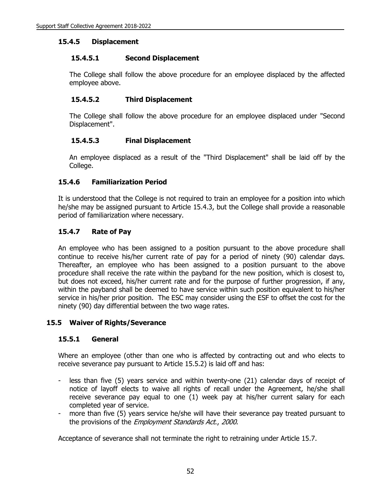#### **15.4.5 Displacement**

#### **15.4.5.1 Second Displacement**

The College shall follow the above procedure for an employee displaced by the affected employee above.

#### **15.4.5.2 Third Displacement**

The College shall follow the above procedure for an employee displaced under "Second Displacement".

#### **15.4.5.3 Final Displacement**

An employee displaced as a result of the "Third Displacement" shall be laid off by the College.

#### **15.4.6 Familiarization Period**

It is understood that the College is not required to train an employee for a position into which he/she may be assigned pursuant to Article 15.4.3, but the College shall provide a reasonable period of familiarization where necessary.

#### **15.4.7 Rate of Pay**

An employee who has been assigned to a position pursuant to the above procedure shall continue to receive his/her current rate of pay for a period of ninety (90) calendar days. Thereafter, an employee who has been assigned to a position pursuant to the above procedure shall receive the rate within the payband for the new position, which is closest to, but does not exceed, his/her current rate and for the purpose of further progression, if any, within the payband shall be deemed to have service within such position equivalent to his/her service in his/her prior position. The ESC may consider using the ESF to offset the cost for the ninety (90) day differential between the two wage rates.

#### **15.5 Waiver of Rights/Severance**

#### **15.5.1 General**

Where an employee (other than one who is affected by contracting out and who elects to receive severance pay pursuant to Article 15.5.2) is laid off and has:

- less than five (5) years service and within twenty-one (21) calendar days of receipt of notice of layoff elects to waive all rights of recall under the Agreement, he/she shall receive severance pay equal to one (1) week pay at his/her current salary for each completed year of service.
- more than five (5) years service he/she will have their severance pay treated pursuant to the provisions of the *Employment Standards Act.*, 2000.

Acceptance of severance shall not terminate the right to retraining under Article 15.7.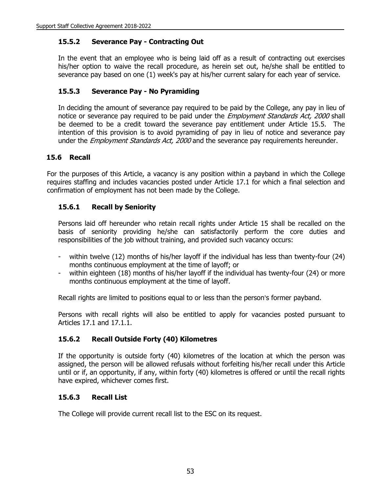#### **15.5.2 Severance Pay - Contracting Out**

In the event that an employee who is being laid off as a result of contracting out exercises his/her option to waive the recall procedure, as herein set out, he/she shall be entitled to severance pay based on one (1) week's pay at his/her current salary for each year of service.

#### **15.5.3 Severance Pay - No Pyramiding**

In deciding the amount of severance pay required to be paid by the College, any pay in lieu of notice or severance pay required to be paid under the *Employment Standards Act, 2000* shall be deemed to be a credit toward the severance pay entitlement under Article 15.5. The intention of this provision is to avoid pyramiding of pay in lieu of notice and severance pay under the *Employment Standards Act, 2000* and the severance pay requirements hereunder.

#### **15.6 Recall**

For the purposes of this Article, a vacancy is any position within a payband in which the College requires staffing and includes vacancies posted under Article 17.1 for which a final selection and confirmation of employment has not been made by the College.

### **15.6.1 Recall by Seniority**

Persons laid off hereunder who retain recall rights under Article 15 shall be recalled on the basis of seniority providing he/she can satisfactorily perform the core duties and responsibilities of the job without training, and provided such vacancy occurs:

- within twelve (12) months of his/her layoff if the individual has less than twenty-four (24) months continuous employment at the time of layoff; or
- within eighteen (18) months of his/her layoff if the individual has twenty-four (24) or more months continuous employment at the time of layoff.

Recall rights are limited to positions equal to or less than the person's former payband.

Persons with recall rights will also be entitled to apply for vacancies posted pursuant to Articles 17.1 and 17.1.1.

#### **15.6.2 Recall Outside Forty (40) Kilometres**

If the opportunity is outside forty (40) kilometres of the location at which the person was assigned, the person will be allowed refusals without forfeiting his/her recall under this Article until or if, an opportunity, if any, within forty (40) kilometres is offered or until the recall rights have expired, whichever comes first.

#### **15.6.3 Recall List**

The College will provide current recall list to the ESC on its request.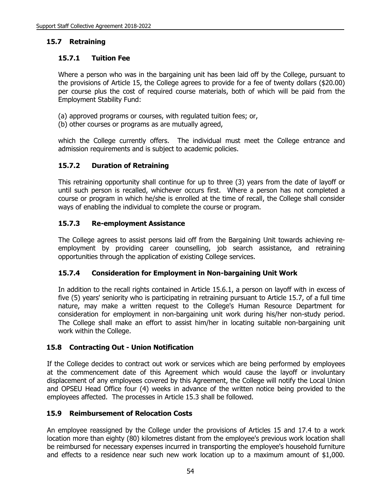### **15.7 Retraining**

#### **15.7.1 Tuition Fee**

Where a person who was in the bargaining unit has been laid off by the College, pursuant to the provisions of Article 15, the College agrees to provide for a fee of twenty dollars (\$20.00) per course plus the cost of required course materials, both of which will be paid from the Employment Stability Fund:

- (a) approved programs or courses, with regulated tuition fees; or,
- (b) other courses or programs as are mutually agreed,

which the College currently offers. The individual must meet the College entrance and admission requirements and is subject to academic policies.

### **15.7.2 Duration of Retraining**

This retraining opportunity shall continue for up to three (3) years from the date of layoff or until such person is recalled, whichever occurs first. Where a person has not completed a course or program in which he/she is enrolled at the time of recall, the College shall consider ways of enabling the individual to complete the course or program.

#### **15.7.3 Re-employment Assistance**

The College agrees to assist persons laid off from the Bargaining Unit towards achieving reemployment by providing career counselling, job search assistance, and retraining opportunities through the application of existing College services.

#### **15.7.4 Consideration for Employment in Non-bargaining Unit Work**

In addition to the recall rights contained in Article 15.6.1, a person on layoff with in excess of five (5) years' seniority who is participating in retraining pursuant to Article 15.7, of a full time nature, may make a written request to the College's Human Resource Department for consideration for employment in non-bargaining unit work during his/her non-study period. The College shall make an effort to assist him/her in locating suitable non-bargaining unit work within the College.

#### **15.8 Contracting Out - Union Notification**

If the College decides to contract out work or services which are being performed by employees at the commencement date of this Agreement which would cause the layoff or involuntary displacement of any employees covered by this Agreement, the College will notify the Local Union and OPSEU Head Office four (4) weeks in advance of the written notice being provided to the employees affected. The processes in Article 15.3 shall be followed.

#### **15.9 Reimbursement of Relocation Costs**

An employee reassigned by the College under the provisions of Articles 15 and 17.4 to a work location more than eighty (80) kilometres distant from the employee's previous work location shall be reimbursed for necessary expenses incurred in transporting the employee's household furniture and effects to a residence near such new work location up to a maximum amount of \$1,000.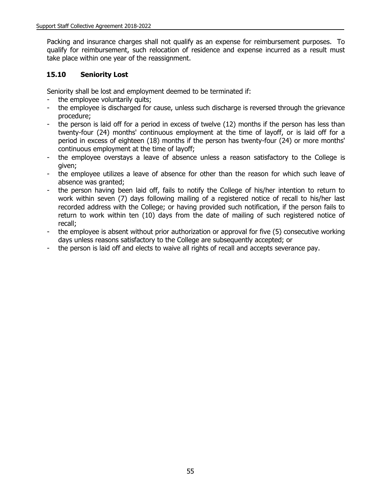Packing and insurance charges shall not qualify as an expense for reimbursement purposes. To qualify for reimbursement, such relocation of residence and expense incurred as a result must take place within one year of the reassignment.

## **15.10 Seniority Lost**

Seniority shall be lost and employment deemed to be terminated if:

- the employee voluntarily quits;
- the employee is discharged for cause, unless such discharge is reversed through the grievance procedure;
- the person is laid off for a period in excess of twelve (12) months if the person has less than twenty-four (24) months' continuous employment at the time of layoff, or is laid off for a period in excess of eighteen (18) months if the person has twenty-four (24) or more months' continuous employment at the time of layoff;
- the employee overstays a leave of absence unless a reason satisfactory to the College is given;
- the employee utilizes a leave of absence for other than the reason for which such leave of absence was granted;
- the person having been laid off, fails to notify the College of his/her intention to return to work within seven (7) days following mailing of a registered notice of recall to his/her last recorded address with the College; or having provided such notification, if the person fails to return to work within ten (10) days from the date of mailing of such registered notice of recall;
- the employee is absent without prior authorization or approval for five (5) consecutive working days unless reasons satisfactory to the College are subsequently accepted; or
- the person is laid off and elects to waive all rights of recall and accepts severance pay.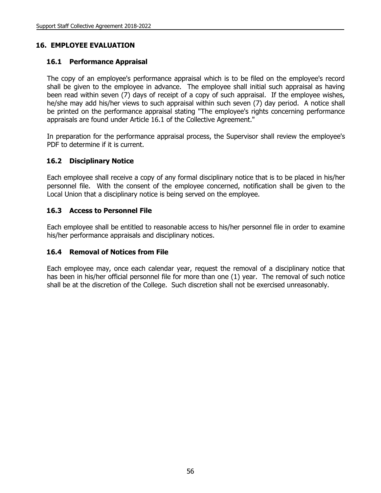## **16. EMPLOYEE EVALUATION**

#### **16.1 Performance Appraisal**

The copy of an employee's performance appraisal which is to be filed on the employee's record shall be given to the employee in advance. The employee shall initial such appraisal as having been read within seven (7) days of receipt of a copy of such appraisal. If the employee wishes, he/she may add his/her views to such appraisal within such seven (7) day period. A notice shall be printed on the performance appraisal stating "The employee's rights concerning performance appraisals are found under Article 16.1 of the Collective Agreement."

In preparation for the performance appraisal process, the Supervisor shall review the employee's PDF to determine if it is current.

### **16.2 Disciplinary Notice**

Each employee shall receive a copy of any formal disciplinary notice that is to be placed in his/her personnel file. With the consent of the employee concerned, notification shall be given to the Local Union that a disciplinary notice is being served on the employee.

### **16.3 Access to Personnel File**

Each employee shall be entitled to reasonable access to his/her personnel file in order to examine his/her performance appraisals and disciplinary notices.

#### **16.4 Removal of Notices from File**

Each employee may, once each calendar year, request the removal of a disciplinary notice that has been in his/her official personnel file for more than one (1) year. The removal of such notice shall be at the discretion of the College. Such discretion shall not be exercised unreasonably.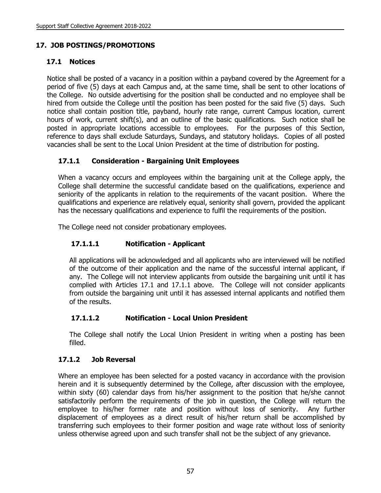# **17. JOB POSTINGS/PROMOTIONS**

# **17.1 Notices**

Notice shall be posted of a vacancy in a position within a payband covered by the Agreement for a period of five (5) days at each Campus and, at the same time, shall be sent to other locations of the College. No outside advertising for the position shall be conducted and no employee shall be hired from outside the College until the position has been posted for the said five (5) days. Such notice shall contain position title, payband, hourly rate range, current Campus location, current hours of work, current shift(s), and an outline of the basic qualifications. Such notice shall be posted in appropriate locations accessible to employees. For the purposes of this Section, reference to days shall exclude Saturdays, Sundays, and statutory holidays. Copies of all posted vacancies shall be sent to the Local Union President at the time of distribution for posting.

## **17.1.1 Consideration - Bargaining Unit Employees**

When a vacancy occurs and employees within the bargaining unit at the College apply, the College shall determine the successful candidate based on the qualifications, experience and seniority of the applicants in relation to the requirements of the vacant position. Where the qualifications and experience are relatively equal, seniority shall govern, provided the applicant has the necessary qualifications and experience to fulfil the requirements of the position.

The College need not consider probationary employees.

# **17.1.1.1 Notification - Applicant**

All applications will be acknowledged and all applicants who are interviewed will be notified of the outcome of their application and the name of the successful internal applicant, if any. The College will not interview applicants from outside the bargaining unit until it has complied with Articles 17.1 and 17.1.1 above. The College will not consider applicants from outside the bargaining unit until it has assessed internal applicants and notified them of the results.

## **17.1.1.2 Notification - Local Union President**

The College shall notify the Local Union President in writing when a posting has been filled.

## **17.1.2 Job Reversal**

Where an employee has been selected for a posted vacancy in accordance with the provision herein and it is subsequently determined by the College, after discussion with the employee, within sixty (60) calendar days from his/her assignment to the position that he/she cannot satisfactorily perform the requirements of the job in question, the College will return the employee to his/her former rate and position without loss of seniority. Any further displacement of employees as a direct result of his/her return shall be accomplished by transferring such employees to their former position and wage rate without loss of seniority unless otherwise agreed upon and such transfer shall not be the subject of any grievance.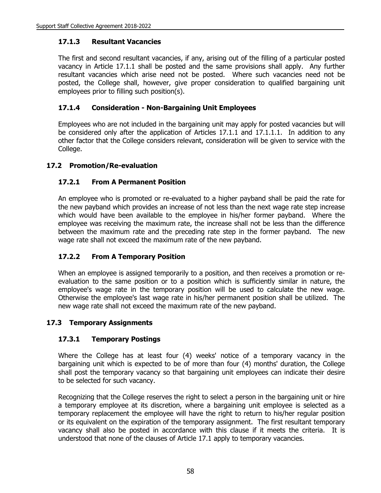### **17.1.3 Resultant Vacancies**

The first and second resultant vacancies, if any, arising out of the filling of a particular posted vacancy in Article 17.1.1 shall be posted and the same provisions shall apply. Any further resultant vacancies which arise need not be posted. Where such vacancies need not be posted, the College shall, however, give proper consideration to qualified bargaining unit employees prior to filling such position(s).

## **17.1.4 Consideration - Non-Bargaining Unit Employees**

Employees who are not included in the bargaining unit may apply for posted vacancies but will be considered only after the application of Articles 17.1.1 and 17.1.1.1. In addition to any other factor that the College considers relevant, consideration will be given to service with the College.

## **17.2 Promotion/Re-evaluation**

## **17.2.1 From A Permanent Position**

An employee who is promoted or re-evaluated to a higher payband shall be paid the rate for the new payband which provides an increase of not less than the next wage rate step increase which would have been available to the employee in his/her former payband. Where the employee was receiving the maximum rate, the increase shall not be less than the difference between the maximum rate and the preceding rate step in the former payband. The new wage rate shall not exceed the maximum rate of the new payband.

## **17.2.2 From A Temporary Position**

When an employee is assigned temporarily to a position, and then receives a promotion or reevaluation to the same position or to a position which is sufficiently similar in nature, the employee's wage rate in the temporary position will be used to calculate the new wage. Otherwise the employee's last wage rate in his/her permanent position shall be utilized. The new wage rate shall not exceed the maximum rate of the new payband.

#### **17.3 Temporary Assignments**

## **17.3.1 Temporary Postings**

Where the College has at least four (4) weeks' notice of a temporary vacancy in the bargaining unit which is expected to be of more than four (4) months' duration, the College shall post the temporary vacancy so that bargaining unit employees can indicate their desire to be selected for such vacancy.

Recognizing that the College reserves the right to select a person in the bargaining unit or hire a temporary employee at its discretion, where a bargaining unit employee is selected as a temporary replacement the employee will have the right to return to his/her regular position or its equivalent on the expiration of the temporary assignment. The first resultant temporary vacancy shall also be posted in accordance with this clause if it meets the criteria. It is understood that none of the clauses of Article 17.1 apply to temporary vacancies.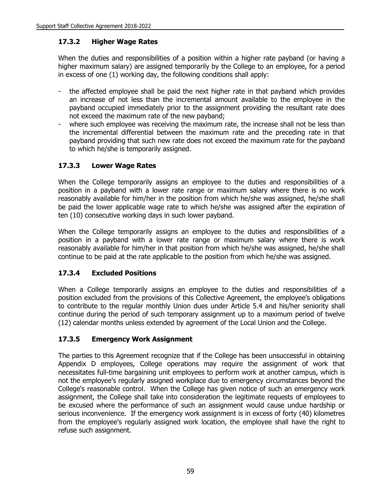## **17.3.2 Higher Wage Rates**

When the duties and responsibilities of a position within a higher rate payband (or having a higher maximum salary) are assigned temporarily by the College to an employee, for a period in excess of one (1) working day, the following conditions shall apply:

- the affected employee shall be paid the next higher rate in that payband which provides an increase of not less than the incremental amount available to the employee in the payband occupied immediately prior to the assignment providing the resultant rate does not exceed the maximum rate of the new payband;
- where such employee was receiving the maximum rate, the increase shall not be less than the incremental differential between the maximum rate and the preceding rate in that payband providing that such new rate does not exceed the maximum rate for the payband to which he/she is temporarily assigned.

# **17.3.3 Lower Wage Rates**

When the College temporarily assigns an employee to the duties and responsibilities of a position in a payband with a lower rate range or maximum salary where there is no work reasonably available for him/her in the position from which he/she was assigned, he/she shall be paid the lower applicable wage rate to which he/she was assigned after the expiration of ten (10) consecutive working days in such lower payband.

When the College temporarily assigns an employee to the duties and responsibilities of a position in a payband with a lower rate range or maximum salary where there is work reasonably available for him/her in that position from which he/she was assigned, he/she shall continue to be paid at the rate applicable to the position from which he/she was assigned.

## **17.3.4 Excluded Positions**

When a College temporarily assigns an employee to the duties and responsibilities of a position excluded from the provisions of this Collective Agreement, the employee's obligations to contribute to the regular monthly Union dues under Article 5.4 and his/her seniority shall continue during the period of such temporary assignment up to a maximum period of twelve (12) calendar months unless extended by agreement of the Local Union and the College.

## **17.3.5 Emergency Work Assignment**

The parties to this Agreement recognize that if the College has been unsuccessful in obtaining Appendix D employees, College operations may require the assignment of work that necessitates full-time bargaining unit employees to perform work at another campus, which is not the employee's regularly assigned workplace due to emergency circumstances beyond the College's reasonable control. When the College has given notice of such an emergency work assignment, the College shall take into consideration the legitimate requests of employees to be excused where the performance of such an assignment would cause undue hardship or serious inconvenience. If the emergency work assignment is in excess of forty (40) kilometres from the employee's regularly assigned work location, the employee shall have the right to refuse such assignment.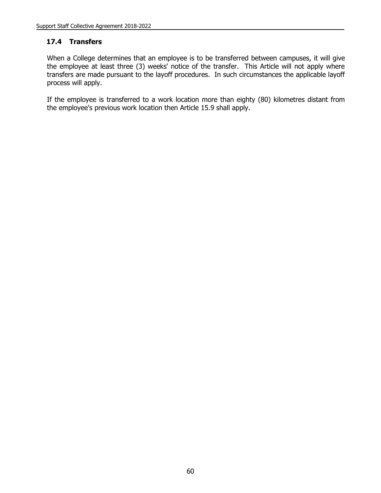### **17.4 Transfers**

When a College determines that an employee is to be transferred between campuses, it will give the employee at least three (3) weeks' notice of the transfer. This Article will not apply where transfers are made pursuant to the layoff procedures. In such circumstances the applicable layoff process will apply.

If the employee is transferred to a work location more than eighty (80) kilometres distant from the employee's previous work location then Article 15.9 shall apply.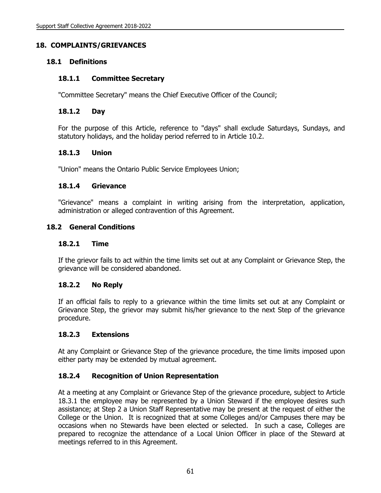# **18. COMPLAINTS/GRIEVANCES**

## **18.1 Definitions**

### **18.1.1 Committee Secretary**

"Committee Secretary" means the Chief Executive Officer of the Council;

### **18.1.2 Day**

For the purpose of this Article, reference to "days" shall exclude Saturdays, Sundays, and statutory holidays, and the holiday period referred to in Article 10.2.

### **18.1.3 Union**

"Union" means the Ontario Public Service Employees Union;

### **18.1.4 Grievance**

"Grievance" means a complaint in writing arising from the interpretation, application, administration or alleged contravention of this Agreement.

## **18.2 General Conditions**

### **18.2.1 Time**

If the grievor fails to act within the time limits set out at any Complaint or Grievance Step, the grievance will be considered abandoned.

### **18.2.2 No Reply**

If an official fails to reply to a grievance within the time limits set out at any Complaint or Grievance Step, the grievor may submit his/her grievance to the next Step of the grievance procedure.

### **18.2.3 Extensions**

At any Complaint or Grievance Step of the grievance procedure, the time limits imposed upon either party may be extended by mutual agreement.

# **18.2.4 Recognition of Union Representation**

At a meeting at any Complaint or Grievance Step of the grievance procedure, subject to Article 18.3.1 the employee may be represented by a Union Steward if the employee desires such assistance; at Step 2 a Union Staff Representative may be present at the request of either the College or the Union. It is recognized that at some Colleges and/or Campuses there may be occasions when no Stewards have been elected or selected. In such a case, Colleges are prepared to recognize the attendance of a Local Union Officer in place of the Steward at meetings referred to in this Agreement.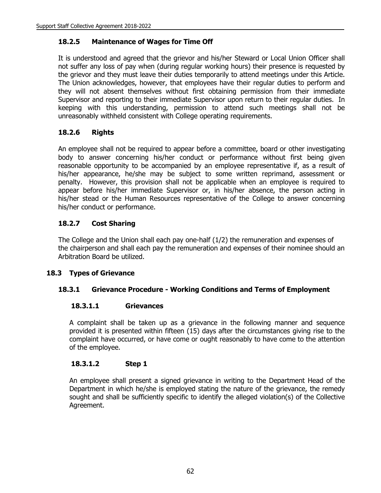# **18.2.5 Maintenance of Wages for Time Off**

It is understood and agreed that the grievor and his/her Steward or Local Union Officer shall not suffer any loss of pay when (during regular working hours) their presence is requested by the grievor and they must leave their duties temporarily to attend meetings under this Article. The Union acknowledges, however, that employees have their regular duties to perform and they will not absent themselves without first obtaining permission from their immediate Supervisor and reporting to their immediate Supervisor upon return to their regular duties. In keeping with this understanding, permission to attend such meetings shall not be unreasonably withheld consistent with College operating requirements.

# **18.2.6 Rights**

An employee shall not be required to appear before a committee, board or other investigating body to answer concerning his/her conduct or performance without first being given reasonable opportunity to be accompanied by an employee representative if, as a result of his/her appearance, he/she may be subject to some written reprimand, assessment or penalty. However, this provision shall not be applicable when an employee is required to appear before his/her immediate Supervisor or, in his/her absence, the person acting in his/her stead or the Human Resources representative of the College to answer concerning his/her conduct or performance.

# **18.2.7 Cost Sharing**

The College and the Union shall each pay one-half (1/2) the remuneration and expenses of the chairperson and shall each pay the remuneration and expenses of their nominee should an Arbitration Board be utilized.

# **18.3 Types of Grievance**

# **18.3.1 Grievance Procedure - Working Conditions and Terms of Employment**

### **18.3.1.1 Grievances**

A complaint shall be taken up as a grievance in the following manner and sequence provided it is presented within fifteen (15) days after the circumstances giving rise to the complaint have occurred, or have come or ought reasonably to have come to the attention of the employee.

# **18.3.1.2 Step 1**

An employee shall present a signed grievance in writing to the Department Head of the Department in which he/she is employed stating the nature of the grievance, the remedy sought and shall be sufficiently specific to identify the alleged violation(s) of the Collective Agreement.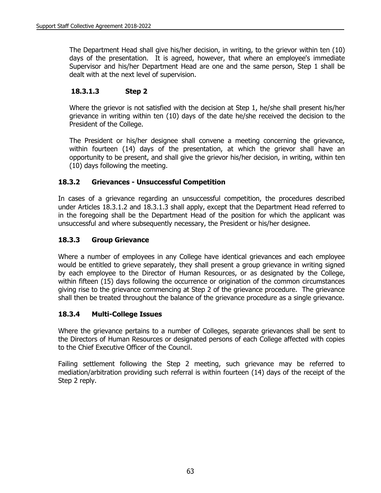The Department Head shall give his/her decision, in writing, to the grievor within ten (10) days of the presentation. It is agreed, however, that where an employee's immediate Supervisor and his/her Department Head are one and the same person, Step 1 shall be dealt with at the next level of supervision.

# **18.3.1.3 Step 2**

Where the grievor is not satisfied with the decision at Step 1, he/she shall present his/her grievance in writing within ten (10) days of the date he/she received the decision to the President of the College.

The President or his/her designee shall convene a meeting concerning the grievance, within fourteen (14) days of the presentation, at which the grievor shall have an opportunity to be present, and shall give the grievor his/her decision, in writing, within ten (10) days following the meeting.

# **18.3.2 Grievances - Unsuccessful Competition**

In cases of a grievance regarding an unsuccessful competition, the procedures described under Articles 18.3.1.2 and 18.3.1.3 shall apply, except that the Department Head referred to in the foregoing shall be the Department Head of the position for which the applicant was unsuccessful and where subsequently necessary, the President or his/her designee.

# **18.3.3 Group Grievance**

Where a number of employees in any College have identical grievances and each employee would be entitled to grieve separately, they shall present a group grievance in writing signed by each employee to the Director of Human Resources, or as designated by the College, within fifteen (15) days following the occurrence or origination of the common circumstances giving rise to the grievance commencing at Step 2 of the grievance procedure. The grievance shall then be treated throughout the balance of the grievance procedure as a single grievance.

# **18.3.4 Multi-College Issues**

Where the grievance pertains to a number of Colleges, separate grievances shall be sent to the Directors of Human Resources or designated persons of each College affected with copies to the Chief Executive Officer of the Council.

Failing settlement following the Step 2 meeting, such grievance may be referred to mediation/arbitration providing such referral is within fourteen (14) days of the receipt of the Step 2 reply.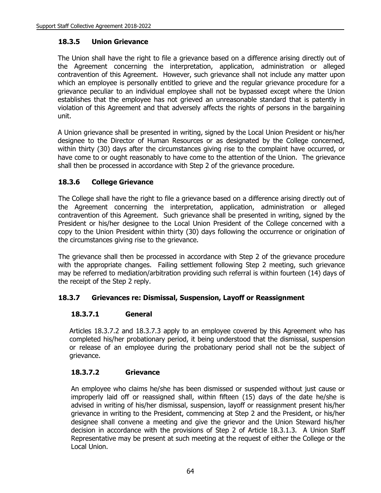# **18.3.5 Union Grievance**

The Union shall have the right to file a grievance based on a difference arising directly out of the Agreement concerning the interpretation, application, administration or alleged contravention of this Agreement. However, such grievance shall not include any matter upon which an employee is personally entitled to grieve and the regular grievance procedure for a grievance peculiar to an individual employee shall not be bypassed except where the Union establishes that the employee has not grieved an unreasonable standard that is patently in violation of this Agreement and that adversely affects the rights of persons in the bargaining unit.

A Union grievance shall be presented in writing, signed by the Local Union President or his/her designee to the Director of Human Resources or as designated by the College concerned, within thirty (30) days after the circumstances giving rise to the complaint have occurred, or have come to or ought reasonably to have come to the attention of the Union. The grievance shall then be processed in accordance with Step 2 of the grievance procedure.

# **18.3.6 College Grievance**

The College shall have the right to file a grievance based on a difference arising directly out of the Agreement concerning the interpretation, application, administration or alleged contravention of this Agreement. Such grievance shall be presented in writing, signed by the President or his/her designee to the Local Union President of the College concerned with a copy to the Union President within thirty (30) days following the occurrence or origination of the circumstances giving rise to the grievance.

The grievance shall then be processed in accordance with Step 2 of the grievance procedure with the appropriate changes. Failing settlement following Step 2 meeting, such grievance may be referred to mediation/arbitration providing such referral is within fourteen (14) days of the receipt of the Step 2 reply.

# **18.3.7 Grievances re: Dismissal, Suspension, Layoff or Reassignment**

# **18.3.7.1 General**

Articles 18.3.7.2 and 18.3.7.3 apply to an employee covered by this Agreement who has completed his/her probationary period, it being understood that the dismissal, suspension or release of an employee during the probationary period shall not be the subject of grievance.

# **18.3.7.2 Grievance**

An employee who claims he/she has been dismissed or suspended without just cause or improperly laid off or reassigned shall, within fifteen (15) days of the date he/she is advised in writing of his/her dismissal, suspension, layoff or reassignment present his/her grievance in writing to the President, commencing at Step 2 and the President, or his/her designee shall convene a meeting and give the grievor and the Union Steward his/her decision in accordance with the provisions of Step 2 of Article 18.3.1.3.A Union Staff Representative may be present at such meeting at the request of either the College or the Local Union.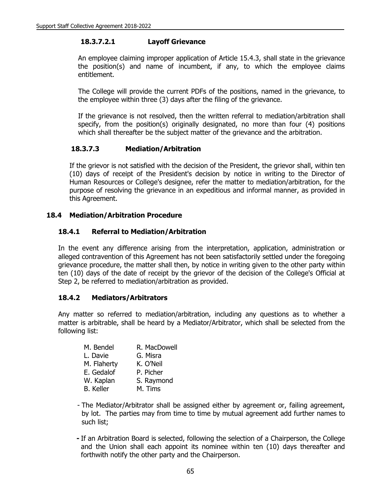# **18.3.7.2.1 Layoff Grievance**

An employee claiming improper application of Article 15.4.3, shall state in the grievance the position(s) and name of incumbent, if any, to which the employee claims entitlement.

The College will provide the current PDFs of the positions, named in the grievance, to the employee within three (3) days after the filing of the grievance.

If the grievance is not resolved, then the written referral to mediation/arbitration shall specify, from the position(s) originally designated, no more than four (4) positions which shall thereafter be the subject matter of the grievance and the arbitration.

# **18.3.7.3 Mediation/Arbitration**

If the grievor is not satisfied with the decision of the President, the grievor shall, within ten (10) days of receipt of the President's decision by notice in writing to the Director of Human Resources or College's designee, refer the matter to mediation/arbitration, for the purpose of resolving the grievance in an expeditious and informal manner, as provided in this Agreement.

# **18.4 Mediation/Arbitration Procedure**

# **18.4.1 Referral to Mediation/Arbitration**

In the event any difference arising from the interpretation, application, administration or alleged contravention of this Agreement has not been satisfactorily settled under the foregoing grievance procedure, the matter shall then, by notice in writing given to the other party within ten (10) days of the date of receipt by the grievor of the decision of the College's Official at Step 2, be referred to mediation/arbitration as provided.

# **18.4.2 Mediators/Arbitrators**

Any matter so referred to mediation/arbitration, including any questions as to whether a matter is arbitrable, shall be heard by a Mediator/Arbitrator, which shall be selected from the following list:

| M. Bendel        | R. MacDowell |
|------------------|--------------|
| L. Davie         | G. Misra     |
| M. Flaherty      | K. O'Neil    |
| E. Gedalof       | P. Picher    |
| W. Kaplan        | S. Raymond   |
| <b>B.</b> Keller | M. Tims      |

- The Mediator/Arbitrator shall be assigned either by agreement or, failing agreement, by lot. The parties may from time to time by mutual agreement add further names to such list;
- **-** If an Arbitration Board is selected, following the selection of a Chairperson, the College and the Union shall each appoint its nominee within ten (10) days thereafter and forthwith notify the other party and the Chairperson.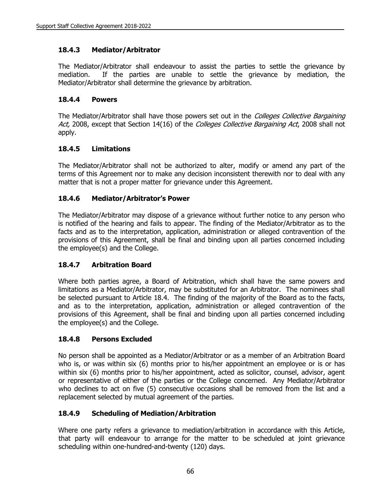# **18.4.3 Mediator/Arbitrator**

The Mediator/Arbitrator shall endeavour to assist the parties to settle the grievance by mediation. If the parties are unable to settle the grievance by mediation, the Mediator/Arbitrator shall determine the grievance by arbitration.

# **18.4.4 Powers**

The Mediator/Arbitrator shall have those powers set out in the Colleges Collective Bargaining Act, 2008, except that Section 14(16) of the Colleges Collective Bargaining Act, 2008 shall not apply.

# **18.4.5 Limitations**

The Mediator/Arbitrator shall not be authorized to alter, modify or amend any part of the terms of this Agreement nor to make any decision inconsistent therewith nor to deal with any matter that is not a proper matter for grievance under this Agreement.

# **18.4.6 Mediator/Arbitrator's Power**

The Mediator/Arbitrator may dispose of a grievance without further notice to any person who is notified of the hearing and fails to appear. The finding of the Mediator/Arbitrator as to the facts and as to the interpretation, application, administration or alleged contravention of the provisions of this Agreement, shall be final and binding upon all parties concerned including the employee(s) and the College.

# **18.4.7 Arbitration Board**

Where both parties agree, a Board of Arbitration, which shall have the same powers and limitations as a Mediator/Arbitrator, may be substituted for an Arbitrator. The nominees shall be selected pursuant to Article 18.4. The finding of the majority of the Board as to the facts, and as to the interpretation, application, administration or alleged contravention of the provisions of this Agreement, shall be final and binding upon all parties concerned including the employee(s) and the College.

# **18.4.8 Persons Excluded**

No person shall be appointed as a Mediator/Arbitrator or as a member of an Arbitration Board who is, or was within six (6) months prior to his/her appointment an employee or is or has within six (6) months prior to his/her appointment, acted as solicitor, counsel, advisor, agent or representative of either of the parties or the College concerned. Any Mediator/Arbitrator who declines to act on five (5) consecutive occasions shall be removed from the list and a replacement selected by mutual agreement of the parties.

# **18.4.9 Scheduling of Mediation/Arbitration**

Where one party refers a grievance to mediation/arbitration in accordance with this Article, that party will endeavour to arrange for the matter to be scheduled at joint grievance scheduling within one-hundred-and-twenty (120) days.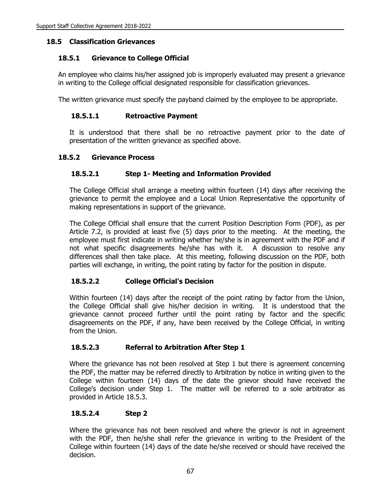# **18.5 Classification Grievances**

# **18.5.1 Grievance to College Official**

An employee who claims his/her assigned job is improperly evaluated may present a grievance in writing to the College official designated responsible for classification grievances.

The written grievance must specify the payband claimed by the employee to be appropriate.

# **18.5.1.1 Retroactive Payment**

It is understood that there shall be no retroactive payment prior to the date of presentation of the written grievance as specified above.

# **18.5.2 Grievance Process**

# **18.5.2.1 Step 1- Meeting and Information Provided**

The College Official shall arrange a meeting within fourteen (14) days after receiving the grievance to permit the employee and a Local Union Representative the opportunity of making representations in support of the grievance.

The College Official shall ensure that the current Position Description Form (PDF), as per Article 7.2, is provided at least five (5) days prior to the meeting. At the meeting, the employee must first indicate in writing whether he/she is in agreement with the PDF and if not what specific disagreements he/she has with it. A discussion to resolve any differences shall then take place. At this meeting, following discussion on the PDF, both parties will exchange, in writing, the point rating by factor for the position in dispute.

# **18.5.2.2 College Official's Decision**

Within fourteen (14) days after the receipt of the point rating by factor from the Union, the College Official shall give his/her decision in writing. It is understood that the grievance cannot proceed further until the point rating by factor and the specific disagreements on the PDF, if any, have been received by the College Official, in writing from the Union.

# **18.5.2.3 Referral to Arbitration After Step 1**

Where the grievance has not been resolved at Step 1 but there is agreement concerning the PDF, the matter may be referred directly to Arbitration by notice in writing given to the College within fourteen (14) days of the date the grievor should have received the College's decision under Step 1. The matter will be referred to a sole arbitrator as provided in Article 18.5.3.

# **18.5.2.4 Step 2**

Where the grievance has not been resolved and where the grievor is not in agreement with the PDF, then he/she shall refer the grievance in writing to the President of the College within fourteen (14) days of the date he/she received or should have received the decision.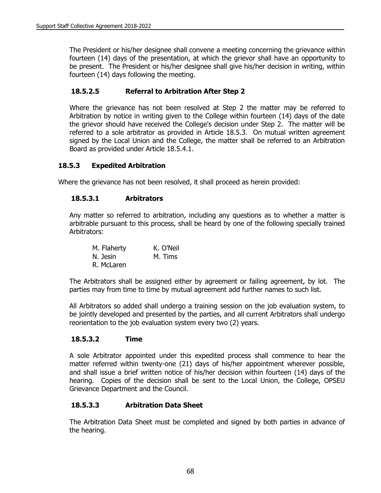The President or his/her designee shall convene a meeting concerning the grievance within fourteen (14) days of the presentation, at which the grievor shall have an opportunity to be present. The President or his/her designee shall give his/her decision in writing, within fourteen (14) days following the meeting.

# **18.5.2.5 Referral to Arbitration After Step 2**

Where the grievance has not been resolved at Step 2 the matter may be referred to Arbitration by notice in writing given to the College within fourteen (14) days of the date the grievor should have received the College's decision under Step 2. The matter will be referred to a sole arbitrator as provided in Article 18.5.3. On mutual written agreement signed by the Local Union and the College, the matter shall be referred to an Arbitration Board as provided under Article 18.5.4.1.

## **18.5.3 Expedited Arbitration**

Where the grievance has not been resolved, it shall proceed as herein provided:

## **18.5.3.1 Arbitrators**

Any matter so referred to arbitration, including any questions as to whether a matter is arbitrable pursuant to this process, shall be heard by one of the following specially trained Arbitrators:

| M. Flaherty | K. O'Neil |
|-------------|-----------|
| N. Jesin    | M. Tims   |
| R. McLaren  |           |

The Arbitrators shall be assigned either by agreement or failing agreement, by lot. The parties may from time to time by mutual agreement add further names to such list.

All Arbitrators so added shall undergo a training session on the job evaluation system, to be jointly developed and presented by the parties, and all current Arbitrators shall undergo reorientation to the job evaluation system every two (2) years.

### **18.5.3.2 Time**

A sole Arbitrator appointed under this expedited process shall commence to hear the matter referred within twenty-one (21) days of his/her appointment wherever possible, and shall issue a brief written notice of his/her decision within fourteen (14) days of the hearing. Copies of the decision shall be sent to the Local Union, the College, OPSEU Grievance Department and the Council.

### **18.5.3.3 Arbitration Data Sheet**

The Arbitration Data Sheet must be completed and signed by both parties in advance of the hearing.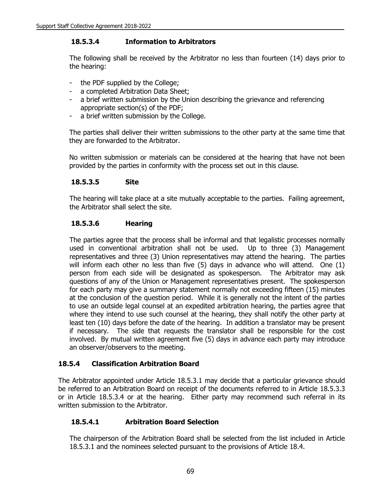# **18.5.3.4 Information to Arbitrators**

The following shall be received by the Arbitrator no less than fourteen (14) days prior to the hearing:

- the PDF supplied by the College;
- a completed Arbitration Data Sheet;
- a brief written submission by the Union describing the grievance and referencing appropriate section(s) of the PDF;
- a brief written submission by the College.

The parties shall deliver their written submissions to the other party at the same time that they are forwarded to the Arbitrator.

No written submission or materials can be considered at the hearing that have not been provided by the parties in conformity with the process set out in this clause.

### **18.5.3.5 Site**

The hearing will take place at a site mutually acceptable to the parties. Failing agreement, the Arbitrator shall select the site.

## **18.5.3.6 Hearing**

The parties agree that the process shall be informal and that legalistic processes normally used in conventional arbitration shall not be used. Up to three (3) Management representatives and three (3) Union representatives may attend the hearing. The parties will inform each other no less than five (5) days in advance who will attend. One (1) person from each side will be designated as spokesperson. The Arbitrator may ask questions of any of the Union or Management representatives present. The spokesperson for each party may give a summary statement normally not exceeding fifteen (15) minutes at the conclusion of the question period. While it is generally not the intent of the parties to use an outside legal counsel at an expedited arbitration hearing, the parties agree that where they intend to use such counsel at the hearing, they shall notify the other party at least ten (10) days before the date of the hearing. In addition a translator may be present if necessary. The side that requests the translator shall be responsible for the cost involved. By mutual written agreement five (5) days in advance each party may introduce an observer/observers to the meeting.

# **18.5.4 Classification Arbitration Board**

The Arbitrator appointed under Article 18.5.3.1 may decide that a particular grievance should be referred to an Arbitration Board on receipt of the documents referred to in Article 18.5.3.3 or in Article 18.5.3.4 or at the hearing. Either party may recommend such referral in its written submission to the Arbitrator.

# **18.5.4.1 Arbitration Board Selection**

The chairperson of the Arbitration Board shall be selected from the list included in Article 18.5.3.1 and the nominees selected pursuant to the provisions of Article 18.4.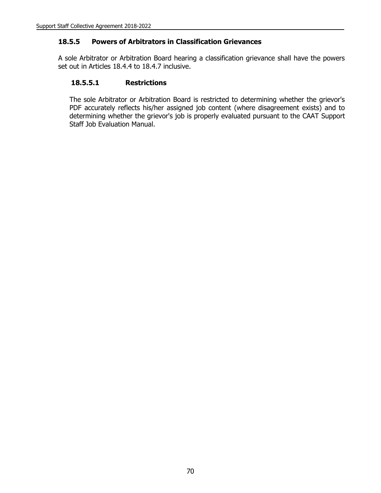# **18.5.5 Powers of Arbitrators in Classification Grievances**

A sole Arbitrator or Arbitration Board hearing a classification grievance shall have the powers set out in Articles 18.4.4 to 18.4.7 inclusive.

## **18.5.5.1 Restrictions**

The sole Arbitrator or Arbitration Board is restricted to determining whether the grievor's PDF accurately reflects his/her assigned job content (where disagreement exists) and to determining whether the grievor's job is properly evaluated pursuant to the CAAT Support Staff Job Evaluation Manual.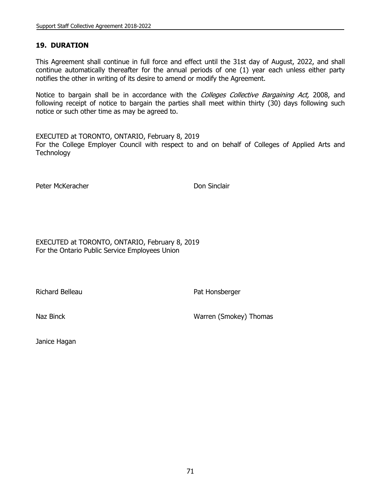## **19. DURATION**

This Agreement shall continue in full force and effect until the 31st day of August, 2022, and shall continue automatically thereafter for the annual periods of one (1) year each unless either party notifies the other in writing of its desire to amend or modify the Agreement.

Notice to bargain shall be in accordance with the Colleges Collective Bargaining Act, 2008, and following receipt of notice to bargain the parties shall meet within thirty (30) days following such notice or such other time as may be agreed to.

EXECUTED at TORONTO, ONTARIO, February 8, 2019 For the College Employer Council with respect to and on behalf of Colleges of Applied Arts and **Technology** 

Peter McKeracher **Don Sinclair** 

EXECUTED at TORONTO, ONTARIO, February 8, 2019 For the Ontario Public Service Employees Union

Richard Belleau **Pat Honsberger** Pat Honsberger

Naz Binck Warren (Smokey) Thomas

Janice Hagan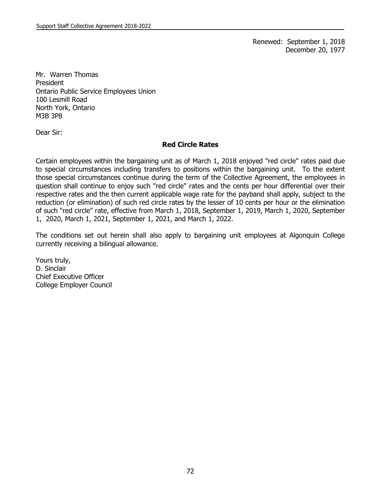Renewed: September 1, 2018 December 20, 1977

Mr. Warren Thomas President Ontario Public Service Employees Union 100 Lesmill Road North York, Ontario M3B 3P8

Dear Sir:

#### **Red Circle Rates**

Certain employees within the bargaining unit as of March 1, 2018 enjoyed "red circle" rates paid due to special circumstances including transfers to positions within the bargaining unit. To the extent those special circumstances continue during the term of the Collective Agreement, the employees in question shall continue to enjoy such "red circle" rates and the cents per hour differential over their respective rates and the then current applicable wage rate for the payband shall apply, subject to the reduction (or elimination) of such red circle rates by the lesser of 10 cents per hour or the elimination of such "red circle" rate, effective from March 1, 2018, September 1, 2019, March 1, 2020, September 1, 2020, March 1, 2021, September 1, 2021, and March 1, 2022.

The conditions set out herein shall also apply to bargaining unit employees at Algonquin College currently receiving a bilingual allowance.

Yours truly, D. Sinclair Chief Executive Officer College Employer Council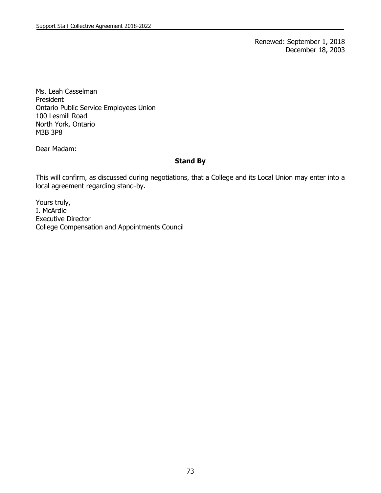Renewed: September 1, 2018 December 18, 2003

Ms. Leah Casselman President Ontario Public Service Employees Union 100 Lesmill Road North York, Ontario M3B 3P8

Dear Madam:

## **Stand By**

This will confirm, as discussed during negotiations, that a College and its Local Union may enter into a local agreement regarding stand-by.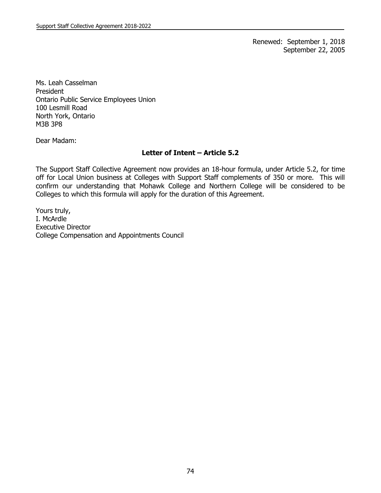Renewed: September 1, 2018 September 22, 2005

Ms. Leah Casselman President Ontario Public Service Employees Union 100 Lesmill Road North York, Ontario M3B 3P8

Dear Madam:

### **Letter of Intent – Article 5.2**

The Support Staff Collective Agreement now provides an 18-hour formula, under Article 5.2, for time off for Local Union business at Colleges with Support Staff complements of 350 or more. This will confirm our understanding that Mohawk College and Northern College will be considered to be Colleges to which this formula will apply for the duration of this Agreement.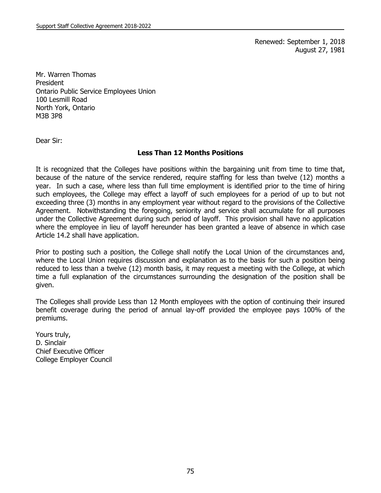Renewed: September 1, 2018 August 27, 1981

Mr. Warren Thomas President Ontario Public Service Employees Union 100 Lesmill Road North York, Ontario M3B 3P8

Dear Sir:

### **Less Than 12 Months Positions**

It is recognized that the Colleges have positions within the bargaining unit from time to time that, because of the nature of the service rendered, require staffing for less than twelve (12) months a year. In such a case, where less than full time employment is identified prior to the time of hiring such employees, the College may effect a layoff of such employees for a period of up to but not exceeding three (3) months in any employment year without regard to the provisions of the Collective Agreement. Notwithstanding the foregoing, seniority and service shall accumulate for all purposes under the Collective Agreement during such period of layoff. This provision shall have no application where the employee in lieu of layoff hereunder has been granted a leave of absence in which case Article 14.2 shall have application.

Prior to posting such a position, the College shall notify the Local Union of the circumstances and, where the Local Union requires discussion and explanation as to the basis for such a position being reduced to less than a twelve (12) month basis, it may request a meeting with the College, at which time a full explanation of the circumstances surrounding the designation of the position shall be given.

The Colleges shall provide Less than 12 Month employees with the option of continuing their insured benefit coverage during the period of annual lay-off provided the employee pays 100% of the premiums.

Yours truly, D. Sinclair Chief Executive Officer College Employer Council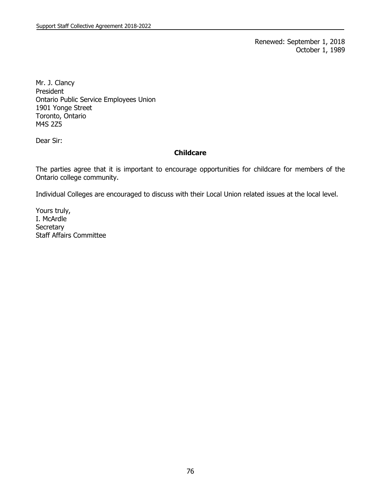Renewed: September 1, 2018 October 1, 1989

Mr. J. Clancy President Ontario Public Service Employees Union 1901 Yonge Street Toronto, Ontario M4S 2Z5

Dear Sir:

## **Childcare**

The parties agree that it is important to encourage opportunities for childcare for members of the Ontario college community.

Individual Colleges are encouraged to discuss with their Local Union related issues at the local level.

Yours truly, I. McArdle **Secretary** Staff Affairs Committee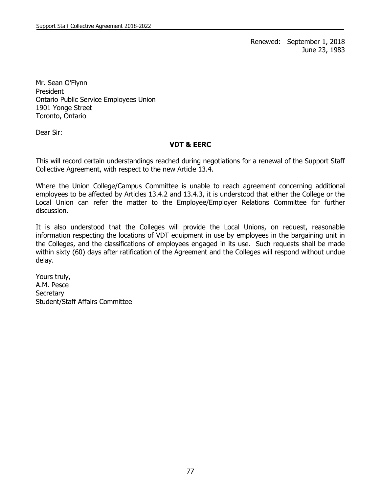Renewed: September 1, 2018 June 23, 1983

Mr. Sean O'Flynn President Ontario Public Service Employees Union 1901 Yonge Street Toronto, Ontario

Dear Sir:

### **VDT & EERC**

This will record certain understandings reached during negotiations for a renewal of the Support Staff Collective Agreement, with respect to the new Article 13.4.

Where the Union College/Campus Committee is unable to reach agreement concerning additional employees to be affected by Articles 13.4.2 and 13.4.3, it is understood that either the College or the Local Union can refer the matter to the Employee/Employer Relations Committee for further discussion.

It is also understood that the Colleges will provide the Local Unions, on request, reasonable information respecting the locations of VDT equipment in use by employees in the bargaining unit in the Colleges, and the classifications of employees engaged in its use. Such requests shall be made within sixty (60) days after ratification of the Agreement and the Colleges will respond without undue delay.

Yours truly, A.M. Pesce **Secretary** Student/Staff Affairs Committee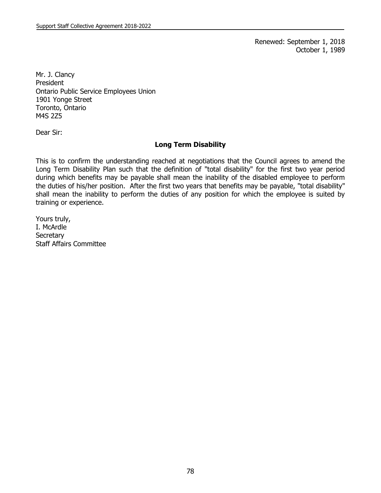Renewed: September 1, 2018 October 1, 1989

Mr. J. Clancy President Ontario Public Service Employees Union 1901 Yonge Street Toronto, Ontario M4S 2Z5

Dear Sir:

### **Long Term Disability**

This is to confirm the understanding reached at negotiations that the Council agrees to amend the Long Term Disability Plan such that the definition of "total disability" for the first two year period during which benefits may be payable shall mean the inability of the disabled employee to perform the duties of his/her position. After the first two years that benefits may be payable, "total disability" shall mean the inability to perform the duties of any position for which the employee is suited by training or experience.

Yours truly, I. McArdle **Secretary** Staff Affairs Committee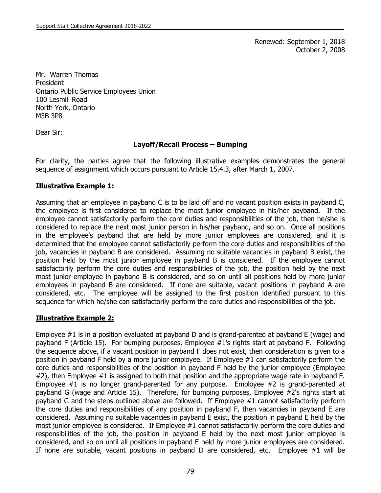Renewed: September 1, 2018 October 2, 2008

Mr. Warren Thomas President Ontario Public Service Employees Union 100 Lesmill Road North York, Ontario M3B 3P8

Dear Sir:

## **Layoff/Recall Process – Bumping**

For clarity, the parties agree that the following illustrative examples demonstrates the general sequence of assignment which occurs pursuant to Article 15.4.3, after March 1, 2007.

## **Illustrative Example 1:**

Assuming that an employee in payband C is to be laid off and no vacant position exists in payband C, the employee is first considered to replace the most junior employee in his/her payband. If the employee cannot satisfactorily perform the core duties and responsibilities of the job, then he/she is considered to replace the next most junior person in his/her payband, and so on. Once all positions in the employee's payband that are held by more junior employees are considered, and it is determined that the employee cannot satisfactorily perform the core duties and responsibilities of the job, vacancies in payband B are considered. Assuming no suitable vacancies in payband B exist, the position held by the most junior employee in payband B is considered. If the employee cannot satisfactorily perform the core duties and responsibilities of the job, the position held by the next most junior employee in payband B is considered, and so on until all positions held by more junior employees in payband B are considered. If none are suitable, vacant positions in payband A are considered, etc. The employee will be assigned to the first position identified pursuant to this sequence for which he/she can satisfactorily perform the core duties and responsibilities of the job.

# **Illustrative Example 2:**

Employee #1 is in a position evaluated at payband D and is grand-parented at payband E (wage) and payband F (Article 15). For bumping purposes, Employee #1's rights start at payband F. Following the sequence above, if a vacant position in payband F does not exist, then consideration is given to a position in payband F held by a more junior employee. If Employee #1 can satisfactorily perform the core duties and responsibilities of the position in payband F held by the junior employee (Employee #2), then Employee #1 is assigned to both that position and the appropriate wage rate in payband F. Employee #1 is no longer grand-parented for any purpose. Employee #2 is grand-parented at payband G (wage and Article 15). Therefore, for bumping purposes, Employee #2's rights start at payband G and the steps outlined above are followed. If Employee #1 cannot satisfactorily perform the core duties and responsibilities of any position in payband F, then vacancies in payband E are considered. Assuming no suitable vacancies in payband E exist, the position in payband E held by the most junior employee is considered. If Employee #1 cannot satisfactorily perform the core duties and responsibilities of the job, the position in payband E held by the next most junior employee is considered, and so on until all positions in payband E held by more junior employees are considered. If none are suitable, vacant positions in payband D are considered, etc. Employee #1 will be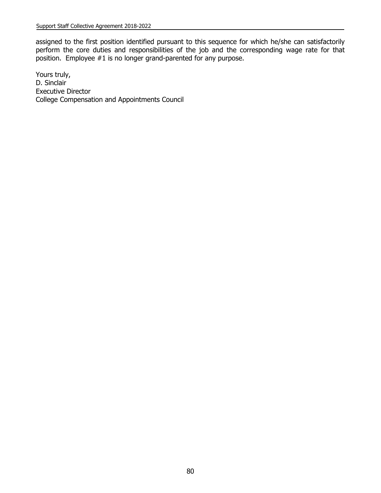assigned to the first position identified pursuant to this sequence for which he/she can satisfactorily perform the core duties and responsibilities of the job and the corresponding wage rate for that position. Employee #1 is no longer grand-parented for any purpose.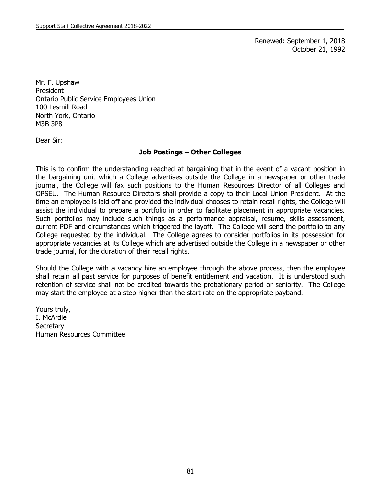Renewed: September 1, 2018 October 21, 1992

Mr. F. Upshaw President Ontario Public Service Employees Union 100 Lesmill Road North York, Ontario M3B 3P8

Dear Sir:

### **Job Postings – Other Colleges**

This is to confirm the understanding reached at bargaining that in the event of a vacant position in the bargaining unit which a College advertises outside the College in a newspaper or other trade journal, the College will fax such positions to the Human Resources Director of all Colleges and OPSEU. The Human Resource Directors shall provide a copy to their Local Union President. At the time an employee is laid off and provided the individual chooses to retain recall rights, the College will assist the individual to prepare a portfolio in order to facilitate placement in appropriate vacancies. Such portfolios may include such things as a performance appraisal, resume, skills assessment, current PDF and circumstances which triggered the layoff. The College will send the portfolio to any College requested by the individual. The College agrees to consider portfolios in its possession for appropriate vacancies at its College which are advertised outside the College in a newspaper or other trade journal, for the duration of their recall rights.

Should the College with a vacancy hire an employee through the above process, then the employee shall retain all past service for purposes of benefit entitlement and vacation. It is understood such retention of service shall not be credited towards the probationary period or seniority. The College may start the employee at a step higher than the start rate on the appropriate payband.

Yours truly, I. McArdle **Secretary** Human Resources Committee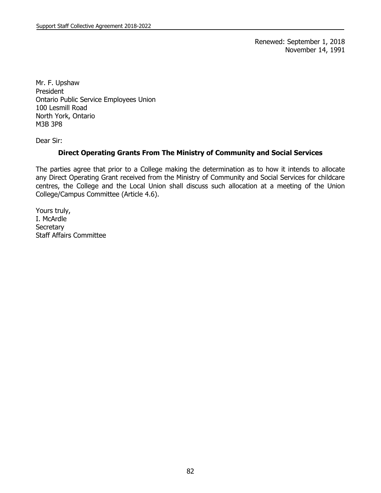Renewed: September 1, 2018 November 14, 1991

Mr. F. Upshaw President Ontario Public Service Employees Union 100 Lesmill Road North York, Ontario M3B 3P8

Dear Sir:

### **Direct Operating Grants From The Ministry of Community and Social Services**

The parties agree that prior to a College making the determination as to how it intends to allocate any Direct Operating Grant received from the Ministry of Community and Social Services for childcare centres, the College and the Local Union shall discuss such allocation at a meeting of the Union College/Campus Committee (Article 4.6).

Yours truly, I. McArdle **Secretary** Staff Affairs Committee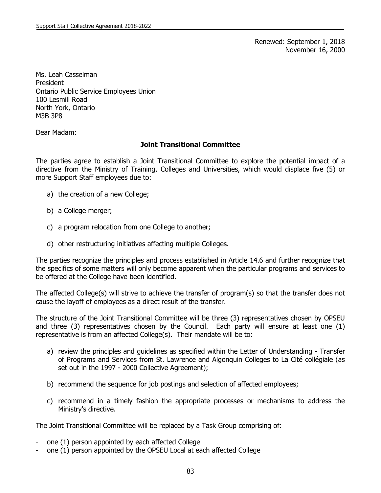Renewed: September 1, 2018 November 16, 2000

Ms. Leah Casselman President Ontario Public Service Employees Union 100 Lesmill Road North York, Ontario M3B 3P8

Dear Madam:

#### **Joint Transitional Committee**

The parties agree to establish a Joint Transitional Committee to explore the potential impact of a directive from the Ministry of Training, Colleges and Universities, which would displace five (5) or more Support Staff employees due to:

- a) the creation of a new College;
- b) a College merger;
- c) a program relocation from one College to another;
- d) other restructuring initiatives affecting multiple Colleges.

The parties recognize the principles and process established in Article 14.6 and further recognize that the specifics of some matters will only become apparent when the particular programs and services to be offered at the College have been identified.

The affected College(s) will strive to achieve the transfer of program(s) so that the transfer does not cause the layoff of employees as a direct result of the transfer.

The structure of the Joint Transitional Committee will be three (3) representatives chosen by OPSEU and three (3) representatives chosen by the Council. Each party will ensure at least one (1) representative is from an affected College(s). Their mandate will be to:

- a) review the principles and guidelines as specified within the Letter of Understanding Transfer of Programs and Services from St. Lawrence and Algonquin Colleges to La Cité collégiale (as set out in the 1997 - 2000 Collective Agreement);
- b) recommend the sequence for job postings and selection of affected employees;
- c) recommend in a timely fashion the appropriate processes or mechanisms to address the Ministry's directive.

The Joint Transitional Committee will be replaced by a Task Group comprising of:

- one (1) person appointed by each affected College
- one (1) person appointed by the OPSEU Local at each affected College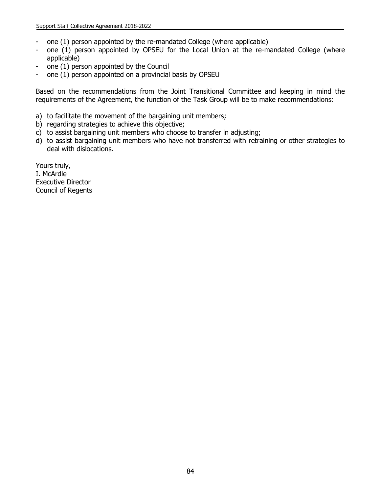- one (1) person appointed by the re-mandated College (where applicable)
- one (1) person appointed by OPSEU for the Local Union at the re-mandated College (where applicable)
- one (1) person appointed by the Council
- one (1) person appointed on a provincial basis by OPSEU

Based on the recommendations from the Joint Transitional Committee and keeping in mind the requirements of the Agreement, the function of the Task Group will be to make recommendations:

- a) to facilitate the movement of the bargaining unit members;
- b) regarding strategies to achieve this objective;
- c) to assist bargaining unit members who choose to transfer in adjusting;
- d) to assist bargaining unit members who have not transferred with retraining or other strategies to deal with dislocations.

Yours truly, I. McArdle Executive Director Council of Regents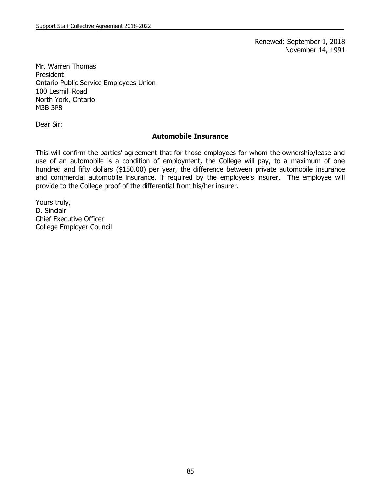Renewed: September 1, 2018 November 14, 1991

Mr. Warren Thomas President Ontario Public Service Employees Union 100 Lesmill Road North York, Ontario M3B 3P8

Dear Sir:

#### **Automobile Insurance**

This will confirm the parties' agreement that for those employees for whom the ownership/lease and use of an automobile is a condition of employment, the College will pay, to a maximum of one hundred and fifty dollars (\$150.00) per year, the difference between private automobile insurance and commercial automobile insurance, if required by the employee's insurer. The employee will provide to the College proof of the differential from his/her insurer.

Yours truly, D. Sinclair Chief Executive Officer College Employer Council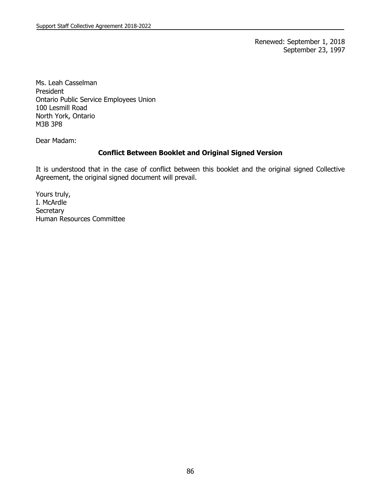Renewed: September 1, 2018 September 23, 1997

Ms. Leah Casselman President Ontario Public Service Employees Union 100 Lesmill Road North York, Ontario M3B 3P8

Dear Madam:

### **Conflict Between Booklet and Original Signed Version**

It is understood that in the case of conflict between this booklet and the original signed Collective Agreement, the original signed document will prevail.

Yours truly, I. McArdle **Secretary** Human Resources Committee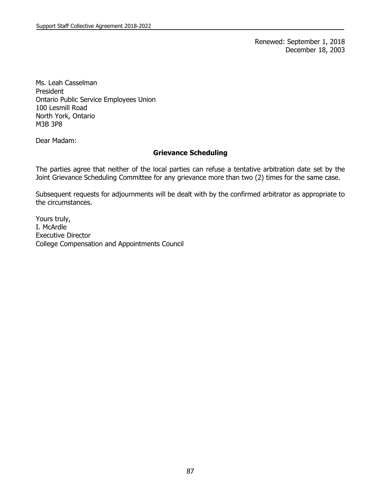Renewed: September 1, 2018 December 18, 2003

Ms. Leah Casselman President Ontario Public Service Employees Union 100 Lesmill Road North York, Ontario M3B 3P8

Dear Madam:

### **Grievance Scheduling**

The parties agree that neither of the local parties can refuse a tentative arbitration date set by the Joint Grievance Scheduling Committee for any grievance more than two (2) times for the same case.

Subsequent requests for adjournments will be dealt with by the confirmed arbitrator as appropriate to the circumstances.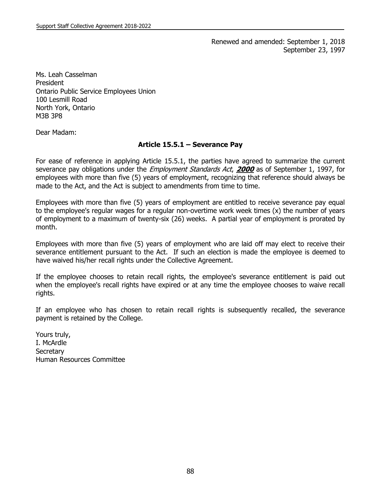Renewed and amended: September 1, 2018 September 23, 1997

Ms. Leah Casselman President Ontario Public Service Employees Union 100 Lesmill Road North York, Ontario M3B 3P8

Dear Madam:

#### **Article 15.5.1 – Severance Pay**

For ease of reference in applying Article 15.5.1, the parties have agreed to summarize the current severance pay obligations under the Employment Standards Act, **2000** as of September 1, 1997, for employees with more than five (5) years of employment, recognizing that reference should always be made to the Act, and the Act is subject to amendments from time to time.

Employees with more than five (5) years of employment are entitled to receive severance pay equal to the employee's regular wages for a regular non-overtime work week times (x) the number of years of employment to a maximum of twenty-six (26) weeks. A partial year of employment is prorated by month.

Employees with more than five (5) years of employment who are laid off may elect to receive their severance entitlement pursuant to the Act. If such an election is made the employee is deemed to have waived his/her recall rights under the Collective Agreement.

If the employee chooses to retain recall rights, the employee's severance entitlement is paid out when the employee's recall rights have expired or at any time the employee chooses to waive recall rights.

If an employee who has chosen to retain recall rights is subsequently recalled, the severance payment is retained by the College.

Yours truly, I. McArdle **Secretary** Human Resources Committee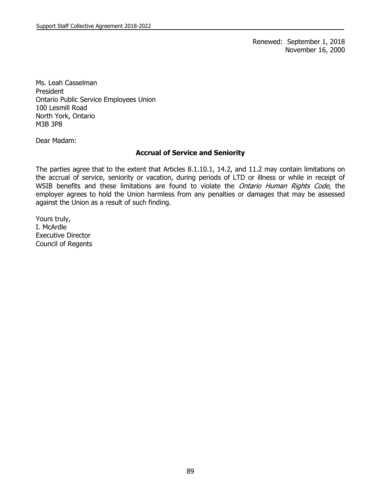Renewed: September 1, 2018 November 16, 2000

Ms. Leah Casselman President Ontario Public Service Employees Union 100 Lesmill Road North York, Ontario M3B 3P8

Dear Madam:

## **Accrual of Service and Seniority**

The parties agree that to the extent that Articles 8.1.10.1, 14.2, and 11.2 may contain limitations on the accrual of service, seniority or vacation, during periods of LTD or illness or while in receipt of WSIB benefits and these limitations are found to violate the Ontario Human Rights Code, the employer agrees to hold the Union harmless from any penalties or damages that may be assessed against the Union as a result of such finding.

Yours truly, I. McArdle Executive Director Council of Regents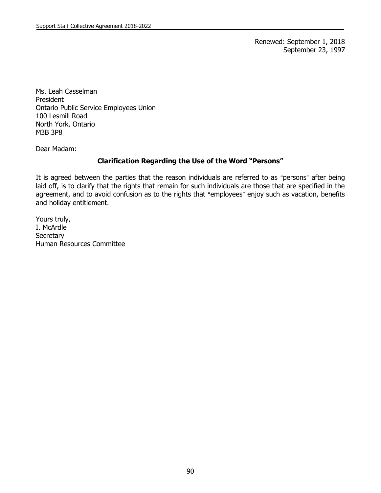Renewed: September 1, 2018 September 23, 1997

Ms. Leah Casselman President Ontario Public Service Employees Union 100 Lesmill Road North York, Ontario M3B 3P8

Dear Madam:

## **Clarification Regarding the Use of the Word "Persons"**

It is agreed between the parties that the reason individuals are referred to as "persons" after being laid off, is to clarify that the rights that remain for such individuals are those that are specified in the agreement, and to avoid confusion as to the rights that "employees" enjoy such as vacation, benefits and holiday entitlement.

Yours truly, I. McArdle **Secretary** Human Resources Committee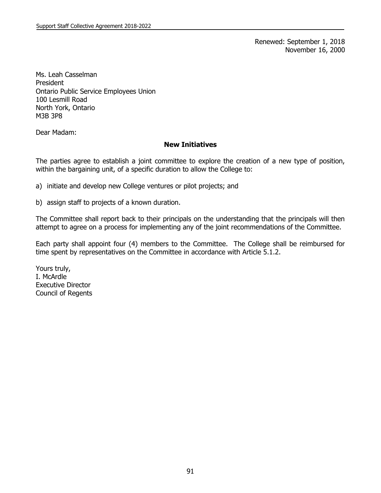Renewed: September 1, 2018 November 16, 2000

Ms. Leah Casselman President Ontario Public Service Employees Union 100 Lesmill Road North York, Ontario M3B 3P8

Dear Madam:

#### **New Initiatives**

The parties agree to establish a joint committee to explore the creation of a new type of position, within the bargaining unit, of a specific duration to allow the College to:

a) initiate and develop new College ventures or pilot projects; and

b) assign staff to projects of a known duration.

The Committee shall report back to their principals on the understanding that the principals will then attempt to agree on a process for implementing any of the joint recommendations of the Committee.

Each party shall appoint four (4) members to the Committee. The College shall be reimbursed for time spent by representatives on the Committee in accordance with Article 5.1.2.

Yours truly, I. McArdle Executive Director Council of Regents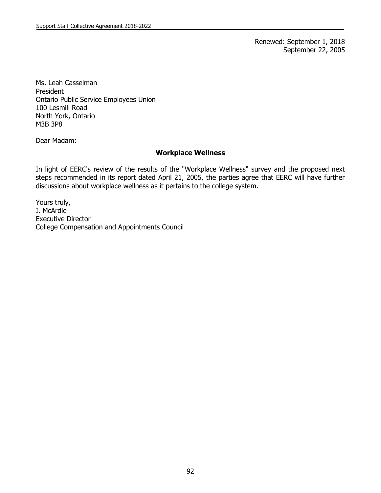Renewed: September 1, 2018 September 22, 2005

Ms. Leah Casselman President Ontario Public Service Employees Union 100 Lesmill Road North York, Ontario M3B 3P8

Dear Madam:

#### **Workplace Wellness**

In light of EERC's review of the results of the "Workplace Wellness" survey and the proposed next steps recommended in its report dated April 21, 2005, the parties agree that EERC will have further discussions about workplace wellness as it pertains to the college system.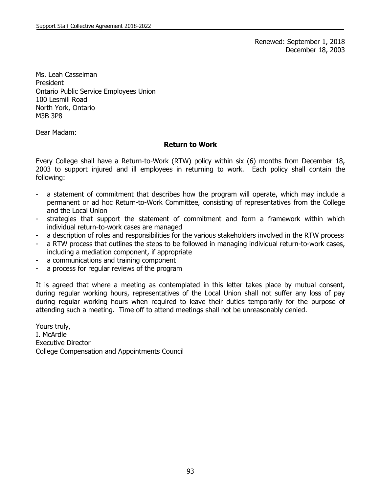Renewed: September 1, 2018 December 18, 2003

Ms. Leah Casselman President Ontario Public Service Employees Union 100 Lesmill Road North York, Ontario M3B 3P8

Dear Madam:

#### **Return to Work**

Every College shall have a Return-to-Work (RTW) policy within six (6) months from December 18, 2003 to support injured and ill employees in returning to work. Each policy shall contain the following:

- a statement of commitment that describes how the program will operate, which may include a permanent or ad hoc Return-to-Work Committee, consisting of representatives from the College and the Local Union
- strategies that support the statement of commitment and form a framework within which individual return-to-work cases are managed
- a description of roles and responsibilities for the various stakeholders involved in the RTW process
- a RTW process that outlines the steps to be followed in managing individual return-to-work cases, including a mediation component, if appropriate
- a communications and training component
- a process for regular reviews of the program

It is agreed that where a meeting as contemplated in this letter takes place by mutual consent, during regular working hours, representatives of the Local Union shall not suffer any loss of pay during regular working hours when required to leave their duties temporarily for the purpose of attending such a meeting. Time off to attend meetings shall not be unreasonably denied.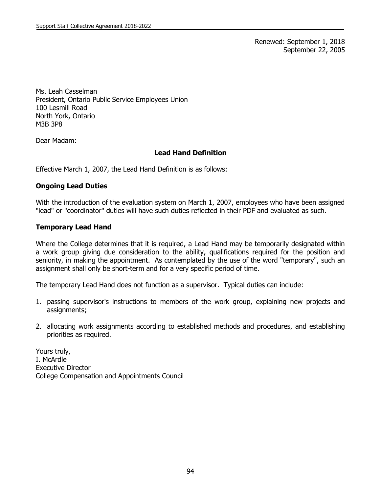Renewed: September 1, 2018 September 22, 2005

Ms. Leah Casselman President, Ontario Public Service Employees Union 100 Lesmill Road North York, Ontario M3B 3P8

Dear Madam:

## **Lead Hand Definition**

Effective March 1, 2007, the Lead Hand Definition is as follows:

### **Ongoing Lead Duties**

With the introduction of the evaluation system on March 1, 2007, employees who have been assigned "lead" or "coordinator" duties will have such duties reflected in their PDF and evaluated as such.

## **Temporary Lead Hand**

Where the College determines that it is required, a Lead Hand may be temporarily designated within a work group giving due consideration to the ability, qualifications required for the position and seniority, in making the appointment. As contemplated by the use of the word "temporary", such an assignment shall only be short-term and for a very specific period of time.

The temporary Lead Hand does not function as a supervisor. Typical duties can include:

- 1. passing supervisor's instructions to members of the work group, explaining new projects and assignments;
- 2. allocating work assignments according to established methods and procedures, and establishing priorities as required.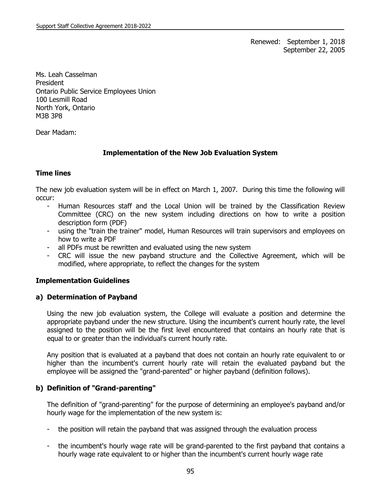Renewed: September 1, 2018 September 22, 2005

Ms. Leah Casselman President Ontario Public Service Employees Union 100 Lesmill Road North York, Ontario M3B 3P8

Dear Madam:

# **Implementation of the New Job Evaluation System**

# **Time lines**

The new job evaluation system will be in effect on March 1, 2007. During this time the following will occur:

- Human Resources staff and the Local Union will be trained by the Classification Review Committee (CRC) on the new system including directions on how to write a position description form (PDF)
- using the "train the trainer" model, Human Resources will train supervisors and employees on how to write a PDF
- all PDFs must be rewritten and evaluated using the new system
- CRC will issue the new payband structure and the Collective Agreement, which will be modified, where appropriate, to reflect the changes for the system

# **Implementation Guidelines**

# **a) Determination of Payband**

Using the new job evaluation system, the College will evaluate a position and determine the appropriate payband under the new structure. Using the incumbent's current hourly rate, the level assigned to the position will be the first level encountered that contains an hourly rate that is equal to or greater than the individual's current hourly rate.

Any position that is evaluated at a payband that does not contain an hourly rate equivalent to or higher than the incumbent's current hourly rate will retain the evaluated payband but the employee will be assigned the "grand-parented" or higher payband (definition follows).

# **b) Definition of "Grand-parenting"**

The definition of "grand-parenting" for the purpose of determining an employee's payband and/or hourly wage for the implementation of the new system is:

- the position will retain the payband that was assigned through the evaluation process
- the incumbent's hourly wage rate will be grand-parented to the first payband that contains a hourly wage rate equivalent to or higher than the incumbent's current hourly wage rate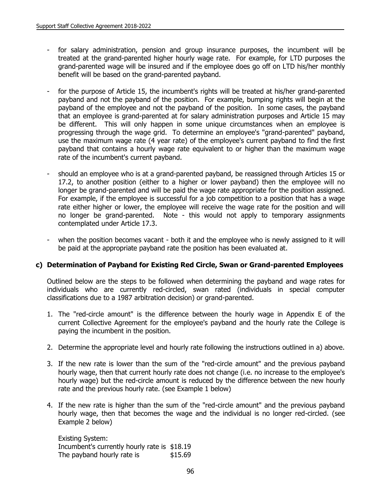- for salary administration, pension and group insurance purposes, the incumbent will be treated at the grand-parented higher hourly wage rate. For example, for LTD purposes the grand-parented wage will be insured and if the employee does go off on LTD his/her monthly benefit will be based on the grand-parented payband.
- for the purpose of Article 15, the incumbent's rights will be treated at his/her grand-parented payband and not the payband of the position. For example, bumping rights will begin at the payband of the employee and not the payband of the position. In some cases, the payband that an employee is grand-parented at for salary administration purposes and Article 15 may be different. This will only happen in some unique circumstances when an employee is progressing through the wage grid. To determine an employee's "grand-parented" payband, use the maximum wage rate (4 year rate) of the employee's current payband to find the first payband that contains a hourly wage rate equivalent to or higher than the maximum wage rate of the incumbent's current payband.
- should an employee who is at a grand-parented payband, be reassigned through Articles 15 or 17.2, to another position (either to a higher or lower payband) then the employee will no longer be grand-parented and will be paid the wage rate appropriate for the position assigned. For example, if the employee is successful for a job competition to a position that has a wage rate either higher or lower, the employee will receive the wage rate for the position and will no longer be grand-parented. Note - this would not apply to temporary assignments contemplated under Article 17.3.
- when the position becomes vacant both it and the employee who is newly assigned to it will be paid at the appropriate payband rate the position has been evaluated at.

# **c) Determination of Payband for Existing Red Circle, Swan or Grand-parented Employees**

Outlined below are the steps to be followed when determining the payband and wage rates for individuals who are currently red-circled, swan rated (individuals in special computer classifications due to a 1987 arbitration decision) or grand-parented.

- 1. The "red-circle amount" is the difference between the hourly wage in Appendix E of the current Collective Agreement for the employee's payband and the hourly rate the College is paying the incumbent in the position.
- 2. Determine the appropriate level and hourly rate following the instructions outlined in a) above.
- 3. If the new rate is lower than the sum of the "red-circle amount" and the previous payband hourly wage, then that current hourly rate does not change (i.e. no increase to the employee's hourly wage) but the red-circle amount is reduced by the difference between the new hourly rate and the previous hourly rate. (see Example 1 below)
- 4. If the new rate is higher than the sum of the "red-circle amount" and the previous payband hourly wage, then that becomes the wage and the individual is no longer red-circled. (see Example 2 below)

Existing System: Incumbent's currently hourly rate is \$18.19 The payband hourly rate is  $$15.69$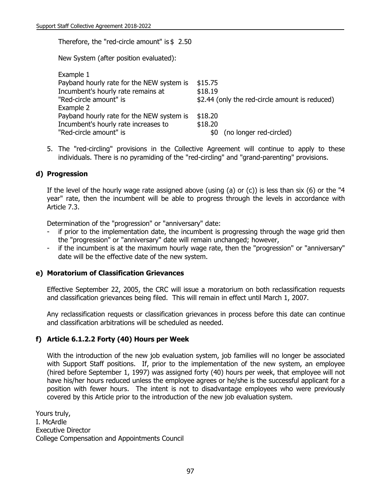Therefore, the "red-circle amount" is \$ 2.50

New System (after position evaluated):

| \$15.75                                        |
|------------------------------------------------|
| \$18.19                                        |
| \$2.44 (only the red-circle amount is reduced) |
|                                                |
| \$18.20                                        |
| \$18.20                                        |
| (no longer red-circled)<br>\$0                 |
|                                                |

5. The "red-circling" provisions in the Collective Agreement will continue to apply to these individuals. There is no pyramiding of the "red-circling" and "grand-parenting" provisions.

## **d) Progression**

If the level of the hourly wage rate assigned above (using (a) or (c)) is less than six (6) or the "4 year" rate, then the incumbent will be able to progress through the levels in accordance with Article 7.3.

Determination of the "progression" or "anniversary" date:

- if prior to the implementation date, the incumbent is progressing through the wage grid then the "progression" or "anniversary" date will remain unchanged; however,
- if the incumbent is at the maximum hourly wage rate, then the "progression" or "anniversary" date will be the effective date of the new system.

### **e) Moratorium of Classification Grievances**

Effective September 22, 2005, the CRC will issue a moratorium on both reclassification requests and classification grievances being filed. This will remain in effect until March 1, 2007.

Any reclassification requests or classification grievances in process before this date can continue and classification arbitrations will be scheduled as needed.

## **f) Article 6.1.2.2 Forty (40) Hours per Week**

With the introduction of the new job evaluation system, job families will no longer be associated with Support Staff positions. If, prior to the implementation of the new system, an employee (hired before September 1, 1997) was assigned forty (40) hours per week, that employee will not have his/her hours reduced unless the employee agrees or he/she is the successful applicant for a position with fewer hours. The intent is not to disadvantage employees who were previously covered by this Article prior to the introduction of the new job evaluation system.

Yours truly, I. McArdle Executive Director College Compensation and Appointments Council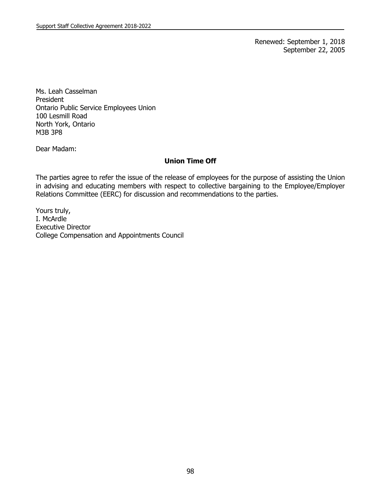Renewed: September 1, 2018 September 22, 2005

Ms. Leah Casselman President Ontario Public Service Employees Union 100 Lesmill Road North York, Ontario M3B 3P8

Dear Madam:

## **Union Time Off**

The parties agree to refer the issue of the release of employees for the purpose of assisting the Union in advising and educating members with respect to collective bargaining to the Employee/Employer Relations Committee (EERC) for discussion and recommendations to the parties.

Yours truly, I. McArdle Executive Director College Compensation and Appointments Council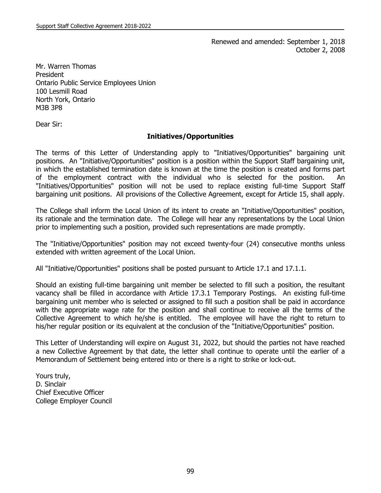Renewed and amended: September 1, 2018 October 2, 2008

Mr. Warren Thomas President Ontario Public Service Employees Union 100 Lesmill Road North York, Ontario M3B 3P8

Dear Sir:

## **Initiatives/Opportunities**

The terms of this Letter of Understanding apply to "Initiatives/Opportunities" bargaining unit positions. An "Initiative/Opportunities" position is a position within the Support Staff bargaining unit, in which the established termination date is known at the time the position is created and forms part of the employment contract with the individual who is selected for the position. An "Initiatives/Opportunities" position will not be used to replace existing full-time Support Staff bargaining unit positions. All provisions of the Collective Agreement, except for Article 15, shall apply.

The College shall inform the Local Union of its intent to create an "Initiative/Opportunities" position, its rationale and the termination date. The College will hear any representations by the Local Union prior to implementing such a position, provided such representations are made promptly.

The "Initiative/Opportunities" position may not exceed twenty-four (24) consecutive months unless extended with written agreement of the Local Union.

All "Initiative/Opportunities" positions shall be posted pursuant to Article 17.1 and 17.1.1.

Should an existing full-time bargaining unit member be selected to fill such a position, the resultant vacancy shall be filled in accordance with Article 17.3.1 Temporary Postings. An existing full-time bargaining unit member who is selected or assigned to fill such a position shall be paid in accordance with the appropriate wage rate for the position and shall continue to receive all the terms of the Collective Agreement to which he/she is entitled. The employee will have the right to return to his/her regular position or its equivalent at the conclusion of the "Initiative/Opportunities" position.

This Letter of Understanding will expire on August 31, 2022, but should the parties not have reached a new Collective Agreement by that date, the letter shall continue to operate until the earlier of a Memorandum of Settlement being entered into or there is a right to strike or lock-out.

Yours truly, D. Sinclair Chief Executive Officer College Employer Council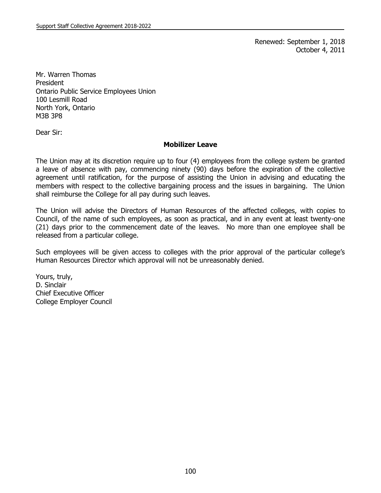Renewed: September 1, 2018 October 4, 2011

Mr. Warren Thomas President Ontario Public Service Employees Union 100 Lesmill Road North York, Ontario M3B 3P8

Dear Sir:

#### **Mobilizer Leave**

The Union may at its discretion require up to four (4) employees from the college system be granted a leave of absence with pay, commencing ninety (90) days before the expiration of the collective agreement until ratification, for the purpose of assisting the Union in advising and educating the members with respect to the collective bargaining process and the issues in bargaining. The Union shall reimburse the College for all pay during such leaves.

The Union will advise the Directors of Human Resources of the affected colleges, with copies to Council, of the name of such employees, as soon as practical, and in any event at least twenty-one (21) days prior to the commencement date of the leaves. No more than one employee shall be released from a particular college.

Such employees will be given access to colleges with the prior approval of the particular college's Human Resources Director which approval will not be unreasonably denied.

Yours, truly, D. Sinclair Chief Executive Officer College Employer Council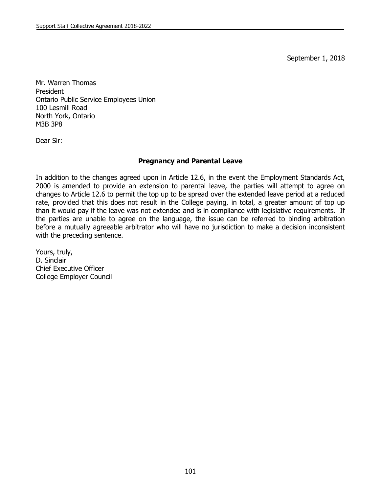September 1, 2018

Mr. Warren Thomas President Ontario Public Service Employees Union 100 Lesmill Road North York, Ontario M3B 3P8

Dear Sir:

## **Pregnancy and Parental Leave**

In addition to the changes agreed upon in Article 12.6, in the event the Employment Standards Act, 2000 is amended to provide an extension to parental leave, the parties will attempt to agree on changes to Article 12.6 to permit the top up to be spread over the extended leave period at a reduced rate, provided that this does not result in the College paying, in total, a greater amount of top up than it would pay if the leave was not extended and is in compliance with legislative requirements. If the parties are unable to agree on the language, the issue can be referred to binding arbitration before a mutually agreeable arbitrator who will have no jurisdiction to make a decision inconsistent with the preceding sentence.

Yours, truly, D. Sinclair Chief Executive Officer College Employer Council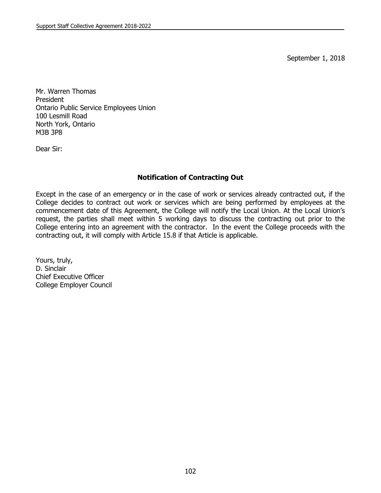September 1, 2018

Mr. Warren Thomas President Ontario Public Service Employees Union 100 Lesmill Road North York, Ontario M3B 3P8

Dear Sir:

## **Notification of Contracting Out**

Except in the case of an emergency or in the case of work or services already contracted out, if the College decides to contract out work or services which are being performed by employees at the commencement date of this Agreement, the College will notify the Local Union. At the Local Union's request, the parties shall meet within 5 working days to discuss the contracting out prior to the College entering into an agreement with the contractor. In the event the College proceeds with the contracting out, it will comply with Article 15.8 if that Article is applicable.

Yours, truly, D. Sinclair Chief Executive Officer College Employer Council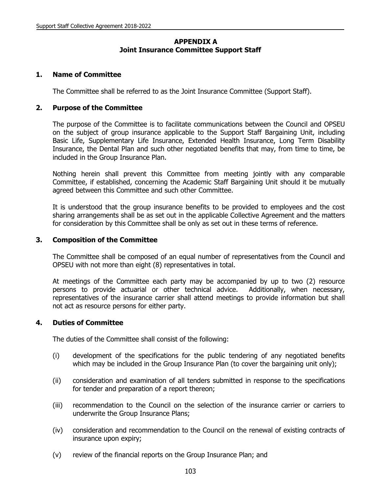## **APPENDIX A Joint Insurance Committee Support Staff**

### **1. Name of Committee**

The Committee shall be referred to as the Joint Insurance Committee (Support Staff).

### **2. Purpose of the Committee**

The purpose of the Committee is to facilitate communications between the Council and OPSEU on the subject of group insurance applicable to the Support Staff Bargaining Unit, including Basic Life, Supplementary Life Insurance, Extended Health Insurance, Long Term Disability Insurance, the Dental Plan and such other negotiated benefits that may, from time to time, be included in the Group Insurance Plan.

Nothing herein shall prevent this Committee from meeting jointly with any comparable Committee, if established, concerning the Academic Staff Bargaining Unit should it be mutually agreed between this Committee and such other Committee.

It is understood that the group insurance benefits to be provided to employees and the cost sharing arrangements shall be as set out in the applicable Collective Agreement and the matters for consideration by this Committee shall be only as set out in these terms of reference.

### **3. Composition of the Committee**

The Committee shall be composed of an equal number of representatives from the Council and OPSEU with not more than eight (8) representatives in total.

At meetings of the Committee each party may be accompanied by up to two (2) resource persons to provide actuarial or other technical advice. Additionally, when necessary, representatives of the insurance carrier shall attend meetings to provide information but shall not act as resource persons for either party.

### **4. Duties of Committee**

The duties of the Committee shall consist of the following:

- (i) development of the specifications for the public tendering of any negotiated benefits which may be included in the Group Insurance Plan (to cover the bargaining unit only);
- (ii) consideration and examination of all tenders submitted in response to the specifications for tender and preparation of a report thereon;
- (iii) recommendation to the Council on the selection of the insurance carrier or carriers to underwrite the Group Insurance Plans;
- (iv) consideration and recommendation to the Council on the renewal of existing contracts of insurance upon expiry;
- (v) review of the financial reports on the Group Insurance Plan; and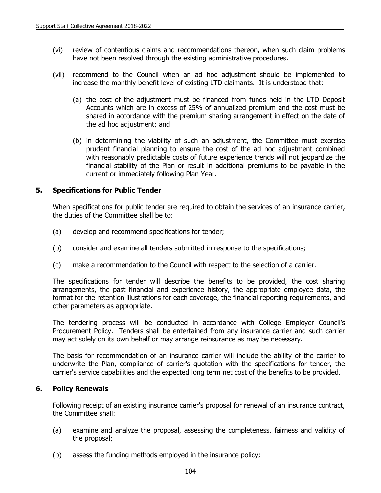- (vi) review of contentious claims and recommendations thereon, when such claim problems have not been resolved through the existing administrative procedures.
- (vii) recommend to the Council when an ad hoc adjustment should be implemented to increase the monthly benefit level of existing LTD claimants. It is understood that:
	- (a) the cost of the adjustment must be financed from funds held in the LTD Deposit Accounts which are in excess of 25% of annualized premium and the cost must be shared in accordance with the premium sharing arrangement in effect on the date of the ad hoc adjustment; and
	- (b) in determining the viability of such an adjustment, the Committee must exercise prudent financial planning to ensure the cost of the ad hoc adjustment combined with reasonably predictable costs of future experience trends will not jeopardize the financial stability of the Plan or result in additional premiums to be payable in the current or immediately following Plan Year.

## **5. Specifications for Public Tender**

When specifications for public tender are required to obtain the services of an insurance carrier, the duties of the Committee shall be to:

- (a) develop and recommend specifications for tender;
- (b) consider and examine all tenders submitted in response to the specifications;
- (c) make a recommendation to the Council with respect to the selection of a carrier.

The specifications for tender will describe the benefits to be provided, the cost sharing arrangements, the past financial and experience history, the appropriate employee data, the format for the retention illustrations for each coverage, the financial reporting requirements, and other parameters as appropriate.

The tendering process will be conducted in accordance with College Employer Council's Procurement Policy. Tenders shall be entertained from any insurance carrier and such carrier may act solely on its own behalf or may arrange reinsurance as may be necessary.

The basis for recommendation of an insurance carrier will include the ability of the carrier to underwrite the Plan, compliance of carrier's quotation with the specifications for tender, the carrier's service capabilities and the expected long term net cost of the benefits to be provided.

### **6. Policy Renewals**

Following receipt of an existing insurance carrier's proposal for renewal of an insurance contract, the Committee shall:

- (a) examine and analyze the proposal, assessing the completeness, fairness and validity of the proposal;
- (b) assess the funding methods employed in the insurance policy;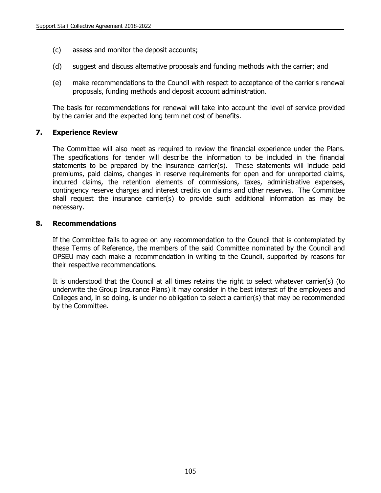- (c) assess and monitor the deposit accounts;
- (d) suggest and discuss alternative proposals and funding methods with the carrier; and
- (e) make recommendations to the Council with respect to acceptance of the carrier's renewal proposals, funding methods and deposit account administration.

The basis for recommendations for renewal will take into account the level of service provided by the carrier and the expected long term net cost of benefits.

### **7. Experience Review**

The Committee will also meet as required to review the financial experience under the Plans. The specifications for tender will describe the information to be included in the financial statements to be prepared by the insurance carrier(s). These statements will include paid premiums, paid claims, changes in reserve requirements for open and for unreported claims, incurred claims, the retention elements of commissions, taxes, administrative expenses, contingency reserve charges and interest credits on claims and other reserves. The Committee shall request the insurance carrier(s) to provide such additional information as may be necessary.

### **8. Recommendations**

If the Committee fails to agree on any recommendation to the Council that is contemplated by these Terms of Reference, the members of the said Committee nominated by the Council and OPSEU may each make a recommendation in writing to the Council, supported by reasons for their respective recommendations.

It is understood that the Council at all times retains the right to select whatever carrier(s) (to underwrite the Group Insurance Plans) it may consider in the best interest of the employees and Colleges and, in so doing, is under no obligation to select a carrier(s) that may be recommended by the Committee.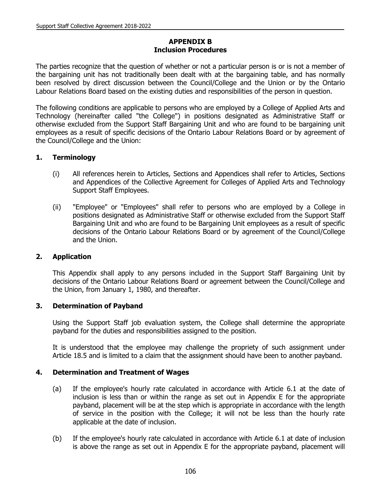# **APPENDIX B Inclusion Procedures**

The parties recognize that the question of whether or not a particular person is or is not a member of the bargaining unit has not traditionally been dealt with at the bargaining table, and has normally been resolved by direct discussion between the Council/College and the Union or by the Ontario Labour Relations Board based on the existing duties and responsibilities of the person in question.

The following conditions are applicable to persons who are employed by a College of Applied Arts and Technology (hereinafter called "the College") in positions designated as Administrative Staff or otherwise excluded from the Support Staff Bargaining Unit and who are found to be bargaining unit employees as a result of specific decisions of the Ontario Labour Relations Board or by agreement of the Council/College and the Union:

## **1. Terminology**

- (i) All references herein to Articles, Sections and Appendices shall refer to Articles, Sections and Appendices of the Collective Agreement for Colleges of Applied Arts and Technology Support Staff Employees.
- (ii) "Employee" or "Employees" shall refer to persons who are employed by a College in positions designated as Administrative Staff or otherwise excluded from the Support Staff Bargaining Unit and who are found to be Bargaining Unit employees as a result of specific decisions of the Ontario Labour Relations Board or by agreement of the Council/College and the Union.

### **2. Application**

This Appendix shall apply to any persons included in the Support Staff Bargaining Unit by decisions of the Ontario Labour Relations Board or agreement between the Council/College and the Union, from January 1, 1980, and thereafter.

### **3. Determination of Payband**

Using the Support Staff job evaluation system, the College shall determine the appropriate payband for the duties and responsibilities assigned to the position.

It is understood that the employee may challenge the propriety of such assignment under Article 18.5 and is limited to a claim that the assignment should have been to another payband.

### **4. Determination and Treatment of Wages**

- (a) If the employee's hourly rate calculated in accordance with Article 6.1 at the date of inclusion is less than or within the range as set out in Appendix E for the appropriate payband, placement will be at the step which is appropriate in accordance with the length of service in the position with the College; it will not be less than the hourly rate applicable at the date of inclusion.
- (b) If the employee's hourly rate calculated in accordance with Article 6.1 at date of inclusion is above the range as set out in Appendix E for the appropriate payband, placement will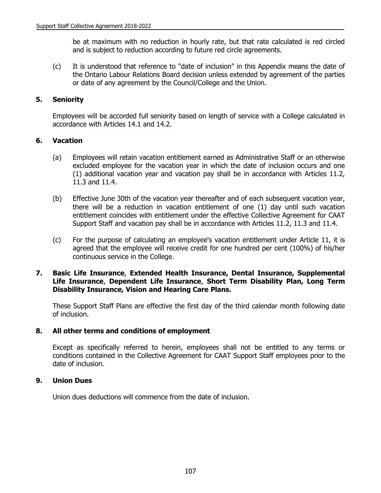be at maximum with no reduction in hourly rate, but that rate calculated is red circled and is subject to reduction according to future red circle agreements.

(c) It is understood that reference to "date of inclusion" in this Appendix means the date of the Ontario Labour Relations Board decision unless extended by agreement of the parties or date of any agreement by the Council/College and the Union.

## **5. Seniority**

Employees will be accorded full seniority based on length of service with a College calculated in accordance with Articles 14.1 and 14.2.

## **6. Vacation**

- (a) Employees will retain vacation entitlement earned as Administrative Staff or an otherwise excluded employee for the vacation year in which the date of inclusion occurs and one (1) additional vacation year and vacation pay shall be in accordance with Articles 11.2, 11.3 and 11.4.
- (b) Effective June 30th of the vacation year thereafter and of each subsequent vacation year, there will be a reduction in vacation entitlement of one (1) day until such vacation entitlement coincides with entitlement under the effective Collective Agreement for CAAT Support Staff and vacation pay shall be in accordance with Articles 11.2, 11.3 and 11.4.
- (c) For the purpose of calculating an employee's vacation entitlement under Article 11, it is agreed that the employee will receive credit for one hundred per cent (100%) of his/her continuous service in the College.

### **7. Basic Life Insurance**, **Extended Health Insurance, Dental Insurance, Supplemental Life Insurance**, **Dependent Life Insurance**, **Short Term Disability Plan, Long Term Disability Insurance, Vision and Hearing Care Plans.**

These Support Staff Plans are effective the first day of the third calendar month following date of inclusion.

## **8. All other terms and conditions of employment**

Except as specifically referred to herein, employees shall not be entitled to any terms or conditions contained in the Collective Agreement for CAAT Support Staff employees prior to the date of inclusion.

## **9. Union Dues**

Union dues deductions will commence from the date of inclusion.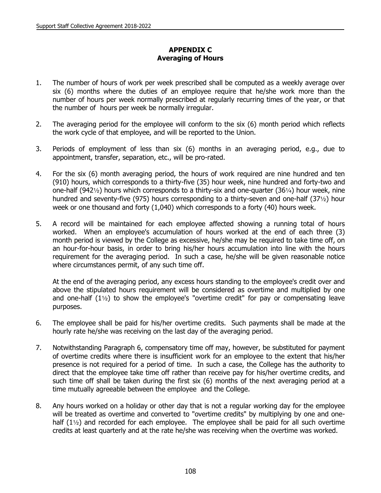# **APPENDIX C Averaging of Hours**

- 1. The number of hours of work per week prescribed shall be computed as a weekly average over six (6) months where the duties of an employee require that he/she work more than the number of hours per week normally prescribed at regularly recurring times of the year, or that the number of hours per week be normally irregular.
- 2. The averaging period for the employee will conform to the six (6) month period which reflects the work cycle of that employee, and will be reported to the Union.
- 3. Periods of employment of less than six (6) months in an averaging period, e.g., due to appointment, transfer, separation, etc., will be pro-rated.
- 4. For the six (6) month averaging period, the hours of work required are nine hundred and ten (910) hours, which corresponds to a thirty-five (35) hour week, nine hundred and forty-two and one-half (942 $\frac{1}{2}$ ) hours which corresponds to a thirty-six and one-quarter (36 $\frac{1}{4}$ ) hour week, nine hundred and seventy-five (975) hours corresponding to a thirty-seven and one-half (37 $\frac{1}{2}$ ) hour week or one thousand and forty (1,040) which corresponds to a forty (40) hours week.
- 5. A record will be maintained for each employee affected showing a running total of hours worked. When an employee's accumulation of hours worked at the end of each three (3) month period is viewed by the College as excessive, he/she may be required to take time off, on an hour-for-hour basis, in order to bring his/her hours accumulation into line with the hours requirement for the averaging period. In such a case, he/she will be given reasonable notice where circumstances permit, of any such time off.

At the end of the averaging period, any excess hours standing to the employee's credit over and above the stipulated hours requirement will be considered as overtime and multiplied by one and one-half  $(1\frac{1}{2})$  to show the employee's "overtime credit" for pay or compensating leave purposes.

- 6. The employee shall be paid for his/her overtime credits. Such payments shall be made at the hourly rate he/she was receiving on the last day of the averaging period.
- 7. Notwithstanding Paragraph 6, compensatory time off may, however, be substituted for payment of overtime credits where there is insufficient work for an employee to the extent that his/her presence is not required for a period of time. In such a case, the College has the authority to direct that the employee take time off rather than receive pay for his/her overtime credits, and such time off shall be taken during the first six (6) months of the next averaging period at a time mutually agreeable between the employee and the College.
- 8. Any hours worked on a holiday or other day that is not a regular working day for the employee will be treated as overtime and converted to "overtime credits" by multiplying by one and onehalf  $(1\frac{1}{2})$  and recorded for each employee. The employee shall be paid for all such overtime credits at least quarterly and at the rate he/she was receiving when the overtime was worked.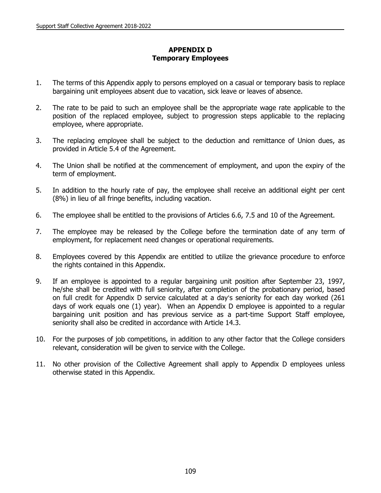# **APPENDIX D Temporary Employees**

- 1. The terms of this Appendix apply to persons employed on a casual or temporary basis to replace bargaining unit employees absent due to vacation, sick leave or leaves of absence.
- 2. The rate to be paid to such an employee shall be the appropriate wage rate applicable to the position of the replaced employee, subject to progression steps applicable to the replacing employee, where appropriate.
- 3. The replacing employee shall be subject to the deduction and remittance of Union dues, as provided in Article 5.4 of the Agreement.
- 4. The Union shall be notified at the commencement of employment, and upon the expiry of the term of employment.
- 5. In addition to the hourly rate of pay, the employee shall receive an additional eight per cent (8%) in lieu of all fringe benefits, including vacation.
- 6. The employee shall be entitled to the provisions of Articles 6.6, 7.5 and 10 of the Agreement.
- 7. The employee may be released by the College before the termination date of any term of employment, for replacement need changes or operational requirements.
- 8. Employees covered by this Appendix are entitled to utilize the grievance procedure to enforce the rights contained in this Appendix.
- 9. If an employee is appointed to a regular bargaining unit position after September 23, 1997, he/she shall be credited with full seniority, after completion of the probationary period, based on full credit for Appendix D service calculated at a day's seniority for each day worked (261 days of work equals one (1) year). When an Appendix D employee is appointed to a regular bargaining unit position and has previous service as a part-time Support Staff employee, seniority shall also be credited in accordance with Article 14.3.
- 10. For the purposes of job competitions, in addition to any other factor that the College considers relevant, consideration will be given to service with the College.
- 11. No other provision of the Collective Agreement shall apply to Appendix D employees unless otherwise stated in this Appendix.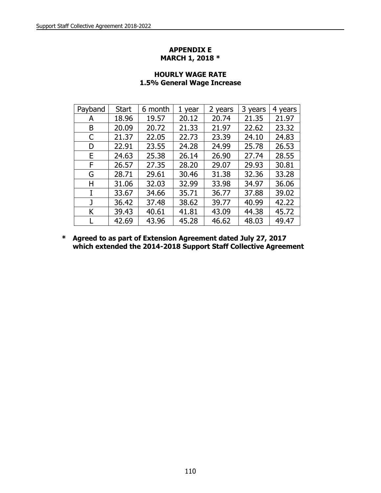## **APPENDIX E MARCH 1, 2018 \***

| Payband | <b>Start</b> | 6 month | 1<br>year | 2 years | 3.<br>years | 4<br>years |
|---------|--------------|---------|-----------|---------|-------------|------------|
| А       | 18.96        | 19.57   | 20.12     | 20.74   | 21.35       | 21.97      |
| Β       | 20.09        | 20.72   | 21.33     | 21.97   | 22.62       | 23.32      |
| C       | 21.37        | 22.05   | 22.73     | 23.39   | 24.10       | 24.83      |
| D       | 22.91        | 23.55   | 24.28     | 24.99   | 25.78       | 26.53      |
| E       | 24.63        | 25.38   | 26.14     | 26.90   | 27.74       | 28.55      |
| F       | 26.57        | 27.35   | 28.20     | 29.07   | 29.93       | 30.81      |
| G       | 28.71        | 29.61   | 30.46     | 31.38   | 32.36       | 33.28      |
| Н       | 31.06        | 32.03   | 32.99     | 33.98   | 34.97       | 36.06      |
| I       | 33.67        | 34.66   | 35.71     | 36.77   | 37.88       | 39.02      |
| J       | 36.42        | 37.48   | 38.62     | 39.77   | 40.99       | 42.22      |
| Κ       | 39.43        | 40.61   | 41.81     | 43.09   | 44.38       | 45.72      |
|         | 42.69        | 43.96   | 45.28     | 46.62   | 48.03       | 49.47      |

# **HOURLY WAGE RATE 1.5% General Wage Increase**

**\* Agreed to as part of Extension Agreement dated July 27, 2017 which extended the 2014-2018 Support Staff Collective Agreement**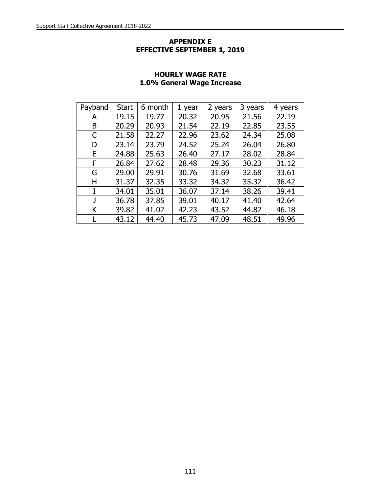## **APPENDIX E EFFECTIVE SEPTEMBER 1, 2019**

| Payband | <b>Start</b> | 6 month | 1 year | 2 years | 3 years | 4 years |
|---------|--------------|---------|--------|---------|---------|---------|
| A       | 19.15        | 19.77   | 20.32  | 20.95   | 21.56   | 22.19   |
| B       | 20.29        | 20.93   | 21.54  | 22.19   | 22.85   | 23.55   |
| C       | 21.58        | 22.27   | 22.96  | 23.62   | 24.34   | 25.08   |
| D       | 23.14        | 23.79   | 24.52  | 25.24   | 26.04   | 26.80   |
| E.      | 24.88        | 25.63   | 26.40  | 27.17   | 28.02   | 28.84   |
| F       | 26.84        | 27.62   | 28.48  | 29.36   | 30.23   | 31.12   |
| G       | 29.00        | 29.91   | 30.76  | 31.69   | 32.68   | 33.61   |
| н       | 31.37        | 32.35   | 33.32  | 34.32   | 35.32   | 36.42   |
|         | 34.01        | 35.01   | 36.07  | 37.14   | 38.26   | 39.41   |
|         | 36.78        | 37.85   | 39.01  | 40.17   | 41.40   | 42.64   |
| Κ       | 39.82        | 41.02   | 42.23  | 43.52   | 44.82   | 46.18   |
|         | 43.12        | 44.40   | 45.73  | 47.09   | 48.51   | 49.96   |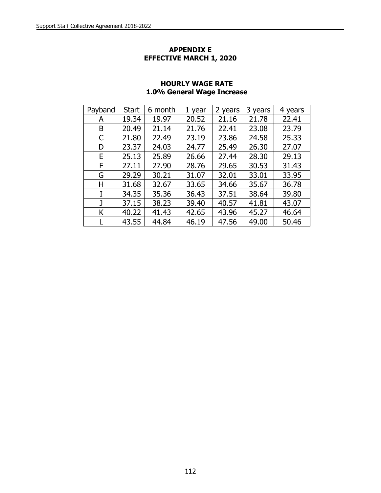### **APPENDIX E EFFECTIVE MARCH 1, 2020**

| Payband | <b>Start</b> | 6 month | 1 year | 2 years | 3 years | 4 years |
|---------|--------------|---------|--------|---------|---------|---------|
| A       | 19.34        | 19.97   | 20.52  | 21.16   | 21.78   | 22.41   |
| B       | 20.49        | 21.14   | 21.76  | 22.41   | 23.08   | 23.79   |
| C       | 21.80        | 22.49   | 23.19  | 23.86   | 24.58   | 25.33   |
| D       | 23.37        | 24.03   | 24.77  | 25.49   | 26.30   | 27.07   |
| Е       | 25.13        | 25.89   | 26.66  | 27.44   | 28.30   | 29.13   |
| F       | 27.11        | 27.90   | 28.76  | 29.65   | 30.53   | 31.43   |
| G       | 29.29        | 30.21   | 31.07  | 32.01   | 33.01   | 33.95   |
| н       | 31.68        | 32.67   | 33.65  | 34.66   | 35.67   | 36.78   |
|         | 34.35        | 35.36   | 36.43  | 37.51   | 38.64   | 39.80   |
| J       | 37.15        | 38.23   | 39.40  | 40.57   | 41.81   | 43.07   |
| K       | 40.22        | 41.43   | 42.65  | 43.96   | 45.27   | 46.64   |
|         | 43.55        | 44.84   | 46.19  | 47.56   | 49.00   | 50.46   |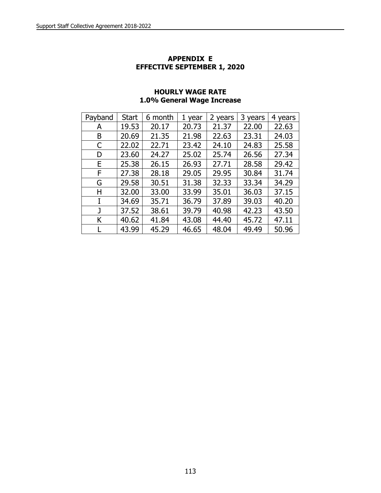## **APPENDIX E EFFECTIVE SEPTEMBER 1, 2020**

| Payband | <b>Start</b> | 6 month | 1 year | 2 years | 3 years | 4 years |
|---------|--------------|---------|--------|---------|---------|---------|
| А       | 19.53        | 20.17   | 20.73  | 21.37   | 22.00   | 22.63   |
| B       | 20.69        | 21.35   | 21.98  | 22.63   | 23.31   | 24.03   |
| C       | 22.02        | 22.71   | 23.42  | 24.10   | 24.83   | 25.58   |
| D       | 23.60        | 24.27   | 25.02  | 25.74   | 26.56   | 27.34   |
| E       | 25.38        | 26.15   | 26.93  | 27.71   | 28.58   | 29.42   |
| F       | 27.38        | 28.18   | 29.05  | 29.95   | 30.84   | 31.74   |
| G       | 29.58        | 30.51   | 31.38  | 32.33   | 33.34   | 34.29   |
| н       | 32.00        | 33.00   | 33.99  | 35.01   | 36.03   | 37.15   |
| I       | 34.69        | 35.71   | 36.79  | 37.89   | 39.03   | 40.20   |
| J       | 37.52        | 38.61   | 39.79  | 40.98   | 42.23   | 43.50   |
| K       | 40.62        | 41.84   | 43.08  | 44.40   | 45.72   | 47.11   |
|         | 43.99        | 45.29   | 46.65  | 48.04   | 49.49   | 50.96   |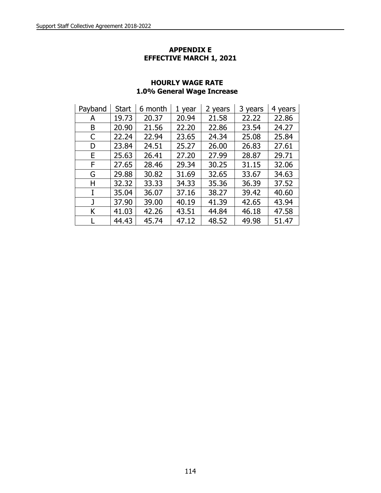## **APPENDIX E EFFECTIVE MARCH 1, 2021**

| Payband | <b>Start</b> | 6 month | 1 year | 2 years | 3 years | years<br>4 |
|---------|--------------|---------|--------|---------|---------|------------|
| А       | 19.73        | 20.37   | 20.94  | 21.58   | 22.22   | 22.86      |
| B       | 20.90        | 21.56   | 22.20  | 22.86   | 23.54   | 24.27      |
| C       | 22.24        | 22.94   | 23.65  | 24.34   | 25.08   | 25.84      |
| D       | 23.84        | 24.51   | 25.27  | 26,00   | 26.83   | 27.61      |
| Е       | 25.63        | 26.41   | 27.20  | 27.99   | 28.87   | 29.71      |
| F       | 27.65        | 28.46   | 29.34  | 30.25   | 31.15   | 32.06      |
| G       | 29.88        | 30.82   | 31.69  | 32.65   | 33.67   | 34.63      |
| н       | 32.32        | 33.33   | 34.33  | 35.36   | 36.39   | 37.52      |
|         | 35.04        | 36.07   | 37.16  | 38.27   | 39.42   | 40.60      |
|         | 37.90        | 39.00   | 40.19  | 41.39   | 42.65   | 43.94      |
| Κ       | 41.03        | 42.26   | 43.51  | 44.84   | 46.18   | 47.58      |
|         | 44.43        | 45.74   | 47.12  | 48.52   | 49.98   | 51.47      |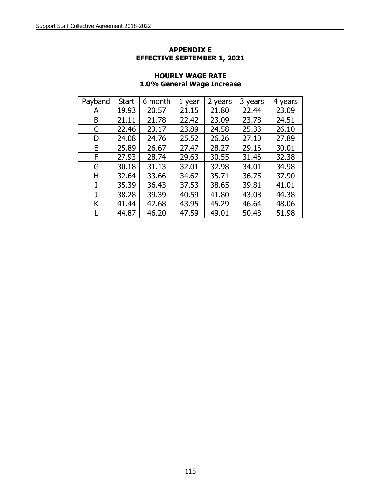### **APPENDIX E EFFECTIVE SEPTEMBER 1, 2021**

| Payband | <b>Start</b> | 6 month | 1 year | 2 years | 3 years | 4 years |
|---------|--------------|---------|--------|---------|---------|---------|
| A       | 19.93        | 20.57   | 21.15  | 21.80   | 22.44   | 23.09   |
| B       | 21.11        | 21.78   | 22.42  | 23.09   | 23.78   | 24.51   |
| C       | 22.46        | 23.17   | 23.89  | 24.58   | 25.33   | 26.10   |
| D       | 24.08        | 24.76   | 25.52  | 26.26   | 27.10   | 27.89   |
| E       | 25.89        | 26.67   | 27.47  | 28.27   | 29.16   | 30.01   |
| F       | 27.93        | 28.74   | 29.63  | 30.55   | 31.46   | 32.38   |
| G       | 30.18        | 31.13   | 32.01  | 32.98   | 34.01   | 34.98   |
| н       | 32.64        | 33.66   | 34.67  | 35.71   | 36.75   | 37.90   |
| I       | 35.39        | 36.43   | 37.53  | 38.65   | 39.81   | 41.01   |
| J       | 38.28        | 39.39   | 40.59  | 41.80   | 43.08   | 44.38   |
| K       | 41.44        | 42.68   | 43.95  | 45.29   | 46.64   | 48.06   |
|         | 44.87        | 46.20   | 47.59  | 49.01   | 50.48   | 51.98   |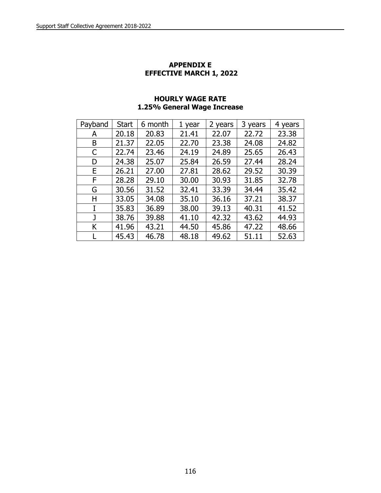#### **APPENDIX E EFFECTIVE MARCH 1, 2022**

| Payband | <b>Start</b> | 6 month | 1 year | 2 years | 3 years | 4 years |
|---------|--------------|---------|--------|---------|---------|---------|
| A       | 20.18        | 20.83   | 21.41  | 22.07   | 22.72   | 23.38   |
| B       | 21.37        | 22.05   | 22.70  | 23.38   | 24.08   | 24.82   |
| C       | 22.74        | 23.46   | 24.19  | 24.89   | 25.65   | 26.43   |
| D       | 24.38        | 25.07   | 25.84  | 26.59   | 27.44   | 28.24   |
| E       | 26.21        | 27.00   | 27.81  | 28.62   | 29.52   | 30.39   |
| F       | 28.28        | 29.10   | 30,00  | 30.93   | 31.85   | 32.78   |
| G       | 30.56        | 31.52   | 32.41  | 33.39   | 34.44   | 35.42   |
| н       | 33.05        | 34.08   | 35.10  | 36.16   | 37.21   | 38.37   |
|         | 35.83        | 36.89   | 38.00  | 39.13   | 40.31   | 41.52   |
|         | 38.76        | 39.88   | 41.10  | 42.32   | 43.62   | 44.93   |
| Κ       | 41.96        | 43.21   | 44.50  | 45.86   | 47.22   | 48.66   |
|         | 45.43        | 46.78   | 48.18  | 49.62   | 51.11   | 52.63   |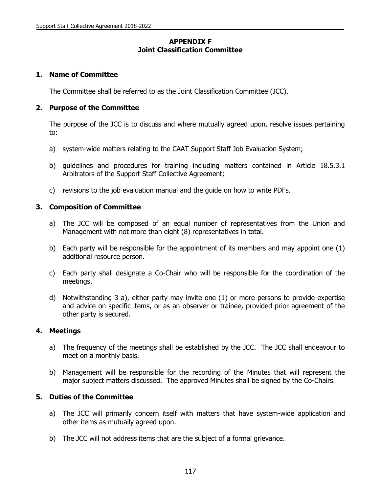## **APPENDIX F Joint Classification Committee**

### **1. Name of Committee**

The Committee shall be referred to as the Joint Classification Committee (JCC).

### **2. Purpose of the Committee**

The purpose of the JCC is to discuss and where mutually agreed upon, resolve issues pertaining to:

- a) system-wide matters relating to the CAAT Support Staff Job Evaluation System;
- b) guidelines and procedures for training including matters contained in Article 18.5.3.1 Arbitrators of the Support Staff Collective Agreement;
- c) revisions to the job evaluation manual and the guide on how to write PDFs.

## **3. Composition of Committee**

- a) The JCC will be composed of an equal number of representatives from the Union and Management with not more than eight (8) representatives in total.
- b) Each party will be responsible for the appointment of its members and may appoint one (1) additional resource person.
- c) Each party shall designate a Co-Chair who will be responsible for the coordination of the meetings.
- d) Notwithstanding 3 a), either party may invite one (1) or more persons to provide expertise and advice on specific items, or as an observer or trainee, provided prior agreement of the other party is secured.

### **4. Meetings**

- a) The frequency of the meetings shall be established by the JCC. The JCC shall endeavour to meet on a monthly basis.
- b) Management will be responsible for the recording of the Minutes that will represent the major subject matters discussed. The approved Minutes shall be signed by the Co-Chairs.

## **5. Duties of the Committee**

- a) The JCC will primarily concern itself with matters that have system-wide application and other items as mutually agreed upon.
- b) The JCC will not address items that are the subject of a formal grievance.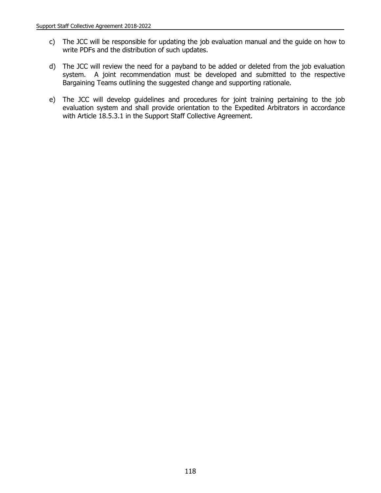- c) The JCC will be responsible for updating the job evaluation manual and the guide on how to write PDFs and the distribution of such updates.
- d) The JCC will review the need for a payband to be added or deleted from the job evaluation system. A joint recommendation must be developed and submitted to the respective Bargaining Teams outlining the suggested change and supporting rationale.
- e) The JCC will develop guidelines and procedures for joint training pertaining to the job evaluation system and shall provide orientation to the Expedited Arbitrators in accordance with Article 18.5.3.1 in the Support Staff Collective Agreement.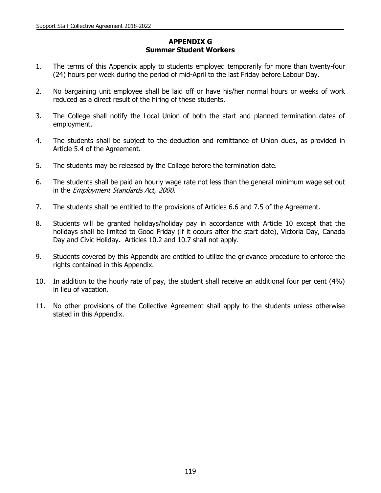# **APPENDIX G Summer Student Workers**

- 1. The terms of this Appendix apply to students employed temporarily for more than twenty-four (24) hours per week during the period of mid-April to the last Friday before Labour Day.
- 2. No bargaining unit employee shall be laid off or have his/her normal hours or weeks of work reduced as a direct result of the hiring of these students.
- 3. The College shall notify the Local Union of both the start and planned termination dates of employment.
- 4. The students shall be subject to the deduction and remittance of Union dues, as provided in Article 5.4 of the Agreement.
- 5. The students may be released by the College before the termination date.
- 6. The students shall be paid an hourly wage rate not less than the general minimum wage set out in the Employment Standards Act, 2000.
- 7. The students shall be entitled to the provisions of Articles 6.6 and 7.5 of the Agreement.
- 8. Students will be granted holidays/holiday pay in accordance with Article 10 except that the holidays shall be limited to Good Friday (if it occurs after the start date), Victoria Day, Canada Day and Civic Holiday. Articles 10.2 and 10.7 shall not apply.
- 9. Students covered by this Appendix are entitled to utilize the grievance procedure to enforce the rights contained in this Appendix.
- 10. In addition to the hourly rate of pay, the student shall receive an additional four per cent (4%) in lieu of vacation.
- 11. No other provisions of the Collective Agreement shall apply to the students unless otherwise stated in this Appendix.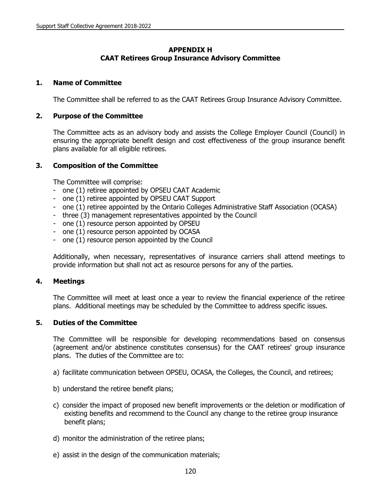# **APPENDIX H CAAT Retirees Group Insurance Advisory Committee**

### **1. Name of Committee**

The Committee shall be referred to as the CAAT Retirees Group Insurance Advisory Committee.

### **2. Purpose of the Committee**

The Committee acts as an advisory body and assists the College Employer Council (Council) in ensuring the appropriate benefit design and cost effectiveness of the group insurance benefit plans available for all eligible retirees.

### **3. Composition of the Committee**

The Committee will comprise:

- one (1) retiree appointed by OPSEU CAAT Academic
- one (1) retiree appointed by OPSEU CAAT Support
- one (1) retiree appointed by the Ontario Colleges Administrative Staff Association (OCASA)
- three (3) management representatives appointed by the Council
- one (1) resource person appointed by OPSEU
- one (1) resource person appointed by OCASA
- one (1) resource person appointed by the Council

Additionally, when necessary, representatives of insurance carriers shall attend meetings to provide information but shall not act as resource persons for any of the parties.

### **4. Meetings**

The Committee will meet at least once a year to review the financial experience of the retiree plans. Additional meetings may be scheduled by the Committee to address specific issues.

### **5. Duties of the Committee**

The Committee will be responsible for developing recommendations based on consensus (agreement and/or abstinence constitutes consensus) for the CAAT retirees' group insurance plans. The duties of the Committee are to:

- a) facilitate communication between OPSEU, OCASA, the Colleges, the Council, and retirees;
- b) understand the retiree benefit plans;
- c) consider the impact of proposed new benefit improvements or the deletion or modification of existing benefits and recommend to the Council any change to the retiree group insurance benefit plans;
- d) monitor the administration of the retiree plans;
- e) assist in the design of the communication materials;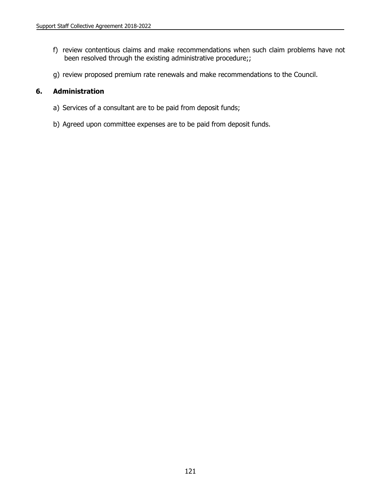- f) review contentious claims and make recommendations when such claim problems have not been resolved through the existing administrative procedure;;
- g) review proposed premium rate renewals and make recommendations to the Council.

## **6. Administration**

- a) Services of a consultant are to be paid from deposit funds;
- b) Agreed upon committee expenses are to be paid from deposit funds.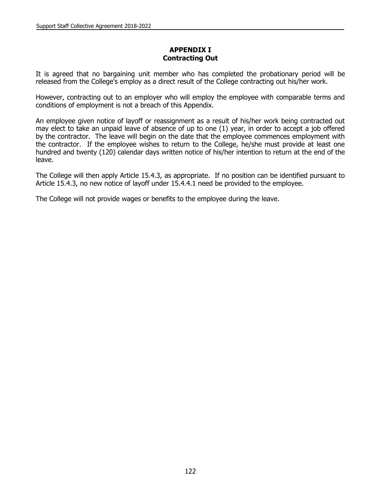## **APPENDIX I Contracting Out**

It is agreed that no bargaining unit member who has completed the probationary period will be released from the College's employ as a direct result of the College contracting out his/her work.

However, contracting out to an employer who will employ the employee with comparable terms and conditions of employment is not a breach of this Appendix.

An employee given notice of layoff or reassignment as a result of his/her work being contracted out may elect to take an unpaid leave of absence of up to one (1) year, in order to accept a job offered by the contractor. The leave will begin on the date that the employee commences employment with the contractor. If the employee wishes to return to the College, he/she must provide at least one hundred and twenty (120) calendar days written notice of his/her intention to return at the end of the leave.

The College will then apply Article 15.4.3, as appropriate. If no position can be identified pursuant to Article 15.4.3, no new notice of layoff under 15.4.4.1 need be provided to the employee.

The College will not provide wages or benefits to the employee during the leave.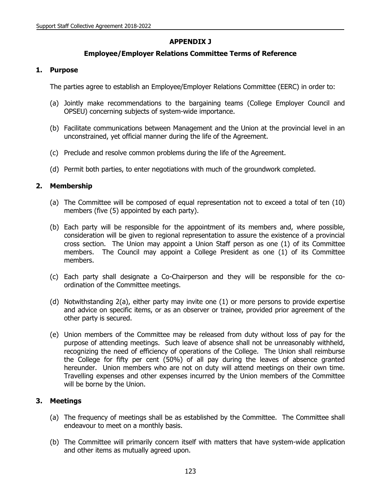# **APPENDIX J**

## **Employee/Employer Relations Committee Terms of Reference**

### **1. Purpose**

The parties agree to establish an Employee/Employer Relations Committee (EERC) in order to:

- (a) Jointly make recommendations to the bargaining teams (College Employer Council and OPSEU) concerning subjects of system-wide importance.
- (b) Facilitate communications between Management and the Union at the provincial level in an unconstrained, yet official manner during the life of the Agreement.
- (c) Preclude and resolve common problems during the life of the Agreement.
- (d) Permit both parties, to enter negotiations with much of the groundwork completed.

## **2. Membership**

- (a) The Committee will be composed of equal representation not to exceed a total of ten (10) members (five (5) appointed by each party).
- (b) Each party will be responsible for the appointment of its members and, where possible, consideration will be given to regional representation to assure the existence of a provincial cross section. The Union may appoint a Union Staff person as one (1) of its Committee members. The Council may appoint a College President as one (1) of its Committee members.
- (c) Each party shall designate a Co-Chairperson and they will be responsible for the coordination of the Committee meetings.
- (d) Notwithstanding 2(a), either party may invite one (1) or more persons to provide expertise and advice on specific items, or as an observer or trainee, provided prior agreement of the other party is secured.
- (e) Union members of the Committee may be released from duty without loss of pay for the purpose of attending meetings. Such leave of absence shall not be unreasonably withheld, recognizing the need of efficiency of operations of the College. The Union shall reimburse the College for fifty per cent (50%) of all pay during the leaves of absence granted hereunder. Union members who are not on duty will attend meetings on their own time. Travelling expenses and other expenses incurred by the Union members of the Committee will be borne by the Union.

## **3. Meetings**

- (a) The frequency of meetings shall be as established by the Committee. The Committee shall endeavour to meet on a monthly basis.
- (b) The Committee will primarily concern itself with matters that have system-wide application and other items as mutually agreed upon.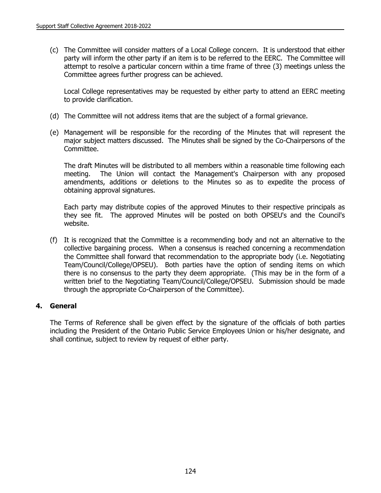(c) The Committee will consider matters of a Local College concern. It is understood that either party will inform the other party if an item is to be referred to the EERC. The Committee will attempt to resolve a particular concern within a time frame of three (3) meetings unless the Committee agrees further progress can be achieved.

Local College representatives may be requested by either party to attend an EERC meeting to provide clarification.

- (d) The Committee will not address items that are the subject of a formal grievance.
- (e) Management will be responsible for the recording of the Minutes that will represent the major subject matters discussed. The Minutes shall be signed by the Co-Chairpersons of the Committee.

The draft Minutes will be distributed to all members within a reasonable time following each meeting. The Union will contact the Management's Chairperson with any proposed amendments, additions or deletions to the Minutes so as to expedite the process of obtaining approval signatures.

Each party may distribute copies of the approved Minutes to their respective principals as they see fit. The approved Minutes will be posted on both OPSEU's and the Council's website.

(f) It is recognized that the Committee is a recommending body and not an alternative to the collective bargaining process. When a consensus is reached concerning a recommendation the Committee shall forward that recommendation to the appropriate body (i.e. Negotiating Team/Council/College/OPSEU). Both parties have the option of sending items on which there is no consensus to the party they deem appropriate. (This may be in the form of a written brief to the Negotiating Team/Council/College/OPSEU. Submission should be made through the appropriate Co-Chairperson of the Committee).

### **4. General**

The Terms of Reference shall be given effect by the signature of the officials of both parties including the President of the Ontario Public Service Employees Union or his/her designate, and shall continue, subject to review by request of either party.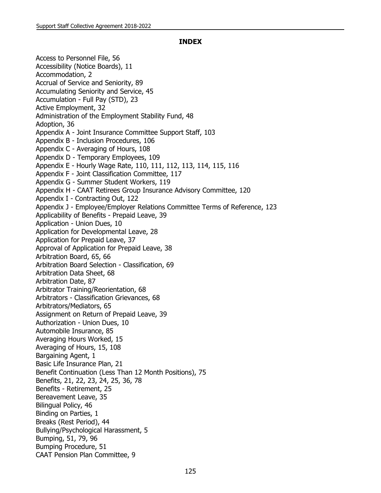#### **INDEX**

Access to Personnel File, 56 Accessibility (Notice Boards), 11 Accommodation, 2 Accrual of Service and Seniority, 89 Accumulating Seniority and Service, 45 Accumulation - Full Pay (STD), 23 Active Employment, 32 Administration of the Employment Stability Fund, 48 Adoption, 36 Appendix A - Joint Insurance Committee Support Staff, 103 Appendix B - Inclusion Procedures, 106 Appendix C - Averaging of Hours, 108 Appendix D - Temporary Employees, 109 Appendix E - Hourly Wage Rate, 110, 111, 112, 113, 114, 115, 116 Appendix F - Joint Classification Committee, 117 Appendix G - Summer Student Workers, 119 Appendix H - CAAT Retirees Group Insurance Advisory Committee, 120 Appendix I - Contracting Out, 122 Appendix J - Employee/Employer Relations Committee Terms of Reference, 123 Applicability of Benefits - Prepaid Leave, 39 Application - Union Dues, 10 Application for Developmental Leave, 28 Application for Prepaid Leave, 37 Approval of Application for Prepaid Leave, 38 Arbitration Board, 65, 66 Arbitration Board Selection - Classification, 69 Arbitration Data Sheet, 68 Arbitration Date, 87 Arbitrator Training/Reorientation, 68 Arbitrators - Classification Grievances, 68 Arbitrators/Mediators, 65 Assignment on Return of Prepaid Leave, 39 Authorization - Union Dues, 10 Automobile Insurance, 85 Averaging Hours Worked, 15 Averaging of Hours, 15, 108 Bargaining Agent, 1 Basic Life Insurance Plan, 21 Benefit Continuation (Less Than 12 Month Positions), 75 Benefits, 21, 22, 23, 24, 25, 36, 78 Benefits - Retirement, 25 Bereavement Leave, 35 Bilingual Policy, 46 Binding on Parties, 1 Breaks (Rest Period), 44 Bullying/Psychological Harassment, 5 Bumping, 51, 79, 96 Bumping Procedure, 51 CAAT Pension Plan Committee, 9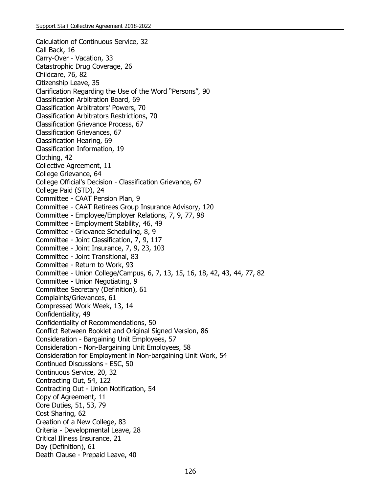Calculation of Continuous Service, 32 Call Back, 16 Carry-Over - Vacation, 33 Catastrophic Drug Coverage, 26 Childcare, 76, 82 Citizenship Leave, 35 Clarification Regarding the Use of the Word "Persons", 90 Classification Arbitration Board, 69 Classification Arbitrators' Powers, 70 Classification Arbitrators Restrictions, 70 Classification Grievance Process, 67 Classification Grievances, 67 Classification Hearing, 69 Classification Information, 19 Clothing, 42 Collective Agreement, 11 College Grievance, 64 College Official's Decision - Classification Grievance, 67 College Paid (STD), 24 Committee - CAAT Pension Plan, 9 Committee - CAAT Retirees Group Insurance Advisory, 120 Committee - Employee/Employer Relations, 7, 9, 77, 98 Committee - Employment Stability, 46, 49 Committee - Grievance Scheduling, 8, 9 Committee - Joint Classification, 7, 9, 117 Committee - Joint Insurance, 7, 9, 23, 103 Committee - Joint Transitional, 83 Committee - Return to Work, 93 Committee - Union College/Campus, 6, 7, 13, 15, 16, 18, 42, 43, 44, 77, 82 Committee - Union Negotiating, 9 Committee Secretary (Definition), 61 Complaints/Grievances, 61 Compressed Work Week, 13, 14 Confidentiality, 49 Confidentiality of Recommendations, 50 Conflict Between Booklet and Original Signed Version, 86 Consideration - Bargaining Unit Employees, 57 Consideration - Non-Bargaining Unit Employees, 58 Consideration for Employment in Non-bargaining Unit Work, 54 Continued Discussions - ESC, 50 Continuous Service, 20, 32 Contracting Out, 54, 122 Contracting Out - Union Notification, 54 Copy of Agreement, 11 Core Duties, 51, 53, 79 Cost Sharing, 62 Creation of a New College, 83 Criteria - Developmental Leave, 28 Critical Illness Insurance, 21 Day (Definition), 61 Death Clause - Prepaid Leave, 40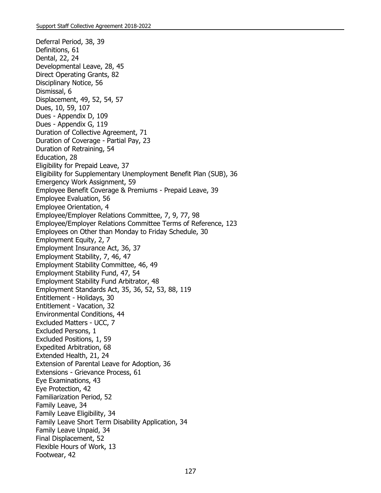Deferral Period, 38, 39 Definitions, 61 Dental, 22, 24 Developmental Leave, 28, 45 Direct Operating Grants, 82 Disciplinary Notice, 56 Dismissal, 6 Displacement, 49, 52, 54, 57 Dues, 10, 59, 107 Dues - Appendix D, 109 Dues - Appendix G, 119 Duration of Collective Agreement, 71 Duration of Coverage - Partial Pay, 23 Duration of Retraining, 54 Education, 28 Eligibility for Prepaid Leave, 37 Eligibility for Supplementary Unemployment Benefit Plan (SUB), 36 Emergency Work Assignment, 59 Employee Benefit Coverage & Premiums - Prepaid Leave, 39 Employee Evaluation, 56 Employee Orientation, 4 Employee/Employer Relations Committee, 7, 9, 77, 98 Employee/Employer Relations Committee Terms of Reference, 123 Employees on Other than Monday to Friday Schedule, 30 Employment Equity, 2, 7 Employment Insurance Act, 36, 37 Employment Stability, 7, 46, 47 Employment Stability Committee, 46, 49 Employment Stability Fund, 47, 54 Employment Stability Fund Arbitrator, 48 Employment Standards Act, 35, 36, 52, 53, 88, 119 Entitlement - Holidays, 30 Entitlement - Vacation, 32 Environmental Conditions, 44 Excluded Matters - UCC, 7 Excluded Persons, 1 Excluded Positions, 1, 59 Expedited Arbitration, 68 Extended Health, 21, 24 Extension of Parental Leave for Adoption, 36 Extensions - Grievance Process, 61 Eye Examinations, 43 Eye Protection, 42 Familiarization Period, 52 Family Leave, 34 Family Leave Eligibility, 34 Family Leave Short Term Disability Application, 34 Family Leave Unpaid, 34 Final Displacement, 52 Flexible Hours of Work, 13 Footwear, 42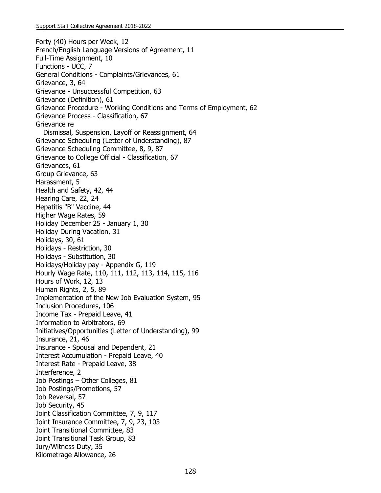Forty (40) Hours per Week, 12 French/English Language Versions of Agreement, 11 Full-Time Assignment, 10 Functions - UCC, 7 General Conditions - Complaints/Grievances, 61 Grievance, 3, 64 Grievance - Unsuccessful Competition, 63 Grievance (Definition), 61 Grievance Procedure - Working Conditions and Terms of Employment, 62 Grievance Process - Classification, 67 Grievance re Dismissal, Suspension, Layoff or Reassignment, 64 Grievance Scheduling (Letter of Understanding), 87 Grievance Scheduling Committee, 8, 9, 87 Grievance to College Official - Classification, 67 Grievances, 61 Group Grievance, 63 Harassment, 5 Health and Safety, 42, 44 Hearing Care, 22, 24 Hepatitis "B" Vaccine, 44 Higher Wage Rates, 59 Holiday December 25 - January 1, 30 Holiday During Vacation, 31 Holidays, 30, 61 Holidays - Restriction, 30 Holidays - Substitution, 30 Holidays/Holiday pay - Appendix G, 119 Hourly Wage Rate, 110, 111, 112, 113, 114, 115, 116 Hours of Work, 12, 13 Human Rights, 2, 5, 89 Implementation of the New Job Evaluation System, 95 Inclusion Procedures, 106 Income Tax - Prepaid Leave, 41 Information to Arbitrators, 69 Initiatives/Opportunities (Letter of Understanding), 99 Insurance, 21, 46 Insurance - Spousal and Dependent, 21 Interest Accumulation - Prepaid Leave, 40 Interest Rate - Prepaid Leave, 38 Interference, 2 Job Postings – Other Colleges, 81 Job Postings/Promotions, 57 Job Reversal, 57 Job Security, 45 Joint Classification Committee, 7, 9, 117 Joint Insurance Committee, 7, 9, 23, 103 Joint Transitional Committee, 83 Joint Transitional Task Group, 83 Jury/Witness Duty, 35 Kilometrage Allowance, 26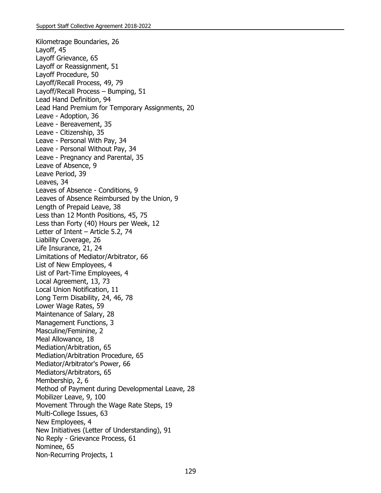Kilometrage Boundaries, 26 Layoff, 45 Layoff Grievance, 65 Layoff or Reassignment, 51 Layoff Procedure, 50 Layoff/Recall Process, 49, 79 Layoff/Recall Process – Bumping, 51 Lead Hand Definition, 94 Lead Hand Premium for Temporary Assignments, 20 Leave - Adoption, 36 Leave - Bereavement, 35 Leave - Citizenship, 35 Leave - Personal With Pay, 34 Leave - Personal Without Pay, 34 Leave - Pregnancy and Parental, 35 Leave of Absence, 9 Leave Period, 39 Leaves, 34 Leaves of Absence - Conditions, 9 Leaves of Absence Reimbursed by the Union, 9 Length of Prepaid Leave, 38 Less than 12 Month Positions, 45, 75 Less than Forty (40) Hours per Week, 12 Letter of Intent – Article 5.2, 74 Liability Coverage, 26 Life Insurance, 21, 24 Limitations of Mediator/Arbitrator, 66 List of New Employees, 4 List of Part-Time Employees, 4 Local Agreement, 13, 73 Local Union Notification, 11 Long Term Disability, 24, 46, 78 Lower Wage Rates, 59 Maintenance of Salary, 28 Management Functions, 3 Masculine/Feminine, 2 Meal Allowance, 18 Mediation/Arbitration, 65 Mediation/Arbitration Procedure, 65 Mediator/Arbitrator's Power, 66 Mediators/Arbitrators, 65 Membership, 2, 6 Method of Payment during Developmental Leave, 28 Mobilizer Leave, 9, 100 Movement Through the Wage Rate Steps, 19 Multi-College Issues, 63 New Employees, 4 New Initiatives (Letter of Understanding), 91 No Reply - Grievance Process, 61 Nominee, 65 Non-Recurring Projects, 1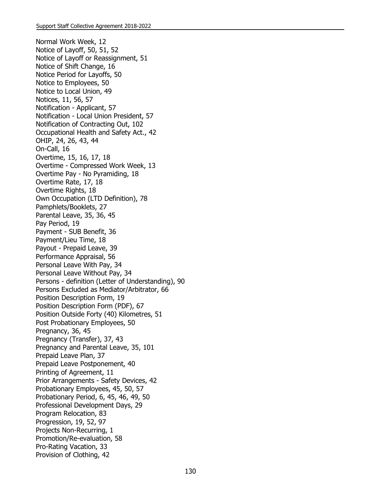Normal Work Week, 12 Notice of Layoff, 50, 51, 52 Notice of Layoff or Reassignment, 51 Notice of Shift Change, 16 Notice Period for Layoffs, 50 Notice to Employees, 50 Notice to Local Union, 49 Notices, 11, 56, 57 Notification - Applicant, 57 Notification - Local Union President, 57 Notification of Contracting Out, 102 Occupational Health and Safety Act., 42 OHIP, 24, 26, 43, 44 On-Call, 16 Overtime, 15, 16, 17, 18 Overtime - Compressed Work Week, 13 Overtime Pay - No Pyramiding, 18 Overtime Rate, 17, 18 Overtime Rights, 18 Own Occupation (LTD Definition), 78 Pamphlets/Booklets, 27 Parental Leave, 35, 36, 45 Pay Period, 19 Payment - SUB Benefit, 36 Payment/Lieu Time, 18 Payout - Prepaid Leave, 39 Performance Appraisal, 56 Personal Leave With Pay, 34 Personal Leave Without Pay, 34 Persons - definition (Letter of Understanding), 90 Persons Excluded as Mediator/Arbitrator, 66 Position Description Form, 19 Position Description Form (PDF), 67 Position Outside Forty (40) Kilometres, 51 Post Probationary Employees, 50 Pregnancy, 36, 45 Pregnancy (Transfer), 37, 43 Pregnancy and Parental Leave, 35, 101 Prepaid Leave Plan, 37 Prepaid Leave Postponement, 40 Printing of Agreement, 11 Prior Arrangements - Safety Devices, 42 Probationary Employees, 45, 50, 57 Probationary Period, 6, 45, 46, 49, 50 Professional Development Days, 29 Program Relocation, 83 Progression, 19, 52, 97 Projects Non-Recurring, 1 Promotion/Re-evaluation, 58 Pro-Rating Vacation, 33 Provision of Clothing, 42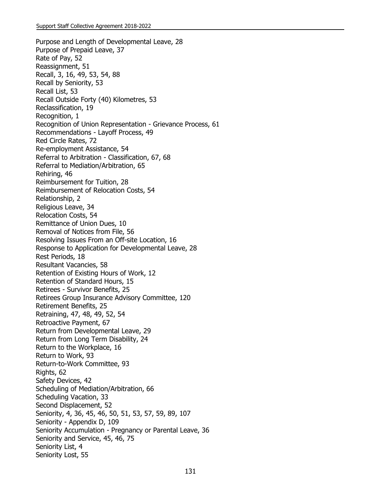Purpose and Length of Developmental Leave, 28 Purpose of Prepaid Leave, 37 Rate of Pay, 52 Reassignment, 51 Recall, 3, 16, 49, 53, 54, 88 Recall by Seniority, 53 Recall List, 53 Recall Outside Forty (40) Kilometres, 53 Reclassification, 19 Recognition, 1 Recognition of Union Representation - Grievance Process, 61 Recommendations - Layoff Process, 49 Red Circle Rates, 72 Re-employment Assistance, 54 Referral to Arbitration - Classification, 67, 68 Referral to Mediation/Arbitration, 65 Rehiring, 46 Reimbursement for Tuition, 28 Reimbursement of Relocation Costs, 54 Relationship, 2 Religious Leave, 34 Relocation Costs, 54 Remittance of Union Dues, 10 Removal of Notices from File, 56 Resolving Issues From an Off-site Location, 16 Response to Application for Developmental Leave, 28 Rest Periods, 18 Resultant Vacancies, 58 Retention of Existing Hours of Work, 12 Retention of Standard Hours, 15 Retirees - Survivor Benefits, 25 Retirees Group Insurance Advisory Committee, 120 Retirement Benefits, 25 Retraining, 47, 48, 49, 52, 54 Retroactive Payment, 67 Return from Developmental Leave, 29 Return from Long Term Disability, 24 Return to the Workplace, 16 Return to Work, 93 Return-to-Work Committee, 93 Rights, 62 Safety Devices, 42 Scheduling of Mediation/Arbitration, 66 Scheduling Vacation, 33 Second Displacement, 52 Seniority, 4, 36, 45, 46, 50, 51, 53, 57, 59, 89, 107 Seniority - Appendix D, 109 Seniority Accumulation - Pregnancy or Parental Leave, 36 Seniority and Service, 45, 46, 75 Seniority List, 4 Seniority Lost, 55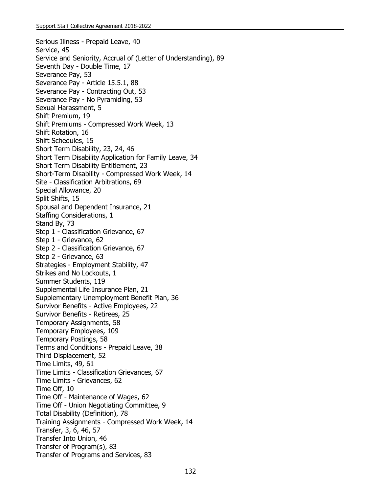Serious Illness - Prepaid Leave, 40 Service, 45 Service and Seniority, Accrual of (Letter of Understanding), 89 Seventh Day - Double Time, 17 Severance Pay, 53 Severance Pay - Article 15.5.1, 88 Severance Pay - Contracting Out, 53 Severance Pay - No Pyramiding, 53 Sexual Harassment, 5 Shift Premium, 19 Shift Premiums - Compressed Work Week, 13 Shift Rotation, 16 Shift Schedules, 15 Short Term Disability, 23, 24, 46 Short Term Disability Application for Family Leave, 34 Short Term Disability Entitlement, 23 Short-Term Disability - Compressed Work Week, 14 Site - Classification Arbitrations, 69 Special Allowance, 20 Split Shifts, 15 Spousal and Dependent Insurance, 21 Staffing Considerations, 1 Stand By, 73 Step 1 - Classification Grievance, 67 Step 1 - Grievance, 62 Step 2 - Classification Grievance, 67 Step 2 - Grievance, 63 Strategies - Employment Stability, 47 Strikes and No Lockouts, 1 Summer Students, 119 Supplemental Life Insurance Plan, 21 Supplementary Unemployment Benefit Plan, 36 Survivor Benefits - Active Employees, 22 Survivor Benefits - Retirees, 25 Temporary Assignments, 58 Temporary Employees, 109 Temporary Postings, 58 Terms and Conditions - Prepaid Leave, 38 Third Displacement, 52 Time Limits, 49, 61 Time Limits - Classification Grievances, 67 Time Limits - Grievances, 62 Time Off, 10 Time Off - Maintenance of Wages, 62 Time Off - Union Negotiating Committee, 9 Total Disability (Definition), 78 Training Assignments - Compressed Work Week, 14 Transfer, 3, 6, 46, 57 Transfer Into Union, 46 Transfer of Program(s), 83 Transfer of Programs and Services, 83